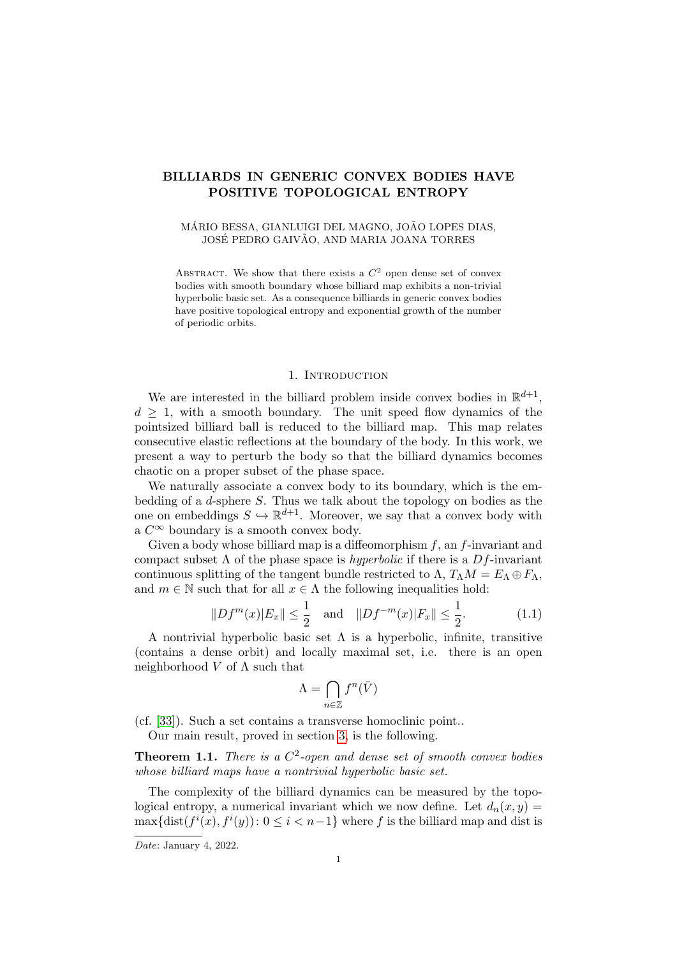# BILLIARDS IN GENERIC CONVEX BODIES HAVE POSITIVE TOPOLOGICAL ENTROPY

## MÁRIO BESSA, GIANLUIGI DEL MAGNO, JOÃO LOPES DIAS, JOSÉ PEDRO GAIVÃO, AND MARIA JOANA TORRES

ABSTRACT. We show that there exists a  $C^2$  open dense set of convex bodies with smooth boundary whose billiard map exhibits a non-trivial hyperbolic basic set. As a consequence billiards in generic convex bodies have positive topological entropy and exponential growth of the number of periodic orbits.

#### 1. Introduction

We are interested in the billiard problem inside convex bodies in  $\mathbb{R}^{d+1}$ ,  $d \geq 1$ , with a smooth boundary. The unit speed flow dynamics of the pointsized billiard ball is reduced to the billiard map. This map relates consecutive elastic reflections at the boundary of the body. In this work, we present a way to perturb the body so that the billiard dynamics becomes chaotic on a proper subset of the phase space.

We naturally associate a convex body to its boundary, which is the embedding of a d-sphere S. Thus we talk about the topology on bodies as the one on embeddings  $S \hookrightarrow \mathbb{R}^{d+1}$ . Moreover, we say that a convex body with a  $C^{\infty}$  boundary is a smooth convex body.

Given a body whose billiard map is a diffeomorphism  $f$ , an  $f$ -invariant and compact subset  $\Lambda$  of the phase space is *hyperbolic* if there is a Df-invariant continuous splitting of the tangent bundle restricted to  $\Lambda$ ,  $T_{\Lambda}M = E_{\Lambda} \oplus F_{\Lambda}$ , and  $m \in \mathbb{N}$  such that for all  $x \in \Lambda$  the following inequalities hold:

<span id="page-0-1"></span>
$$
||Df^{m}(x)|E_{x}|| \leq \frac{1}{2} \quad \text{and} \quad ||Df^{-m}(x)|E_{x}|| \leq \frac{1}{2}.
$$
 (1.1)

A nontrivial hyperbolic basic set  $\Lambda$  is a hyperbolic, infinite, transitive (contains a dense orbit) and locally maximal set, i.e. there is an open neighborhood  $V$  of  $\Lambda$  such that

$$
\Lambda=\bigcap_{n\in\mathbb{Z}}f^n(\bar V)
$$

(cf. [\[33\]](#page-30-0)). Such a set contains a transverse homoclinic point..

Our main result, proved in section [3,](#page-9-0) is the following.

<span id="page-0-0"></span>**Theorem 1.1.** There is a  $C^2$ -open and dense set of smooth convex bodies whose billiard maps have a nontrivial hyperbolic basic set.

The complexity of the billiard dynamics can be measured by the topological entropy, a numerical invariant which we now define. Let  $d_n(x, y) =$  $\max\{\text{dist}(f^i(x), f^i(y))\colon 0 \leq i \leq n-1\}$  where f is the billiard map and dist is

Date: January 4, 2022.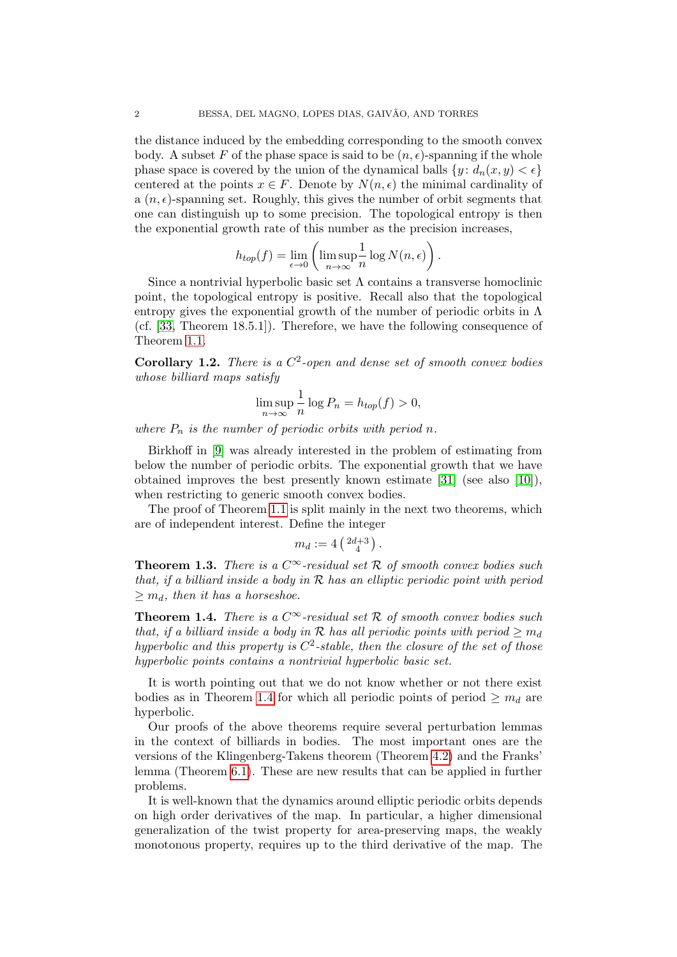the distance induced by the embedding corresponding to the smooth convex body. A subset F of the phase space is said to be  $(n, \epsilon)$ -spanning if the whole phase space is covered by the union of the dynamical balls  $\{y : d_n(x, y) < \epsilon\}$ centered at the points  $x \in F$ . Denote by  $N(n, \epsilon)$  the minimal cardinality of a  $(n, \epsilon)$ -spanning set. Roughly, this gives the number of orbit segments that one can distinguish up to some precision. The topological entropy is then the exponential growth rate of this number as the precision increases,

$$
h_{top}(f) = \lim_{\epsilon \to 0} \left( \limsup_{n \to \infty} \frac{1}{n} \log N(n, \epsilon) \right).
$$

Since a nontrivial hyperbolic basic set  $\Lambda$  contains a transverse homoclinic point, the topological entropy is positive. Recall also that the topological entropy gives the exponential growth of the number of periodic orbits in  $\Lambda$ (cf. [\[33,](#page-30-0) Theorem 18.5.1]). Therefore, we have the following consequence of Theorem [1.1.](#page-0-0)

**Corollary 1.2.** There is a  $C^2$ -open and dense set of smooth convex bodies whose billiard maps satisfy

$$
\limsup_{n \to \infty} \frac{1}{n} \log P_n = h_{top}(f) > 0,
$$

where  $P_n$  is the number of periodic orbits with period n.

Birkhoff in [\[9\]](#page-29-0) was already interested in the problem of estimating from below the number of periodic orbits. The exponential growth that we have obtained improves the best presently known estimate [\[31\]](#page-30-1) (see also [\[10\]](#page-29-1)), when restricting to generic smooth convex bodies.

The proof of Theorem [1.1](#page-0-0) is split mainly in the next two theorems, which are of independent interest. Define the integer

$$
m_d := 4\left(\begin{smallmatrix} 2d+3 \\ 4 \end{smallmatrix}\right).
$$

<span id="page-1-1"></span>**Theorem 1.3.** There is a  $C^{\infty}$ -residual set R of smooth convex bodies such that, if a billiard inside a body in  $R$  has an elliptic periodic point with period  $\geq m_d$ , then it has a horseshoe.

<span id="page-1-0"></span>**Theorem 1.4.** There is a  $C^{\infty}$ -residual set R of smooth convex bodies such that, if a billiard inside a body in R has all periodic points with period  $\geq m_d$ hyperbolic and this property is  $C^2$ -stable, then the closure of the set of those hyperbolic points contains a nontrivial hyperbolic basic set.

It is worth pointing out that we do not know whether or not there exist bodies as in Theorem [1.4](#page-1-0) for which all periodic points of period  $\geq m_d$  are hyperbolic.

Our proofs of the above theorems require several perturbation lemmas in the context of billiards in bodies. The most important ones are the versions of the Klingenberg-Takens theorem (Theorem [4.2\)](#page-11-0) and the Franks' lemma (Theorem [6.1\)](#page-22-0). These are new results that can be applied in further problems.

It is well-known that the dynamics around elliptic periodic orbits depends on high order derivatives of the map. In particular, a higher dimensional generalization of the twist property for area-preserving maps, the weakly monotonous property, requires up to the third derivative of the map. The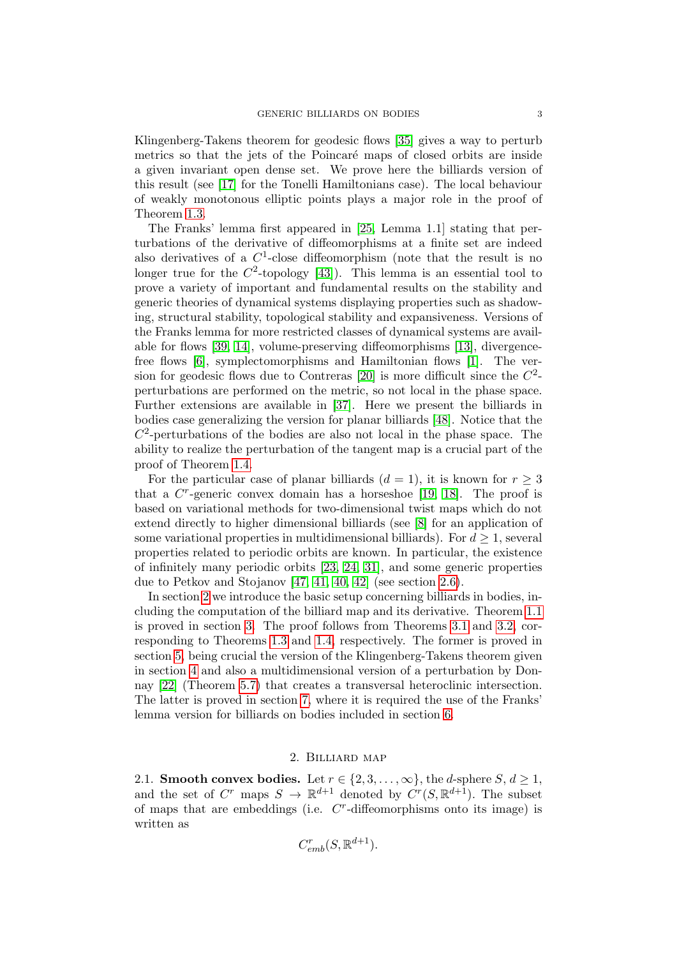Klingenberg-Takens theorem for geodesic flows [\[35\]](#page-30-2) gives a way to perturb metrics so that the jets of the Poincaré maps of closed orbits are inside a given invariant open dense set. We prove here the billiards version of this result (see [\[17\]](#page-29-2) for the Tonelli Hamiltonians case). The local behaviour of weakly monotonous elliptic points plays a major role in the proof of Theorem [1.3.](#page-1-1)

The Franks' lemma first appeared in [\[25,](#page-29-3) Lemma 1.1] stating that perturbations of the derivative of diffeomorphisms at a finite set are indeed also derivatives of a  $C^1$ -close diffeomorphism (note that the result is no longer true for the  $C^2$ -topology [\[43\]](#page-30-3)). This lemma is an essential tool to prove a variety of important and fundamental results on the stability and generic theories of dynamical systems displaying properties such as shadowing, structural stability, topological stability and expansiveness. Versions of the Franks lemma for more restricted classes of dynamical systems are available for flows [\[39,](#page-30-4) [14\]](#page-29-4), volume-preserving diffeomorphisms [\[13\]](#page-29-5), divergencefree flows [\[6\]](#page-29-6), symplectomorphisms and Hamiltonian flows [\[1\]](#page-29-7). The ver-sion for geodesic flows due to Contreras [\[20\]](#page-29-8) is more difficult since the  $C^2$ perturbations are performed on the metric, so not local in the phase space. Further extensions are available in [\[37\]](#page-30-5). Here we present the billiards in bodies case generalizing the version for planar billiards [\[48\]](#page-30-6). Notice that the  $C<sup>2</sup>$ -perturbations of the bodies are also not local in the phase space. The ability to realize the perturbation of the tangent map is a crucial part of the proof of Theorem [1.4.](#page-1-0)

For the particular case of planar billiards  $(d = 1)$ , it is known for  $r \geq 3$ that a  $C<sup>r</sup>$ -generic convex domain has a horseshoe [\[19,](#page-29-9) [18\]](#page-29-10). The proof is based on variational methods for two-dimensional twist maps which do not extend directly to higher dimensional billiards (see [\[8\]](#page-29-11) for an application of some variational properties in multidimensional billiards). For  $d \geq 1$ , several properties related to periodic orbits are known. In particular, the existence of infinitely many periodic orbits [\[23,](#page-29-12) [24,](#page-29-13) [31\]](#page-30-1), and some generic properties due to Petkov and Stojanov [\[47,](#page-30-7) [41,](#page-30-8) [40,](#page-30-9) [42\]](#page-30-10) (see section [2.6\)](#page-9-1).

In section [2](#page-2-0) we introduce the basic setup concerning billiards in bodies, including the computation of the billiard map and its derivative. Theorem [1.1](#page-0-0) is proved in section [3.](#page-9-0) The proof follows from Theorems [3.1](#page-10-0) and [3.2,](#page-10-1) corresponding to Theorems [1.3](#page-1-1) and [1.4,](#page-1-0) respectively. The former is proved in section [5,](#page-17-0) being crucial the version of the Klingenberg-Takens theorem given in section [4](#page-10-2) and also a multidimensional version of a perturbation by Donnay [\[22\]](#page-29-14) (Theorem [5.7\)](#page-20-0) that creates a transversal heteroclinic intersection. The latter is proved in section [7,](#page-27-0) where it is required the use of the Franks' lemma version for billiards on bodies included in section [6.](#page-22-1)

# 2. Billiard map

<span id="page-2-0"></span>2.1. Smooth convex bodies. Let  $r \in \{2, 3, ..., \infty\}$ , the *d*-sphere  $S, d \geq 1$ , and the set of C<sup>r</sup> maps  $S \to \mathbb{R}^{d+1}$  denoted by  $C^{r}(S, \mathbb{R}^{d+1})$ . The subset of maps that are embeddings (i.e.  $C<sup>r</sup>$ -diffeomorphisms onto its image) is written as

$$
C_{emb}^r(S, \mathbb{R}^{d+1}).
$$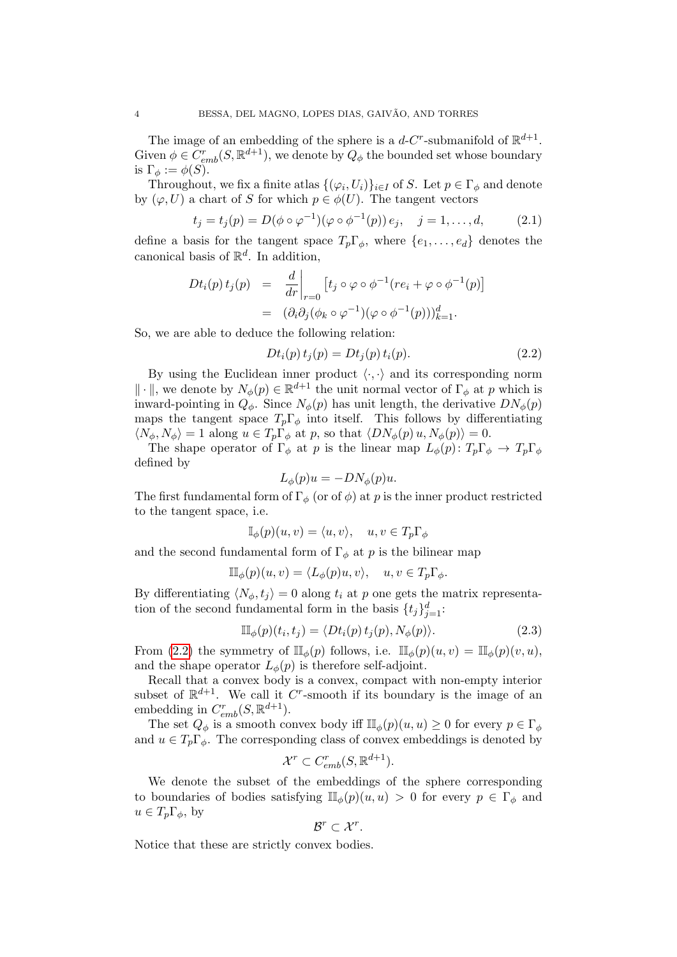The image of an embedding of the sphere is a  $d$ -C<sup>r</sup>-submanifold of  $\mathbb{R}^{d+1}$ . Given  $\phi \in C_{emb}^r(S, \mathbb{R}^{d+1})$ , we denote by  $Q_{\phi}$  the bounded set whose boundary is  $\Gamma_{\phi} := \phi(S)$ .

Throughout, we fix a finite atlas  $\{(\varphi_i, U_i)\}_{i \in I}$  of S. Let  $p \in \Gamma_\phi$  and denote by  $(\varphi, U)$  a chart of S for which  $p \in \phi(U)$ . The tangent vectors

<span id="page-3-1"></span>
$$
t_j = t_j(p) = D(\phi \circ \varphi^{-1})(\varphi \circ \phi^{-1}(p)) e_j, \quad j = 1, ..., d,
$$
 (2.1)

define a basis for the tangent space  $T_p\Gamma_\phi$ , where  $\{e_1,\ldots,e_d\}$  denotes the canonical basis of  $\mathbb{R}^d$ . In addition,

$$
Dt_i(p) t_j(p) = \frac{d}{dr}\Big|_{r=0} [t_j \circ \varphi \circ \phi^{-1}(re_i + \varphi \circ \phi^{-1}(p))] = (\partial_i \partial_j (\phi_k \circ \varphi^{-1})(\varphi \circ \phi^{-1}(p)))_{k=1}^d.
$$

So, we are able to deduce the following relation:

<span id="page-3-0"></span>
$$
Dt_i(p) t_j(p) = Dt_j(p) t_i(p).
$$
 (2.2)

By using the Euclidean inner product  $\langle \cdot, \cdot \rangle$  and its corresponding norm  $\|\cdot\|$ , we denote by  $N_{\phi}(p) \in \mathbb{R}^{d+1}$  the unit normal vector of  $\Gamma_{\phi}$  at p which is inward-pointing in  $Q_{\phi}$ . Since  $N_{\phi}(p)$  has unit length, the derivative  $DN_{\phi}(p)$ maps the tangent space  $T_p\Gamma_\phi$  into itself. This follows by differentiating  $\langle N_{\phi}, N_{\phi} \rangle = 1$  along  $u \in T_p \Gamma_{\phi}$  at p, so that  $\langle DN_{\phi}(p) u, N_{\phi}(p) \rangle = 0.$ 

The shape operator of  $\Gamma_{\phi}$  at p is the linear map  $L_{\phi}(p)$ :  $T_p \Gamma_{\phi} \to T_p \Gamma_{\phi}$ defined by

$$
L_{\phi}(p)u = -DN_{\phi}(p)u.
$$

The first fundamental form of  $\Gamma_{\phi}$  (or of  $\phi$ ) at p is the inner product restricted to the tangent space, i.e.

$$
\mathbb{I}_{\phi}(p)(u,v) = \langle u, v \rangle, \quad u, v \in T_p \Gamma_{\phi}
$$

and the second fundamental form of  $\Gamma_{\phi}$  at p is the bilinear map

$$
\mathbb{II}_{\phi}(p)(u,v) = \langle L_{\phi}(p)u, v \rangle, \quad u, v \in T_p \Gamma_{\phi}.
$$

By differentiating  $\langle N_{\phi}, t_i \rangle = 0$  along  $t_i$  at p one gets the matrix representation of the second fundamental form in the basis  $\{t_j\}_{j=1}^d$ :

<span id="page-3-2"></span>
$$
\mathbb{II}_{\phi}(p)(t_i, t_j) = \langle Dt_i(p) t_j(p), N_{\phi}(p) \rangle.
$$
 (2.3)

From [\(2.2\)](#page-3-0) the symmetry of  $\mathbb{II}_{\phi}(p)$  follows, i.e.  $\mathbb{II}_{\phi}(p)(u, v) = \mathbb{II}_{\phi}(p)(v, u)$ , and the shape operator  $L_{\phi}(p)$  is therefore self-adjoint.

Recall that a convex body is a convex, compact with non-empty interior subset of  $\mathbb{R}^{d+1}$ . We call it C<sup>r</sup>-smooth if its boundary is the image of an embedding in  $C_{emb}^r(S, \mathbb{R}^{d+1})$ .

The set  $Q_{\phi}$  is a smooth convex body iff  $\mathbb{II}_{\phi}(p)(u, u) \geq 0$  for every  $p \in \Gamma_{\phi}$ and  $u \in T_p \Gamma_\phi$ . The corresponding class of convex embeddings is denoted by

$$
\mathcal{X}^r \subset C^r_{emb}(S, \mathbb{R}^{d+1}).
$$

We denote the subset of the embeddings of the sphere corresponding to boundaries of bodies satisfying  $\mathbb{I}_{\phi}(p)(u, u) > 0$  for every  $p \in \Gamma_{\phi}$  and  $u \in T_p \Gamma_\phi$ , by

$$
\mathcal{B}^r \subset \mathcal{X}^r.
$$

Notice that these are strictly convex bodies.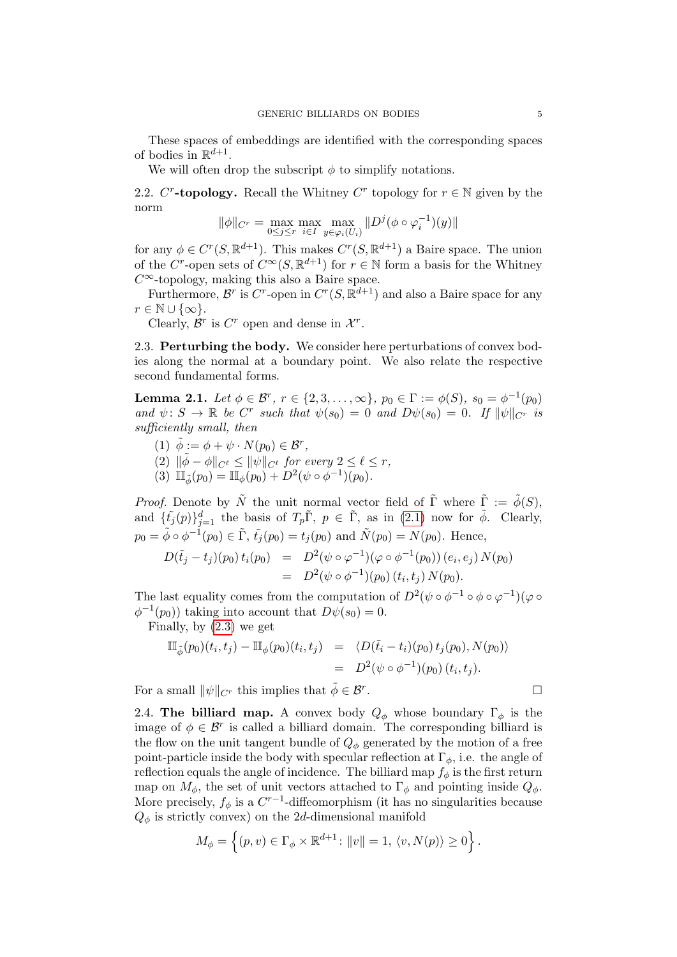These spaces of embeddings are identified with the corresponding spaces of bodies in  $\mathbb{R}^{d+1}$ .

We will often drop the subscript  $\phi$  to simplify notations.

2.2.  $C^r$ -topology. Recall the Whitney  $C^r$  topology for  $r \in \mathbb{N}$  given by the norm

$$
\|\phi\|_{C^r} = \max_{0 \le j \le r} \max_{i \in I} \max_{y \in \varphi_i(U_i)} \|D^j(\phi \circ \varphi_i^{-1})(y)\|
$$

for any  $\phi \in C^r(S, \mathbb{R}^{d+1})$ . This makes  $C^r(S, \mathbb{R}^{d+1})$  a Baire space. The union of the C<sup>r</sup>-open sets of  $C^{\infty}(S, \mathbb{R}^{d+1})$  for  $r \in \mathbb{N}$  form a basis for the Whitney  $C^{\infty}$ -topology, making this also a Baire space.

Furthermore,  $\mathcal{B}^r$  is  $C^r$ -open in  $C^r(S, \mathbb{R}^{d+1})$  and also a Baire space for any  $r \in \mathbb{N} \cup \{\infty\}.$ 

Clearly,  $\mathcal{B}^r$  is  $C^r$  open and dense in  $\mathcal{X}^r$ .

2.3. Perturbing the body. We consider here perturbations of convex bodies along the normal at a boundary point. We also relate the respective second fundamental forms.

<span id="page-4-0"></span>**Lemma 2.1.** Let  $\phi \in \mathcal{B}^r$ ,  $r \in \{2, 3, ..., \infty\}$ ,  $p_0 \in \Gamma := \phi(S)$ ,  $s_0 = \phi^{-1}(p_0)$ and  $\psi: S \to \mathbb{R}$  be C<sup>r</sup> such that  $\psi(s_0) = 0$  and  $D\psi(s_0) = 0$ . If  $\|\psi\|_{C^r}$  is sufficiently small, then

- (1)  $\tilde{\phi} := \phi + \psi \cdot N(p_0) \in \mathcal{B}^r$ ,
- (2)  $\|\tilde{\phi} \phi\|_{C^{\ell}} \leq \|\psi\|_{C^{\ell}}$  for every  $2 \leq \ell \leq r$ ,
- (3)  $\mathbb{II}_{\tilde{\phi}}(p_0) = \mathbb{II}_{\phi}(p_0) + D^2(\psi \circ \phi^{-1})(p_0).$

*Proof.* Denote by  $\tilde{N}$  the unit normal vector field of  $\tilde{\Gamma}$  where  $\tilde{\Gamma} := \tilde{\phi}(S)$ , and  $\{\tilde{t}_j(p)\}_{j=1}^d$  the basis of  $T_p\tilde{\Gamma}$ ,  $p \in \tilde{\Gamma}$ , as in [\(2.1\)](#page-3-1) now for  $\tilde{\phi}$ . Clearly,  $p_0 = \tilde{\phi} \circ \phi^{-1}(p_0) \in \tilde{\Gamma}, \tilde{t}_j(p_0) = t_j(p_0) \text{ and } \tilde{N}(p_0) = N(p_0). \text{ Hence,}$ 

$$
D(\tilde{t}_j - t_j)(p_0) t_i(p_0) = D^2(\psi \circ \varphi^{-1})(\varphi \circ \varphi^{-1}(p_0)) (e_i, e_j) N(p_0)
$$
  
= 
$$
D^2(\psi \circ \varphi^{-1})(p_0) (t_i, t_j) N(p_0).
$$

The last equality comes from the computation of  $D^2(\psi \circ \phi^{-1} \circ \phi \circ \varphi^{-1})(\varphi \circ \phi^{-1})$  $\phi^{-1}(p_0)$  taking into account that  $D\psi(s_0) = 0$ .

Finally, by [\(2.3\)](#page-3-2) we get

$$
\begin{array}{rcl}\n\mathbb{II}_{\tilde{\phi}}(p_0)(t_i, t_j) - \mathbb{II}_{\phi}(p_0)(t_i, t_j) & = & \langle D(\tilde{t}_i - t_i)(p_0) \, t_j(p_0), N(p_0) \rangle \\
& = & D^2(\psi \circ \phi^{-1})(p_0) \, (t_i, t_j).\n\end{array}
$$

For a small  $\|\psi\|_{C^r}$  this implies that  $\tilde{\phi} \in \mathcal{B}^r$ .

2.4. The billiard map. A convex body  $Q_{\phi}$  whose boundary  $\Gamma_{\phi}$  is the image of  $\phi \in \mathcal{B}^r$  is called a billiard domain. The corresponding billiard is the flow on the unit tangent bundle of  $Q_{\phi}$  generated by the motion of a free point-particle inside the body with specular reflection at  $\Gamma_{\phi}$ , i.e. the angle of reflection equals the angle of incidence. The billiard map  $f_{\phi}$  is the first return map on  $M_{\phi}$ , the set of unit vectors attached to  $\Gamma_{\phi}$  and pointing inside  $Q_{\phi}$ . More precisely,  $f_{\phi}$  is a  $C^{r-1}$ -diffeomorphism (it has no singularities because  $Q_{\phi}$  is strictly convex) on the 2d-dimensional manifold

$$
M_{\phi} = \left\{ (p, v) \in \Gamma_{\phi} \times \mathbb{R}^{d+1} \colon ||v|| = 1, \langle v, N(p) \rangle \ge 0 \right\}.
$$

.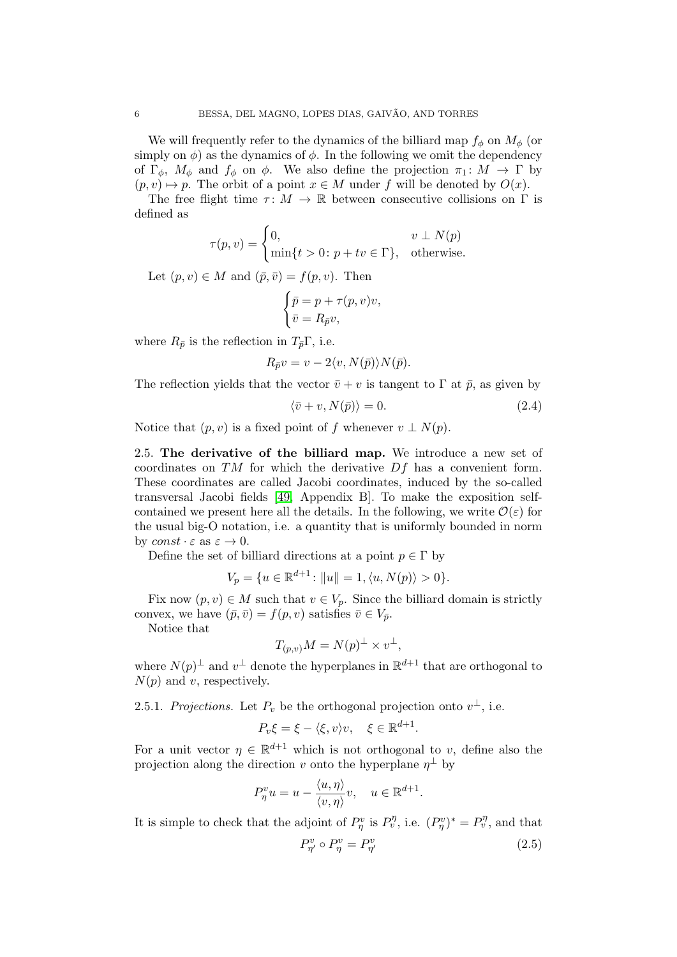We will frequently refer to the dynamics of the billiard map  $f_{\phi}$  on  $M_{\phi}$  (or simply on  $\phi$ ) as the dynamics of  $\phi$ . In the following we omit the dependency of  $\Gamma_{\phi}$ ,  $M_{\phi}$  and  $f_{\phi}$  on  $\phi$ . We also define the projection  $\pi_1: M \to \Gamma$  by  $(p, v) \mapsto p$ . The orbit of a point  $x \in M$  under f will be denoted by  $O(x)$ .

The free flight time  $\tau: M \to \mathbb{R}$  between consecutive collisions on  $\Gamma$  is defined as

$$
\tau(p, v) = \begin{cases} 0, & v \perp N(p) \\ \min\{t > 0 \colon p + tv \in \Gamma\}, & \text{otherwise.} \end{cases}
$$

Let  $(p, v) \in M$  and  $(\bar{p}, \bar{v}) = f(p, v)$ . Then

$$
\begin{cases} \bar{p} = p + \tau(p, v)v, \\ \bar{v} = R_{\bar{p}}v, \end{cases}
$$

where  $R_{\bar{p}}$  is the reflection in  $T_{\bar{p}}\Gamma$ , i.e.

$$
R_{\bar{p}}v = v - 2\langle v, N(\bar{p})\rangle N(\bar{p}).
$$

The reflection yields that the vector  $\bar{v}+v$  is tangent to  $\Gamma$  at  $\bar{p}$ , as given by

<span id="page-5-1"></span>
$$
\langle \bar{v} + v, N(\bar{p}) \rangle = 0. \tag{2.4}
$$

Notice that  $(p, v)$  is a fixed point of f whenever  $v \perp N(p)$ .

2.5. The derivative of the billiard map. We introduce a new set of coordinates on TM for which the derivative Df has a convenient form. These coordinates are called Jacobi coordinates, induced by the so-called transversal Jacobi fields [\[49,](#page-30-11) Appendix B]. To make the exposition selfcontained we present here all the details. In the following, we write  $\mathcal{O}(\varepsilon)$  for the usual big-O notation, i.e. a quantity that is uniformly bounded in norm by  $const \cdot \varepsilon$  as  $\varepsilon \to 0$ .

Define the set of billiard directions at a point  $p \in \Gamma$  by

$$
V_p = \{ u \in \mathbb{R}^{d+1} \colon ||u|| = 1, \langle u, N(p) \rangle > 0 \}.
$$

Fix now  $(p, v) \in M$  such that  $v \in V_p$ . Since the billiard domain is strictly convex, we have  $(\bar{p}, \bar{v}) = f(p, v)$  satisfies  $\bar{v} \in V_{\bar{p}}$ .

Notice that

$$
T_{(p,v)}M = N(p)^{\perp} \times v^{\perp},
$$

where  $N(p)^{\perp}$  and  $v^{\perp}$  denote the hyperplanes in  $\mathbb{R}^{d+1}$  that are orthogonal to  $N(p)$  and v, respectively.

2.5.1. Projections. Let  $P_v$  be the orthogonal projection onto  $v^{\perp}$ , i.e.

$$
P_v \xi = \xi - \langle \xi, v \rangle v, \quad \xi \in \mathbb{R}^{d+1}.
$$

For a unit vector  $\eta \in \mathbb{R}^{d+1}$  which is not orthogonal to v, define also the projection along the direction v onto the hyperplane  $\eta^{\perp}$  by

$$
P_{\eta}^{v}u = u - \frac{\langle u, \eta \rangle}{\langle v, \eta \rangle}v, \quad u \in \mathbb{R}^{d+1}
$$

It is simple to check that the adjoint of  $P_{\eta}^v$  is  $P_v^{\eta}$ , i.e.  $(P_{\eta}^v)^* = P_v^{\eta}$ , and that

<span id="page-5-0"></span>
$$
P_{\eta'}^v \circ P_\eta^v = P_{\eta'}^v \tag{2.5}
$$

.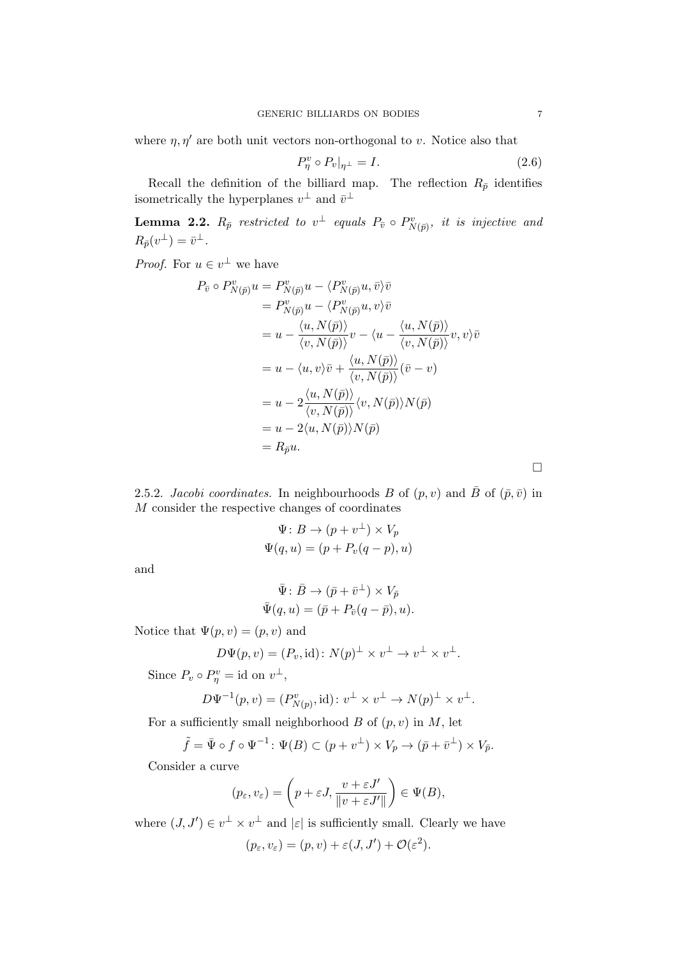where  $\eta$ ,  $\eta'$  are both unit vectors non-orthogonal to v. Notice also that

<span id="page-6-0"></span>
$$
P_{\eta}^{\upsilon} \circ P_{\upsilon}|_{\eta^{\perp}} = I. \tag{2.6}
$$

Recall the definition of the billiard map. The reflection  $R_{\bar{p}}$  identifies isometrically the hyperplanes  $v^{\perp}$  and  $\bar{v}^{\perp}$ 

<span id="page-6-1"></span>**Lemma 2.2.**  $R_{\bar{p}}$  restricted to  $v^{\perp}$  equals  $P_{\bar{v}} \circ P_{N(\bar{p})}^{v},$  it is injective and  $R_{\bar{p}}(v^{\perp}) = \bar{v}^{\perp}.$ 

*Proof.* For  $u \in v^{\perp}$  we have

$$
P_{\bar{v}} \circ P_{N(\bar{p})}^v u = P_{N(\bar{p})}^v u - \langle P_{N(\bar{p})}^v u, \bar{v} \rangle \bar{v}
$$
  
\n
$$
= P_{N(\bar{p})}^v u - \langle P_{N(\bar{p})}^v u, v \rangle \bar{v}
$$
  
\n
$$
= u - \frac{\langle u, N(\bar{p}) \rangle}{\langle v, N(\bar{p}) \rangle} v - \langle u - \frac{\langle u, N(\bar{p}) \rangle}{\langle v, N(\bar{p}) \rangle} v, v \rangle \bar{v}
$$
  
\n
$$
= u - \langle u, v \rangle \bar{v} + \frac{\langle u, N(\bar{p}) \rangle}{\langle v, N(\bar{p}) \rangle} (\bar{v} - v)
$$
  
\n
$$
= u - 2 \frac{\langle u, N(\bar{p}) \rangle}{\langle v, N(\bar{p}) \rangle} \langle v, N(\bar{p}) \rangle N(\bar{p})
$$
  
\n
$$
= u - 2 \langle u, N(\bar{p}) \rangle N(\bar{p})
$$
  
\n
$$
= R_{\bar{p}} u.
$$

2.5.2. Jacobi coordinates. In neighbourhoods B of  $(p, v)$  and  $\bar{B}$  of  $(\bar{p}, \bar{v})$  in M consider the respective changes of coordinates

$$
\Psi: B \to (p + v^{\perp}) \times V_p
$$
  

$$
\Psi(q, u) = (p + P_v(q - p), u)
$$

and

$$
\bar{\Psi} \colon \bar{B} \to (\bar{p} + \bar{v}^{\perp}) \times V_{\bar{p}} \n\bar{\Psi}(q, u) = (\bar{p} + P_{\bar{v}}(q - \bar{p}), u).
$$

Notice that  $\Psi(p, v) = (p, v)$  and

$$
D\Psi(p,v) = (P_v, \text{id})\colon N(p)^{\perp} \times v^{\perp} \to v^{\perp} \times v^{\perp}.
$$

Since  $P_v \circ P_{\eta}^v = \text{id}$  on  $v^{\perp}$ ,

$$
D \Psi^{-1}(p,v) = (P^v_{N(p)}, \operatorname{id}) \colon v^\perp \times v^\perp \to N(p)^\perp \times v^\perp.
$$

For a sufficiently small neighborhood  $B$  of  $(p, v)$  in  $M$ , let

$$
\tilde{f} = \bar{\Psi} \circ f \circ \Psi^{-1} \colon \Psi(B) \subset (p + v^{\perp}) \times V_p \to (\bar{p} + \bar{v}^{\perp}) \times V_{\bar{p}}.
$$

Consider a curve

$$
(p_{\varepsilon}, v_{\varepsilon}) = \left(p + \varepsilon J, \frac{v + \varepsilon J'}{\|v + \varepsilon J'\|}\right) \in \Psi(B),
$$

where  $(J, J') \in v^{\perp} \times v^{\perp}$  and  $|\varepsilon|$  is sufficiently small. Clearly we have  $(p_{\varepsilon}, v_{\varepsilon}) = (p, v) + \varepsilon(J, J') + \mathcal{O}(\varepsilon^2).$ 

 $\Box$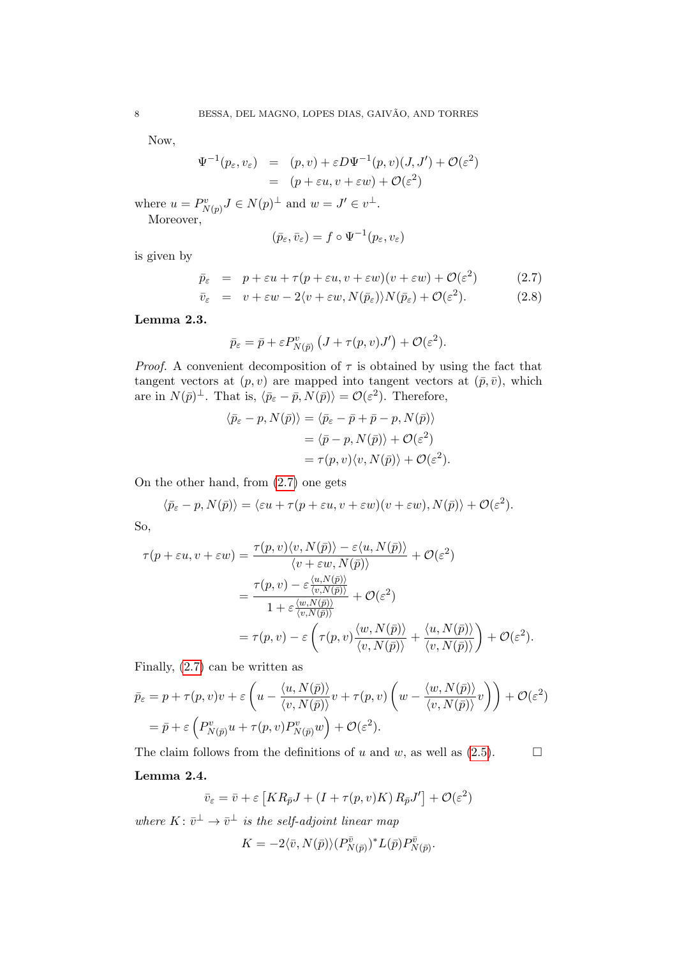Now,

$$
\Psi^{-1}(p_{\varepsilon}, v_{\varepsilon}) = (p, v) + \varepsilon D \Psi^{-1}(p, v)(J, J') + \mathcal{O}(\varepsilon^2)
$$
  
= 
$$
(p + \varepsilon u, v + \varepsilon w) + \mathcal{O}(\varepsilon^2)
$$

where  $u = P_{N(p)}^v J \in N(p)^{\perp}$  and  $w = J' \in v^{\perp}$ . Moreover,

$$
(\bar p_\varepsilon,\bar v_\varepsilon)=f\circ \Psi^{-1}(p_\varepsilon,v_\varepsilon)
$$

is given by

<span id="page-7-0"></span>
$$
\bar{p}_{\varepsilon} = p + \varepsilon u + \tau (p + \varepsilon u, v + \varepsilon w)(v + \varepsilon w) + \mathcal{O}(\varepsilon^2) \tag{2.7}
$$

$$
\bar{v}_{\varepsilon} = v + \varepsilon w - 2\langle v + \varepsilon w, N(\bar{p}_{\varepsilon})\rangle N(\bar{p}_{\varepsilon}) + \mathcal{O}(\varepsilon^2). \tag{2.8}
$$

Lemma 2.3.

$$
\bar{p}_{\varepsilon} = \bar{p} + \varepsilon P_{N(\bar{p})}^{v} \left( J + \tau(p, v) J' \right) + \mathcal{O}(\varepsilon^{2}).
$$

*Proof.* A convenient decomposition of  $\tau$  is obtained by using the fact that tangent vectors at  $(p, v)$  are mapped into tangent vectors at  $(\bar{p}, \bar{v})$ , which are in  $N(\bar{p})^{\perp}$ . That is,  $\langle \bar{p}_{\varepsilon} - \bar{p}, N(\bar{p}) \rangle = \mathcal{O}(\varepsilon^2)$ . Therefore,

$$
\langle \bar{p}_{\varepsilon} - p, N(\bar{p}) \rangle = \langle \bar{p}_{\varepsilon} - \bar{p} + \bar{p} - p, N(\bar{p}) \rangle
$$
  
=  $\langle \bar{p} - p, N(\bar{p}) \rangle + \mathcal{O}(\varepsilon^2)$   
=  $\tau(p, v) \langle v, N(\bar{p}) \rangle + \mathcal{O}(\varepsilon^2)$ .

On the other hand, from [\(2.7\)](#page-7-0) one gets

$$
\langle \bar{p}_{\varepsilon} - p, N(\bar{p}) \rangle = \langle \varepsilon u + \tau (p + \varepsilon u, v + \varepsilon w)(v + \varepsilon w), N(\bar{p}) \rangle + \mathcal{O}(\varepsilon^2).
$$

So,

$$
\tau(p + \varepsilon u, v + \varepsilon w) = \frac{\tau(p, v) \langle v, N(\bar{p}) \rangle - \varepsilon \langle u, N(\bar{p}) \rangle}{\langle v + \varepsilon w, N(\bar{p}) \rangle} + \mathcal{O}(\varepsilon^2)
$$

$$
= \frac{\tau(p, v) - \varepsilon \frac{\langle u, N(\bar{p}) \rangle}{\langle v, N(\bar{p}) \rangle}}{1 + \varepsilon \frac{\langle w, N(\bar{p}) \rangle}{\langle v, N(\bar{p}) \rangle}} + \mathcal{O}(\varepsilon^2)
$$

$$
= \tau(p, v) - \varepsilon \left( \tau(p, v) \frac{\langle w, N(\bar{p}) \rangle}{\langle v, N(\bar{p}) \rangle} + \frac{\langle u, N(\bar{p}) \rangle}{\langle v, N(\bar{p}) \rangle} \right) + \mathcal{O}(\varepsilon^2).
$$

Finally, [\(2.7\)](#page-7-0) can be written as

$$
\bar{p}_{\varepsilon} = p + \tau(p, v)v + \varepsilon \left( u - \frac{\langle u, N(\bar{p}) \rangle}{\langle v, N(\bar{p}) \rangle} v + \tau(p, v) \left( w - \frac{\langle w, N(\bar{p}) \rangle}{\langle v, N(\bar{p}) \rangle} v \right) \right) + \mathcal{O}(\varepsilon^2)
$$
  
=  $\bar{p} + \varepsilon \left( P_{N(\bar{p})}^v u + \tau(p, v) P_{N(\bar{p})}^v w \right) + \mathcal{O}(\varepsilon^2).$ 

The claim follows from the definitions of u and w, as well as  $(2.5)$ .

## Lemma 2.4.

$$
\bar{v}_{\varepsilon} = \bar{v} + \varepsilon \left[ KR_{\bar{p}}J + (I + \tau(p, v)K) R_{\bar{p}}J'\right] + \mathcal{O}(\varepsilon^2)
$$

where  $K: \bar{v}^{\perp} \to \bar{v}^{\perp}$  is the self-adjoint linear map

$$
K = -2\langle \bar{v}, N(\bar{p}) \rangle (P_{N(\bar{p})}^{\bar{v}})^* L(\bar{p}) P_{N(\bar{p})}^{\bar{v}}.
$$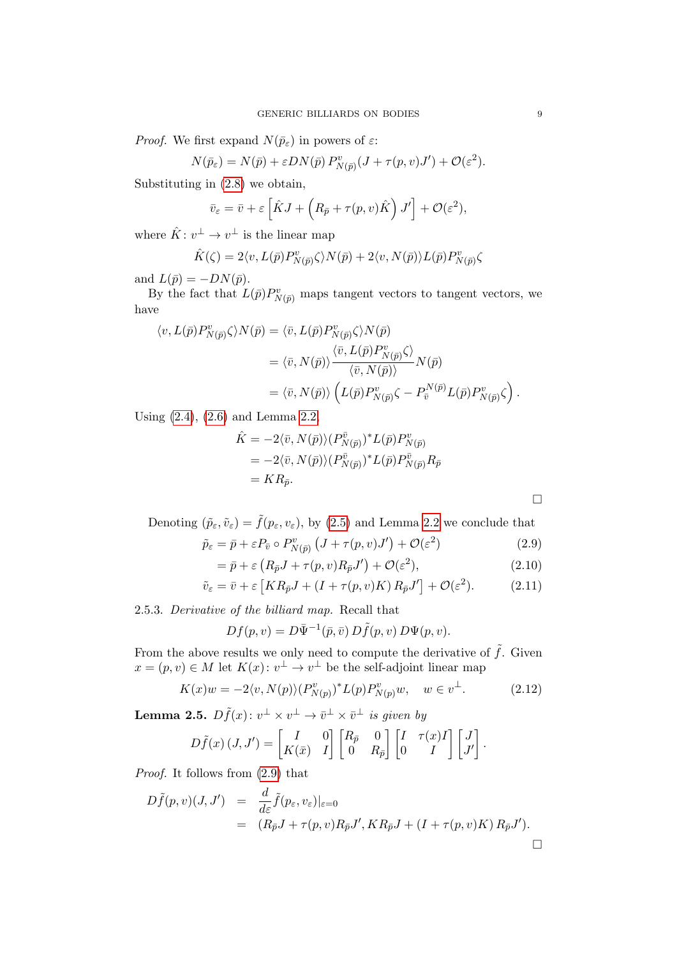*Proof.* We first expand  $N(\bar{p}_{\varepsilon})$  in powers of  $\varepsilon$ :

$$
N(\bar{p}_{\varepsilon}) = N(\bar{p}) + \varepsilon DN(\bar{p}) P^v_{N(\bar{p})}(J + \tau(p, v)J') + \mathcal{O}(\varepsilon^2).
$$

Substituting in [\(2.8\)](#page-7-0) we obtain,

$$
\bar{v}_{\varepsilon} = \bar{v} + \varepsilon \left[ \hat{K} J + \left( R_{\bar{p}} + \tau(p, v) \hat{K} \right) J' \right] + \mathcal{O}(\varepsilon^2),
$$

where  $\hat{K}: v^{\perp} \to v^{\perp}$  is the linear map

$$
\hat{K}(\zeta) = 2 \langle v, L(\bar{p}) P^v_{N(\bar{p})} \zeta \rangle N(\bar{p}) + 2 \langle v, N(\bar{p}) \rangle L(\bar{p}) P^v_{N(\bar{p})} \zeta
$$

and  $L(\bar{p}) = -DN(\bar{p}).$ 

By the fact that  $\overline{L(\bar{p})}P^v_{N(\bar{p})}$  maps tangent vectors to tangent vectors, we have

$$
\langle v, L(\bar{p}) P_{N(\bar{p})}^v \zeta \rangle N(\bar{p}) = \langle \bar{v}, L(\bar{p}) P_{N(\bar{p})}^v \zeta \rangle N(\bar{p})
$$
  

$$
= \langle \bar{v}, N(\bar{p}) \rangle \frac{\langle \bar{v}, L(\bar{p}) P_{N(\bar{p})}^v \zeta \rangle}{\langle \bar{v}, N(\bar{p}) \rangle} N(\bar{p})
$$
  

$$
= \langle \bar{v}, N(\bar{p}) \rangle \left( L(\bar{p}) P_{N(\bar{p})}^v \zeta - P_{\bar{v}}^{N(\bar{p})} L(\bar{p}) P_{N(\bar{p})}^v \zeta \right).
$$

Using [\(2.4\)](#page-5-1), [\(2.6\)](#page-6-0) and Lemma [2.2,](#page-6-1)

<span id="page-8-0"></span>
$$
\hat{K} = -2\langle \bar{v}, N(\bar{p}) \rangle (P_{N(\bar{p})}^{\bar{v}})^* L(\bar{p}) P_{N(\bar{p})}^v
$$
\n
$$
= -2\langle \bar{v}, N(\bar{p}) \rangle (P_{N(\bar{p})}^{\bar{v}})^* L(\bar{p}) P_{N(\bar{p})}^{\bar{v}} R_{\bar{p}}
$$
\n
$$
= KR_{\bar{p}}.
$$

Denoting  $(\tilde{p}_{\varepsilon}, \tilde{v}_{\varepsilon}) = \tilde{f}(p_{\varepsilon}, v_{\varepsilon})$ , by [\(2.5\)](#page-5-0) and Lemma [2.2](#page-6-1) we conclude that

$$
\tilde{p}_{\varepsilon} = \bar{p} + \varepsilon P_{\bar{v}} \circ P_{N(\bar{p})}^{v} \left( J + \tau(p, v) J' \right) + \mathcal{O}(\varepsilon^{2}) \tag{2.9}
$$

$$
= \bar{p} + \varepsilon \left( R_{\bar{p}} J + \tau(p, v) R_{\bar{p}} J' \right) + \mathcal{O}(\varepsilon^2), \tag{2.10}
$$

$$
\tilde{v}_{\varepsilon} = \bar{v} + \varepsilon \left[ KR_{\bar{p}}J + (I + \tau(p, v)K) R_{\bar{p}}J' \right] + \mathcal{O}(\varepsilon^2). \tag{2.11}
$$

2.5.3. Derivative of the billiard map. Recall that

$$
Df(p,v) = D\overline{\Psi}^{-1}(\overline{p}, \overline{v}) D\widetilde{f}(p,v) D\Psi(p,v).
$$

From the above results we only need to compute the derivative of  $\tilde{f}$ . Given  $x = (p, v) \in M$  let  $K(x): v^{\perp} \to v^{\perp}$  be the self-adjoint linear map

<span id="page-8-2"></span>
$$
K(x)w = -2\langle v, N(p) \rangle (P_{N(p)}^v)^* L(p) P_{N(p)}^v w, \quad w \in v^{\perp}.
$$
 (2.12)

<span id="page-8-1"></span>**Lemma 2.5.**  $D\tilde{f}(x): v^{\perp} \times v^{\perp} \to \bar{v}^{\perp} \times \bar{v}^{\perp}$  is given by

$$
D\tilde{f}(x) (J, J') = \begin{bmatrix} I & 0 \\ K(\bar{x}) & I \end{bmatrix} \begin{bmatrix} R_{\bar{p}} & 0 \\ 0 & R_{\bar{p}} \end{bmatrix} \begin{bmatrix} I & \tau(x)I \\ 0 & I \end{bmatrix} \begin{bmatrix} J \\ J' \end{bmatrix}.
$$

Proof. It follows from [\(2.9\)](#page-8-0) that

$$
D\tilde{f}(p,v)(J,J') = \frac{d}{d\varepsilon}\tilde{f}(p_{\varepsilon},v_{\varepsilon})|_{\varepsilon=0}
$$
  
=  $(R_{\bar{p}}J + \tau(p,v)R_{\bar{p}}J', KR_{\bar{p}}J + (I + \tau(p,v)K)R_{\bar{p}}J').$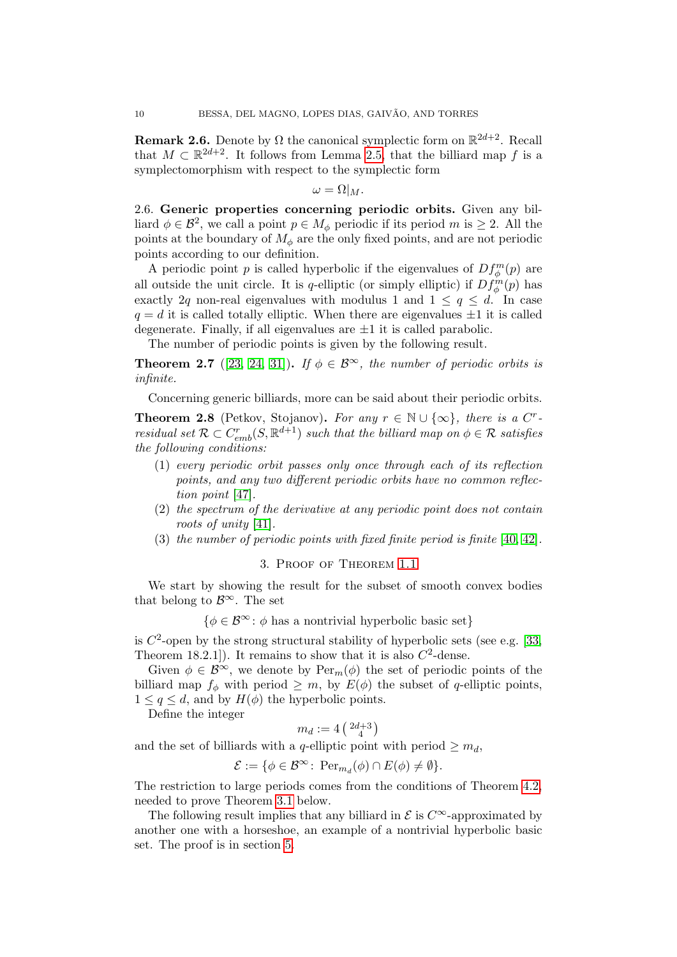**Remark 2.6.** Denote by  $\Omega$  the canonical symplectic form on  $\mathbb{R}^{2d+2}$ . Recall that  $M \subset \mathbb{R}^{2d+2}$ . It follows from Lemma [2.5,](#page-8-1) that the billiard map f is a symplectomorphism with respect to the symplectic form

$$
\omega = \Omega |_{M}.
$$

<span id="page-9-1"></span>2.6. Generic properties concerning periodic orbits. Given any billiard  $\phi \in \mathcal{B}^2$ , we call a point  $p \in M_\phi$  periodic if its period m is  $\geq 2$ . All the points at the boundary of  $M_{\phi}$  are the only fixed points, and are not periodic points according to our definition.

A periodic point p is called hyperbolic if the eigenvalues of  $Df_{\phi}^{m}(p)$  are all outside the unit circle. It is q-elliptic (or simply elliptic) if  $Df_{\phi}^{m}(p)$  has exactly 2q non-real eigenvalues with modulus 1 and  $1 \le q \le d$ . In case  $q = d$  it is called totally elliptic. When there are eigenvalues  $\pm 1$  it is called degenerate. Finally, if all eigenvalues are  $\pm 1$  it is called parabolic.

The number of periodic points is given by the following result.

<span id="page-9-3"></span>**Theorem 2.7** ([\[23,](#page-29-12) [24,](#page-29-13) [31\]](#page-30-1)). If  $\phi \in \mathcal{B}^{\infty}$ , the number of periodic orbits is infinite.

Concerning generic billiards, more can be said about their periodic orbits.

<span id="page-9-2"></span>**Theorem 2.8** (Petkov, Stojanov). For any  $r \in \mathbb{N} \cup \{\infty\}$ , there is a C<sup>r</sup>residual set  $\mathcal{R} \subset C^r_{emb}(S, \mathbb{R}^{d+1})$  such that the billiard map on  $\phi \in \mathcal{R}$  satisfies the following conditions:

- (1) every periodic orbit passes only once through each of its reflection points, and any two different periodic orbits have no common reflection point [\[47\]](#page-30-7).
- (2) the spectrum of the derivative at any periodic point does not contain roots of unity [\[41\]](#page-30-8).
- (3) the number of periodic points with fixed finite period is finite [\[40,](#page-30-9) [42\]](#page-30-10).

## 3. Proof of Theorem [1.1](#page-0-0)

<span id="page-9-0"></span>We start by showing the result for the subset of smooth convex bodies that belong to  $\mathcal{B}^{\infty}$ . The set

 $\{\phi \in \mathcal{B}^{\infty} : \phi \text{ has a nontrivial hyperbolic basic set}\}\$ 

is  $C^2$ -open by the strong structural stability of hyperbolic sets (see e.g. [\[33,](#page-30-0) Theorem 18.2.1.]). It remains to show that it is also  $C^2$ -dense.

Given  $\phi \in \mathcal{B}^{\infty}$ , we denote by  $\text{Per}_m(\phi)$  the set of periodic points of the billiard map  $f_{\phi}$  with period  $\geq m$ , by  $E(\phi)$  the subset of q-elliptic points,  $1 \leq q \leq d$ , and by  $H(\phi)$  the hyperbolic points.

Define the integer

$$
m_d:=4\left(\begin{smallmatrix}2d+3\\4\end{smallmatrix}\right)
$$

and the set of billiards with a q-elliptic point with period  $\geq m_d$ ,

$$
\mathcal{E} := \{ \phi \in \mathcal{B}^{\infty} \colon \operatorname{Per}_{m_d}(\phi) \cap E(\phi) \neq \emptyset \}.
$$

The restriction to large periods comes from the conditions of Theorem [4.2,](#page-11-0) needed to prove Theorem [3.1](#page-10-0) below.

The following result implies that any billiard in  $\mathcal E$  is  $C^{\infty}$ -approximated by another one with a horseshoe, an example of a nontrivial hyperbolic basic set. The proof is in section [5.](#page-17-0)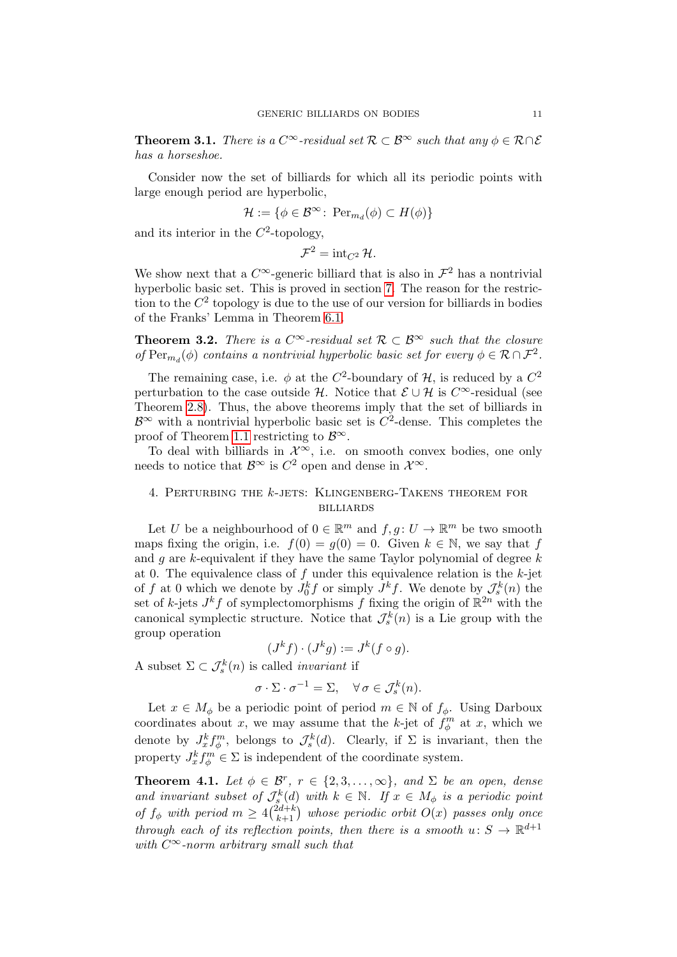<span id="page-10-0"></span>**Theorem 3.1.** There is a  $C^{\infty}$ -residual set  $\mathcal{R} \subset \mathcal{B}^{\infty}$  such that any  $\phi \in \mathcal{R} \cap \mathcal{E}$ has a horseshoe.

Consider now the set of billiards for which all its periodic points with large enough period are hyperbolic,

$$
\mathcal{H} := \{ \phi \in \mathcal{B}^{\infty} \colon \operatorname{Per}_{m_d}(\phi) \subset H(\phi) \}
$$

and its interior in the  $C^2$ -topology,

$$
\mathcal{F}^2 = \operatorname{int}_{C^2} \mathcal{H}.
$$

We show next that a  $C^{\infty}$ -generic billiard that is also in  $\mathcal{F}^2$  has a nontrivial hyperbolic basic set. This is proved in section [7.](#page-27-0) The reason for the restriction to the  $C<sup>2</sup>$  topology is due to the use of our version for billiards in bodies of the Franks' Lemma in Theorem [6.1.](#page-22-0)

<span id="page-10-1"></span>**Theorem 3.2.** There is a  $C^{\infty}$ -residual set  $\mathcal{R} \subset \mathcal{B}^{\infty}$  such that the closure of  $\text{Per}_{m_d}(\phi)$  contains a nontrivial hyperbolic basic set for every  $\phi \in \mathcal{R} \cap \mathcal{F}^2$ .

The remaining case, i.e.  $\phi$  at the C<sup>2</sup>-boundary of H, is reduced by a C<sup>2</sup> perturbation to the case outside H. Notice that  $\mathcal{E} \cup \mathcal{H}$  is  $C^{\infty}$ -residual (see Theorem [2.8\)](#page-9-2). Thus, the above theorems imply that the set of billiards in  $\mathcal{B}^{\infty}$  with a nontrivial hyperbolic basic set is  $C^2$ -dense. This completes the proof of Theorem [1.1](#page-0-0) restricting to  $\mathcal{B}^{\infty}$ .

To deal with billiards in  $\mathcal{X}^{\infty}$ , i.e. on smooth convex bodies, one only needs to notice that  $\mathcal{B}^{\infty}$  is  $C^2$  open and dense in  $\mathcal{X}^{\infty}$ .

# <span id="page-10-2"></span>4. Perturbing the k-jets: Klingenberg-Takens theorem for **BILLIARDS**

Let U be a neighbourhood of  $0 \in \mathbb{R}^m$  and  $f, g \colon U \to \mathbb{R}^m$  be two smooth maps fixing the origin, i.e.  $f(0) = g(0) = 0$ . Given  $k \in \mathbb{N}$ , we say that f and  $q$  are  $k$ -equivalent if they have the same Taylor polynomial of degree  $k$ at 0. The equivalence class of f under this equivalence relation is the  $k$ -jet of f at 0 which we denote by  $J_0^k f$  or simply  $J^k f$ . We denote by  $\mathcal{J}_s^k(n)$  the set of k-jets  $J^k f$  of symplectomorphisms f fixing the origin of  $\mathbb{R}^{2n}$  with the canonical symplectic structure. Notice that  $\mathcal{J}_{s}^{k}(n)$  is a Lie group with the group operation

$$
(J^k f) \cdot (J^k g) := J^k (f \circ g).
$$

A subset  $\Sigma \subset \mathcal{J}_{s}^{k}(n)$  is called *invariant* if

$$
\sigma \cdot \Sigma \cdot \sigma^{-1} = \Sigma, \quad \forall \, \sigma \in \mathcal{J}_s^k(n).
$$

Let  $x \in M_\phi$  be a periodic point of period  $m \in \mathbb{N}$  of  $f_\phi$ . Using Darboux coordinates about x, we may assume that the k-jet of  $f_{\phi}^{m}$  at x, which we denote by  $J_x^k f_\phi^m$ , belongs to  $\mathcal{J}_s^k(d)$ . Clearly, if  $\Sigma$  is invariant, then the property  $J_x^k f_{\phi}^m \in \Sigma$  is independent of the coordinate system.

<span id="page-10-3"></span>**Theorem 4.1.** Let  $\phi \in \mathcal{B}^r$ ,  $r \in \{2, 3, ..., \infty\}$ , and  $\Sigma$  be an open, dense and invariant subset of  $\mathcal{J}_{s}^{k}(d)$  with  $k \in \mathbb{N}$ . If  $x \in M_{\phi}$  is a periodic point of  $f_{\phi}$  with period  $m \geq 4 {2d+k \choose k+1}$  whose periodic orbit  $O(x)$  passes only once through each of its reflection points, then there is a smooth  $u: S \to \mathbb{R}^{d+1}$ with  $C^{\infty}$ -norm arbitrary small such that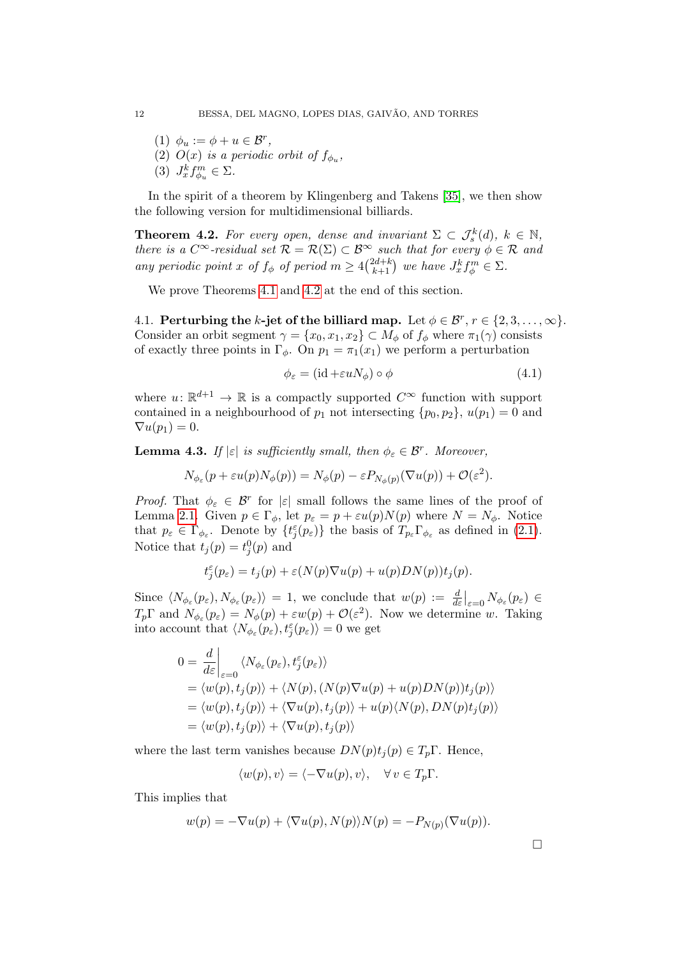- (1)  $\phi_u := \phi + u \in \mathcal{B}^r$ ,
- (2)  $O(x)$  is a periodic orbit of  $f_{\phi_u}$ ,
- (3)  $J_x^k f_{\phi_u}^m \in \Sigma$ .

In the spirit of a theorem by Klingenberg and Takens [\[35\]](#page-30-2), we then show the following version for multidimensional billiards.

<span id="page-11-0"></span>**Theorem 4.2.** For every open, dense and invariant  $\Sigma \subset \mathcal{J}_{s}^{k}(d)$ ,  $k \in \mathbb{N}$ , there is a  $C^{\infty}$ -residual set  $\mathcal{R} = \mathcal{R}(\Sigma) \subset \mathcal{B}^{\infty}$  such that for every  $\phi \in \mathcal{R}$  and any periodic point x of  $f_{\phi}$  of period  $m \geq 4 {2d+k \choose k+1}$  we have  $J_x^k f_{\phi}^m \in \Sigma$ .

We prove Theorems [4.1](#page-10-3) and [4.2](#page-11-0) at the end of this section.

4.1. Perturbing the k-jet of the billiard map. Let  $\phi \in \mathcal{B}^r$ ,  $r \in \{2, 3, ..., \infty\}$ . Consider an orbit segment  $\gamma = \{x_0, x_1, x_2\} \subset M_\phi$  of  $f_\phi$  where  $\pi_1(\gamma)$  consists of exactly three points in  $\Gamma_{\phi}$ . On  $p_1 = \pi_1(x_1)$  we perform a perturbation

<span id="page-11-2"></span>
$$
\phi_{\varepsilon} = (\text{id} + \varepsilon u N_{\phi}) \circ \phi \tag{4.1}
$$

where  $u: \mathbb{R}^{d+1} \to \mathbb{R}$  is a compactly supported  $C^{\infty}$  function with support contained in a neighbourhood of  $p_1$  not intersecting  $\{p_0, p_2\}$ ,  $u(p_1) = 0$  and  $\nabla u(p_1) = 0.$ 

<span id="page-11-1"></span>**Lemma 4.3.** If  $|\varepsilon|$  is sufficiently small, then  $\phi_{\varepsilon} \in \mathcal{B}^r$ . Moreover,

$$
N_{\phi_{\varepsilon}}(p+\varepsilon u(p)N_{\phi}(p))=N_{\phi}(p)-\varepsilon P_{N_{\phi}(p)}(\nabla u(p))+\mathcal{O}(\varepsilon^2).
$$

Proof. That  $\phi_{\varepsilon} \in \mathcal{B}^r$  for  $|\varepsilon|$  small follows the same lines of the proof of Lemma [2.1.](#page-4-0) Given  $p \in \Gamma_{\phi}$ , let  $p_{\varepsilon} = p + \varepsilon u(p) N(p)$  where  $N = N_{\phi}$ . Notice that  $p_{\varepsilon} \in \Gamma_{\phi_{\varepsilon}}$ . Denote by  $\{t_j^{\varepsilon}(p_{\varepsilon})\}$  the basis of  $T_{p_{\varepsilon}} \Gamma_{\phi_{\varepsilon}}$  as defined in [\(2.1\)](#page-3-1). Notice that  $t_j(p) = t_j^0(p)$  and

$$
t_j^{\varepsilon}(p_{\varepsilon}) = t_j(p) + \varepsilon (N(p)\nabla u(p) + u(p)DN(p))t_j(p).
$$

Since  $\langle N_{\phi_{\varepsilon}}(p_{\varepsilon}), N_{\phi_{\varepsilon}}(p_{\varepsilon}) \rangle = 1$ , we conclude that  $w(p) := \frac{d}{d\varepsilon}|_{\varepsilon=0} N_{\phi_{\varepsilon}}(p_{\varepsilon}) \in$  $T_p \Gamma$  and  $N_{\phi_{\varepsilon}}(p_{\varepsilon}) = N_{\phi}(p) + \varepsilon w(p) + \mathcal{O}(\varepsilon^2)$ . Now we determine w. Taking into account that  $\langle N_{\phi_\varepsilon}(p_\varepsilon), t_j^\varepsilon(p_\varepsilon)\rangle = 0$  we get

$$
0 = \frac{d}{d\varepsilon}\Big|_{\varepsilon=0} \langle N_{\phi_{\varepsilon}}(p_{\varepsilon}), t_j^{\varepsilon}(p_{\varepsilon}) \rangle
$$
  
=  $\langle w(p), t_j(p) \rangle + \langle N(p), (N(p)\nabla u(p) + u(p)DN(p))t_j(p) \rangle$   
=  $\langle w(p), t_j(p) \rangle + \langle \nabla u(p), t_j(p) \rangle + u(p) \langle N(p), DN(p)t_j(p) \rangle$   
=  $\langle w(p), t_j(p) \rangle + \langle \nabla u(p), t_j(p) \rangle$ 

where the last term vanishes because  $DN(p)t_i(p) \in T_p\Gamma$ . Hence,

$$
\langle w(p), v \rangle = \langle -\nabla u(p), v \rangle, \quad \forall v \in T_p \Gamma.
$$

This implies that

$$
w(p) = -\nabla u(p) + \langle \nabla u(p), N(p) \rangle N(p) = -P_{N(p)}(\nabla u(p)).
$$

 $\Box$ 

$$
12\quad
$$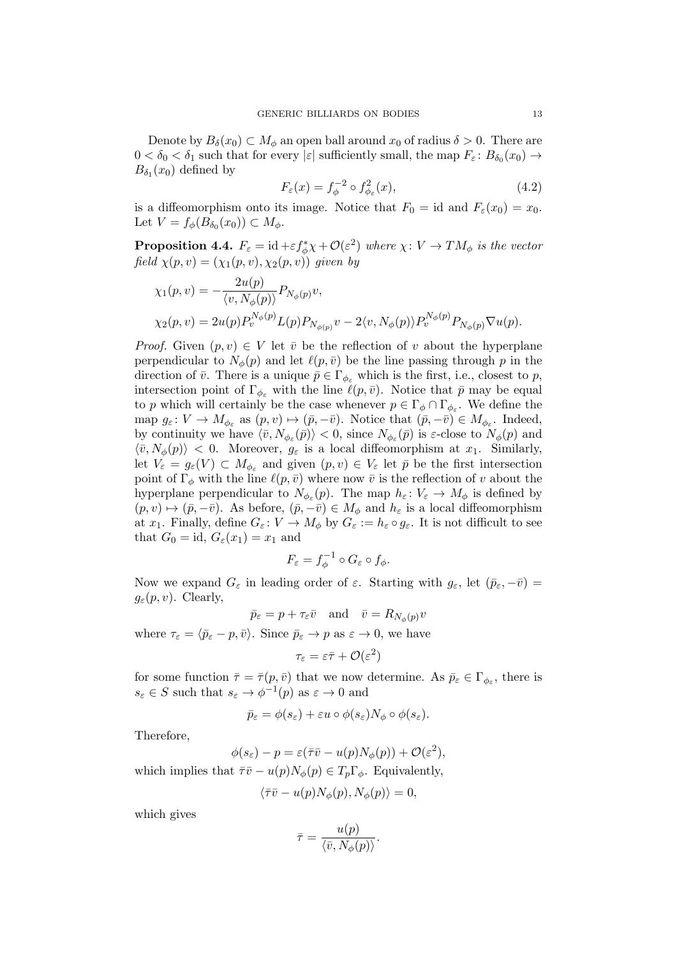Denote by  $B_\delta(x_0) \subset M_\phi$  an open ball around  $x_0$  of radius  $\delta > 0$ . There are  $0 < \delta_0 < \delta_1$  such that for every  $|\varepsilon|$  sufficiently small, the map  $F_{\varepsilon} : B_{\delta_0}(x_0) \to$  $B_{\delta_1}(x_0)$  defined by

<span id="page-12-1"></span>
$$
F_{\varepsilon}(x) = f_{\phi}^{-2} \circ f_{\phi_{\varepsilon}}^2(x), \tag{4.2}
$$

is a diffeomorphism onto its image. Notice that  $F_0 = id$  and  $F_\varepsilon(x_0) = x_0$ . Let  $V = f_{\phi}(B_{\delta_0}(x_0)) \subset M_{\phi}$ .

<span id="page-12-0"></span>**Proposition 4.4.**  $F_{\varepsilon} = id + \varepsilon f_{\phi}^* \chi + \mathcal{O}(\varepsilon^2)$  where  $\chi: V \to TM_{\phi}$  is the vector field  $\chi(p, v) = (\chi_1(p, v), \chi_2(p, v))$  given by

$$
\chi_1(p, v) = -\frac{2u(p)}{\langle v, N_{\phi}(p) \rangle} P_{N_{\phi}(p)} v,
$$
  
\n
$$
\chi_2(p, v) = 2u(p) P_v^{N_{\phi}(p)} L(p) P_{N_{\phi}(p)} v - 2\langle v, N_{\phi}(p) \rangle P_v^{N_{\phi}(p)} P_{N_{\phi}(p)} \nabla u(p).
$$

*Proof.* Given  $(p, v) \in V$  let  $\overline{v}$  be the reflection of v about the hyperplane perpendicular to  $N_{\phi}(p)$  and let  $\ell(p, \bar{v})$  be the line passing through p in the direction of  $\bar{v}$ . There is a unique  $\bar{p} \in \Gamma_{\phi_{\varepsilon}}$  which is the first, i.e., closest to p, intersection point of  $\Gamma_{\phi_{\varepsilon}}$  with the line  $\ell(p, \bar{v})$ . Notice that  $\bar{p}$  may be equal to p which will certainly be the case whenever  $p \in \Gamma_{\phi} \cap \Gamma_{\phi_{\varepsilon}}$ . We define the map  $g_{\varepsilon}: V \to M_{\phi_{\varepsilon}}$  as  $(p, v) \mapsto (\bar{p}, -\bar{v})$ . Notice that  $(\bar{p}, -\bar{v}) \in M_{\phi_{\varepsilon}}$ . Indeed, by continuity we have  $\langle \bar{v}, N_{\phi_{\varepsilon}}(\bar{p}) \rangle < 0$ , since  $N_{\phi_{\varepsilon}}(\bar{p})$  is  $\varepsilon$ -close to  $N_{\phi}(p)$  and  $\langle \bar{v}, N_{\phi}(p) \rangle$  < 0. Moreover,  $g_{\varepsilon}$  is a local diffeomorphism at  $x_1$ . Similarly, let  $V_{\varepsilon} = g_{\varepsilon}(V) \subset M_{\phi_{\varepsilon}}$  and given  $(p, v) \in V_{\varepsilon}$  let  $\bar{p}$  be the first intersection point of  $\Gamma_{\phi}$  with the line  $\ell(p, \bar{v})$  where now  $\bar{v}$  is the reflection of v about the hyperplane perpendicular to  $N_{\phi_{\varepsilon}}(p)$ . The map  $h_{\varepsilon}: V_{\varepsilon} \to M_{\phi}$  is defined by  $(p, v) \mapsto (\bar{p}, -\bar{v})$ . As before,  $(\bar{p}, -\bar{v}) \in M_{\phi}$  and  $h_{\varepsilon}$  is a local diffeomorphism at  $x_1$ . Finally, define  $G_{\varepsilon}: V \to M_{\phi}$  by  $G_{\varepsilon} := h_{\varepsilon} \circ g_{\varepsilon}$ . It is not difficult to see that  $G_0 = id$ ,  $G_\varepsilon(x_1) = x_1$  and

$$
F_{\varepsilon}=f_{\phi}^{-1}\circ G_{\varepsilon}\circ f_{\phi}.
$$

Now we expand  $G_{\varepsilon}$  in leading order of  $\varepsilon$ . Starting with  $g_{\varepsilon}$ , let  $(\bar{p}_{\varepsilon}, -\bar{v})$  =  $g_{\varepsilon}(p, v)$ . Clearly,

 $\bar{p}_{\varepsilon} = p + \tau_{\varepsilon} \bar{v} \quad \text{and} \quad \bar{v} = R_{N_{\phi}(p)}v$ 

where  $\tau_{\varepsilon} = \langle \bar{p}_{\varepsilon} - p, \bar{v} \rangle$ . Since  $\bar{p}_{\varepsilon} \to p$  as  $\varepsilon \to 0$ , we have

$$
\tau_\varepsilon = \varepsilon \bar \tau + \mathcal{O}(\varepsilon^2)
$$

for some function  $\bar{\tau} = \bar{\tau}(p, \bar{v})$  that we now determine. As  $\bar{p}_{\varepsilon} \in \Gamma_{\phi_{\varepsilon}}$ , there is  $s_{\varepsilon} \in S$  such that  $s_{\varepsilon} \to \phi^{-1}(p)$  as  $\varepsilon \to 0$  and

$$
\bar{p}_{\varepsilon} = \phi(s_{\varepsilon}) + \varepsilon u \circ \phi(s_{\varepsilon}) N_{\phi} \circ \phi(s_{\varepsilon}).
$$

Therefore,

$$
\phi(s_{\varepsilon}) - p = \varepsilon(\overline{\tau}\overline{v} - u(p)N_{\phi}(p)) + \mathcal{O}(\varepsilon^2),
$$

which implies that  $\bar{\tau}v - u(p)N_{\phi}(p) \in T_p\Gamma_{\phi}$ . Equivalently,

$$
\langle \bar{\tau} \bar{v} - u(p) N_{\phi}(p), N_{\phi}(p) \rangle = 0,
$$

which gives

$$
\bar{\tau} = \frac{u(p)}{\langle \bar{v}, N_{\phi}(p) \rangle}.
$$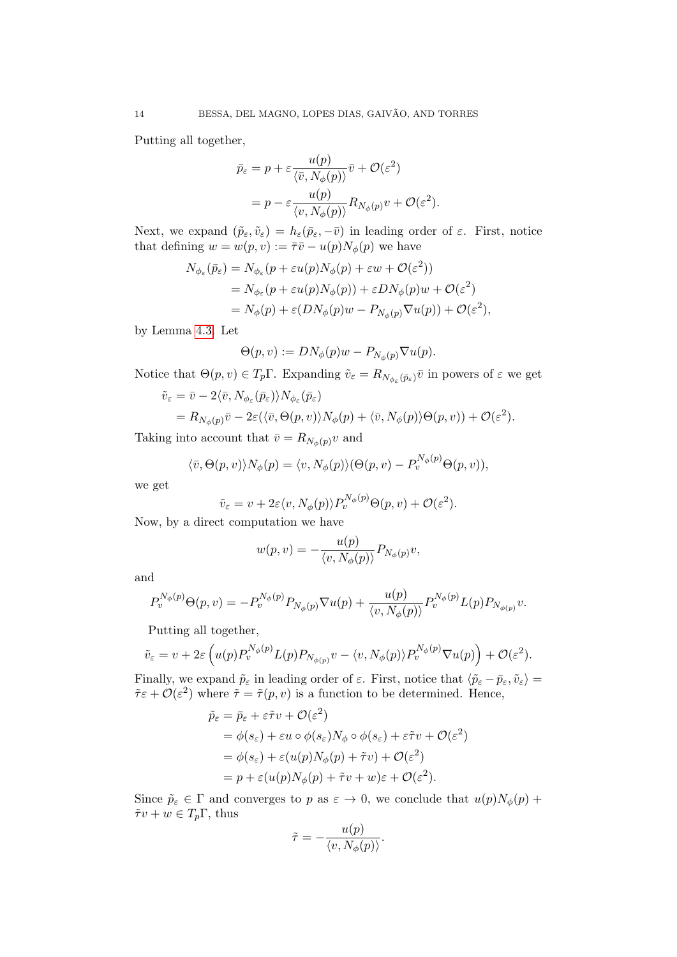Putting all together,

$$
\bar{p}_{\varepsilon} = p + \varepsilon \frac{u(p)}{\langle \bar{v}, N_{\phi}(p) \rangle} \bar{v} + \mathcal{O}(\varepsilon^2)
$$
  
= 
$$
p - \varepsilon \frac{u(p)}{\langle v, N_{\phi}(p) \rangle} R_{N_{\phi}(p)} v + \mathcal{O}(\varepsilon^2).
$$

Next, we expand  $(\tilde{p}_{\varepsilon}, \tilde{v}_{\varepsilon}) = h_{\varepsilon}(\bar{p}_{\varepsilon}, -\bar{v})$  in leading order of  $\varepsilon$ . First, notice that defining  $w = w(p, v) := \overline{\tau} \overline{v} - u(p) N_{\phi}(p)$  we have

$$
N_{\phi_{\varepsilon}}(\bar{p}_{\varepsilon}) = N_{\phi_{\varepsilon}}(p + \varepsilon u(p)N_{\phi}(p) + \varepsilon w + \mathcal{O}(\varepsilon^2))
$$
  
=  $N_{\phi_{\varepsilon}}(p + \varepsilon u(p)N_{\phi}(p)) + \varepsilon DN_{\phi}(p)w + \mathcal{O}(\varepsilon^2)$   
=  $N_{\phi}(p) + \varepsilon (DN_{\phi}(p)w - P_{N_{\phi}(p)}\nabla u(p)) + \mathcal{O}(\varepsilon^2),$ 

by Lemma [4.3.](#page-11-1) Let

$$
\Theta(p, v) := DN_{\phi}(p)w - P_{N_{\phi}(p)} \nabla u(p).
$$

Notice that  $\Theta(p, v) \in T_p \Gamma$ . Expanding  $\tilde{v}_{\varepsilon} = R_{N_{\phi_{\varepsilon}}(\bar{p}_{\varepsilon})} \bar{v}$  in powers of  $\varepsilon$  we get

$$
\tilde{v}_{\varepsilon} = \bar{v} - 2\langle \bar{v}, N_{\phi_{\varepsilon}}(\bar{p}_{\varepsilon}) \rangle N_{\phi_{\varepsilon}}(\bar{p}_{\varepsilon}) \n= R_{N_{\phi}(p)} \bar{v} - 2\varepsilon (\langle \bar{v}, \Theta(p, v) \rangle N_{\phi}(p) + \langle \bar{v}, N_{\phi}(p) \rangle \Theta(p, v)) + \mathcal{O}(\varepsilon^2).
$$

Taking into account that  $\bar{v} = R_{N_{\phi}(p)}v$  and

$$
\langle \bar{v}, \Theta(p, v) \rangle N_{\phi}(p) = \langle v, N_{\phi}(p) \rangle (\Theta(p, v) - P_v^{N_{\phi}(p)} \Theta(p, v)),
$$

we get

$$
\tilde{v}_{\varepsilon} = v + 2\varepsilon \langle v, N_{\phi}(p) \rangle P_{v}^{N_{\phi}(p)} \Theta(p, v) + \mathcal{O}(\varepsilon^{2}).
$$

Now, by a direct computation we have

$$
w(p, v) = -\frac{u(p)}{\langle v, N_{\phi}(p) \rangle} P_{N_{\phi}(p)} v,
$$

and

$$
P_v^{N_{\phi}(p)}\Theta(p,v) = -P_v^{N_{\phi}(p)}P_{N_{\phi}(p)}\nabla u(p) + \frac{u(p)}{\langle v, N_{\phi}(p)\rangle}P_v^{N_{\phi}(p)}L(p)P_{N_{\phi(p)}}v.
$$

Putting all together,

$$
\tilde{v}_{\varepsilon} = v + 2\varepsilon \left( u(p) P_v^{N_{\phi}(p)} L(p) P_{N_{\phi(p)}} v - \langle v, N_{\phi}(p) \rangle P_v^{N_{\phi}(p)} \nabla u(p) \right) + \mathcal{O}(\varepsilon^2).
$$

Finally, we expand  $\tilde{p}_{\varepsilon}$  in leading order of  $\varepsilon$ . First, notice that  $\langle \tilde{p}_{\varepsilon} - \bar{p}_{\varepsilon}, \tilde{v}_{\varepsilon} \rangle =$  $\tilde{\tau} \varepsilon + \mathcal{O}(\varepsilon^2)$  where  $\tilde{\tau} = \tilde{\tau}(p, v)$  is a function to be determined. Hence,

$$
\tilde{p}_{\varepsilon} = \bar{p}_{\varepsilon} + \varepsilon \tilde{\tau} v + \mathcal{O}(\varepsilon^2)
$$
  
=  $\phi(s_{\varepsilon}) + \varepsilon u \circ \phi(s_{\varepsilon}) N_{\phi} \circ \phi(s_{\varepsilon}) + \varepsilon \tilde{\tau} v + \mathcal{O}(\varepsilon^2)$   
=  $\phi(s_{\varepsilon}) + \varepsilon (u(p) N_{\phi}(p) + \tilde{\tau} v) + \mathcal{O}(\varepsilon^2)$   
=  $p + \varepsilon (u(p) N_{\phi}(p) + \tilde{\tau} v + w) \varepsilon + \mathcal{O}(\varepsilon^2)$ .

Since  $\tilde{p}_{\varepsilon} \in \Gamma$  and converges to p as  $\varepsilon \to 0$ , we conclude that  $u(p)N_{\phi}(p)$  +  $\tilde{\tau}v + w \in T_p\Gamma$ , thus  $\lambda$ 

$$
\tilde{\tau} = -\frac{u(p)}{\langle v, N_{\phi}(p) \rangle}.
$$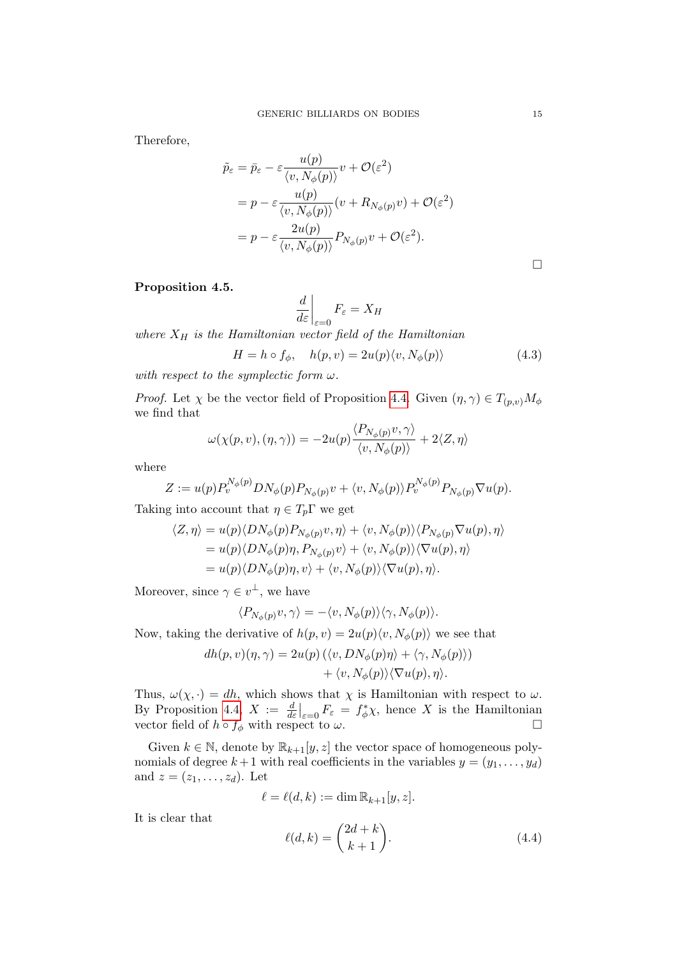Therefore,

$$
\tilde{p}_{\varepsilon} = \bar{p}_{\varepsilon} - \varepsilon \frac{u(p)}{\langle v, N_{\phi}(p) \rangle} v + \mathcal{O}(\varepsilon^2)
$$
\n
$$
= p - \varepsilon \frac{u(p)}{\langle v, N_{\phi}(p) \rangle} (v + R_{N_{\phi}(p)}v) + \mathcal{O}(\varepsilon^2)
$$
\n
$$
= p - \varepsilon \frac{2u(p)}{\langle v, N_{\phi}(p) \rangle} P_{N_{\phi}(p)}v + \mathcal{O}(\varepsilon^2).
$$

# <span id="page-14-0"></span>Proposition 4.5.

$$
\left. \frac{d}{d\varepsilon} \right|_{\varepsilon=0} F_{\varepsilon} = X_H
$$

where  $X_H$  is the Hamiltonian vector field of the Hamiltonian

<span id="page-14-1"></span>
$$
H = h \circ f_{\phi}, \quad h(p, v) = 2u(p)\langle v, N_{\phi}(p)\rangle \tag{4.3}
$$

with respect to the symplectic form  $\omega$ .

*Proof.* Let  $\chi$  be the vector field of Proposition [4.4.](#page-12-0) Given  $(\eta, \gamma) \in T_{(p,\nu)}M_{\phi}$ we find that

$$
\omega(\chi(p,v),(\eta,\gamma)) = -2u(p)\frac{\langle P_{N_{\phi}(p)}v,\gamma\rangle}{\langle v,N_{\phi}(p)\rangle} + 2\langle Z,\eta\rangle
$$

where

$$
Z := u(p) P_v^{N_{\phi}(p)} D N_{\phi}(p) P_{N_{\phi}(p)} v + \langle v, N_{\phi}(p) \rangle P_v^{N_{\phi}(p)} P_{N_{\phi}(p)} \nabla u(p).
$$

Taking into account that  $\eta \in T_p\Gamma$  we get

$$
\langle Z, \eta \rangle = u(p) \langle DN_{\phi}(p)P_{N_{\phi}(p)}v, \eta \rangle + \langle v, N_{\phi}(p) \rangle \langle P_{N_{\phi}(p)} \nabla u(p), \eta \rangle
$$
  
=  $u(p) \langle DN_{\phi}(p)\eta, P_{N_{\phi}(p)}v \rangle + \langle v, N_{\phi}(p) \rangle \langle \nabla u(p), \eta \rangle$   
=  $u(p) \langle DN_{\phi}(p)\eta, v \rangle + \langle v, N_{\phi}(p) \rangle \langle \nabla u(p), \eta \rangle.$ 

Moreover, since  $\gamma \in v^{\perp}$ , we have

$$
\langle P_{N_{\phi}(p)}v, \gamma \rangle = -\langle v, N_{\phi}(p) \rangle \langle \gamma, N_{\phi}(p) \rangle.
$$

Now, taking the derivative of  $h(p, v) = 2u(p)\langle v, N_{\phi}(p)\rangle$  we see that

$$
dh(p, v)(\eta, \gamma) = 2u(p) \left( \langle v, DN_{\phi}(p)\eta \rangle + \langle \gamma, N_{\phi}(p) \rangle \right) + \langle v, N_{\phi}(p) \rangle \langle \nabla u(p), \eta \rangle.
$$

Thus,  $\omega(\chi, \cdot) = dh$ , which shows that  $\chi$  is Hamiltonian with respect to  $\omega$ . By Proposition [4.4,](#page-12-0)  $X := \frac{d}{d\varepsilon}\Big|_{\varepsilon=0} F_{\varepsilon} = f_{\phi}^* \chi$ , hence X is the Hamiltonian vector field of  $h \circ f_{\phi}$  with respect to  $\omega$ .

Given  $k \in \mathbb{N}$ , denote by  $\mathbb{R}_{k+1}[y, z]$  the vector space of homogeneous polynomials of degree  $k+1$  with real coefficients in the variables  $y = (y_1, \ldots, y_d)$ and  $z = (z_1, \ldots, z_d)$ . Let

$$
\ell = \ell(d, k) := \dim \mathbb{R}_{k+1}[y, z].
$$

It is clear that

<span id="page-14-2"></span>
$$
\ell(d,k) = \binom{2d+k}{k+1}.\tag{4.4}
$$

 $\Box$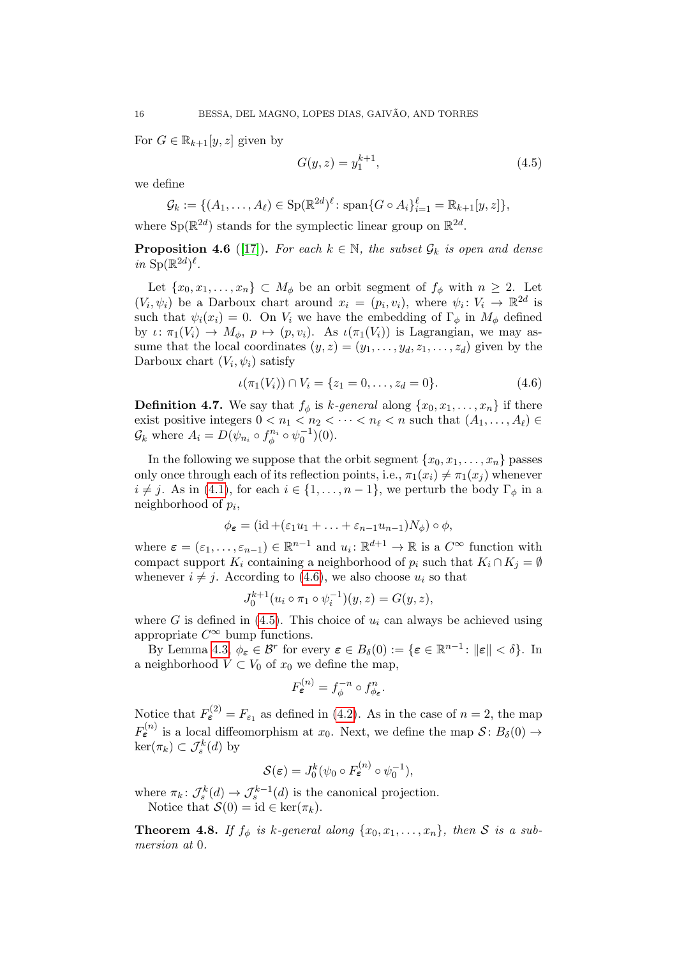For  $G \in \mathbb{R}_{k+1}[y, z]$  given by

<span id="page-15-1"></span>
$$
G(y, z) = y_1^{k+1},\tag{4.5}
$$

we define

 $\mathcal{G}_k := \{ (A_1, \ldots, A_\ell) \in \text{Sp}(\mathbb{R}^{2d})^\ell \colon \text{span}\{G \circ A_i\}_{i=1}^\ell = \mathbb{R}_{k+1}[y, z] \},$ 

where  $Sp(\mathbb{R}^{2d})$  stands for the symplectic linear group on  $\mathbb{R}^{2d}$ .

**Proposition 4.6** ([\[17\]](#page-29-2)). For each  $k \in \mathbb{N}$ , the subset  $\mathcal{G}_k$  is open and dense in  $\text{Sp}(\mathbb{R}^{2d})^{\ell}$ .

Let  $\{x_0, x_1, \ldots, x_n\} \subset M_\phi$  be an orbit segment of  $f_\phi$  with  $n \geq 2$ . Let  $(V_i, \psi_i)$  be a Darboux chart around  $x_i = (p_i, v_i)$ , where  $\psi_i : V_i \to \mathbb{R}^{2d}$  is such that  $\psi_i(x_i) = 0$ . On  $V_i$  we have the embedding of  $\Gamma_{\phi}$  in  $M_{\phi}$  defined by  $\iota: \pi_1(V_i) \to M_\phi, p \mapsto (p, v_i)$ . As  $\iota(\pi_1(V_i))$  is Lagrangian, we may assume that the local coordinates  $(y, z) = (y_1, \ldots, y_d, z_1, \ldots, z_d)$  given by the Darboux chart  $(V_i, \psi_i)$  satisfy

<span id="page-15-0"></span>
$$
\iota(\pi_1(V_i)) \cap V_i = \{z_1 = 0, \dots, z_d = 0\}.
$$
\n(4.6)

**Definition 4.7.** We say that  $f_{\phi}$  is k-general along  $\{x_0, x_1, \ldots, x_n\}$  if there exist positive integers  $0 < n_1 < n_2 < \cdots < n_\ell < n$  such that  $(A_1, \ldots, A_\ell) \in$  $\mathcal{G}_k$  where  $A_i = D(\psi_{n_i} \circ f_{\phi}^{n_i} \circ \psi_0^{-1})(0)$ .

In the following we suppose that the orbit segment  $\{x_0, x_1, \ldots, x_n\}$  passes only once through each of its reflection points, i.e.,  $\pi_1(x_i) \neq \pi_1(x_j)$  whenever  $i \neq j$ . As in [\(4.1\)](#page-11-2), for each  $i \in \{1, \ldots, n-1\}$ , we perturb the body  $\Gamma_{\phi}$  in a neighborhood of  $p_i$ ,

$$
\phi_{\varepsilon} = (\mathrm{id} + (\varepsilon_1 u_1 + \ldots + \varepsilon_{n-1} u_{n-1}) N_{\phi}) \circ \phi,
$$

where  $\boldsymbol{\varepsilon} = (\varepsilon_1, \ldots, \varepsilon_{n-1}) \in \mathbb{R}^{n-1}$  and  $u_i \colon \mathbb{R}^{d+1} \to \mathbb{R}$  is a  $C^{\infty}$  function with compact support  $K_i$  containing a neighborhood of  $p_i$  such that  $K_i \cap K_j = \emptyset$ whenever  $i \neq j$ . According to [\(4.6\)](#page-15-0), we also choose  $u_i$  so that

$$
J_0^{k+1}(u_i \circ \pi_1 \circ \psi_i^{-1})(y, z) = G(y, z),
$$

where G is defined in [\(4.5\)](#page-15-1). This choice of  $u_i$  can always be achieved using appropriate  $C^{\infty}$  bump functions.

By Lemma [4.3,](#page-11-1)  $\phi_{\boldsymbol{\varepsilon}} \in \mathcal{B}^r$  for every  $\boldsymbol{\varepsilon} \in B_\delta(0) := \{ \boldsymbol{\varepsilon} \in \mathbb{R}^{n-1} \colon ||\boldsymbol{\varepsilon}|| < \delta \}$ . In a neighborhood  $V \subset V_0$  of  $x_0$  we define the map,

$$
F_{\varepsilon}^{(n)} = f_{\phi}^{-n} \circ f_{\phi_{\varepsilon}}^n.
$$

Notice that  $F_{\epsilon}^{(2)} = F_{\epsilon_1}$  as defined in [\(4.2\)](#page-12-1). As in the case of  $n = 2$ , the map  $F_{\varepsilon}^{(n)}$  is a local diffeomorphism at  $x_0$ . Next, we define the map  $\mathcal{S}$ :  $B_{\delta}(0) \rightarrow$  $\ker(\pi_k) \subset \mathcal{J}_s^k(d)$  by

$$
\mathcal{S}(\boldsymbol{\varepsilon}) = J_0^k(\psi_0 \circ F_{\boldsymbol{\varepsilon}}^{(n)} \circ \psi_0^{-1}),
$$

where  $\pi_k$ :  $\mathcal{J}_s^k(d) \to \mathcal{J}_s^{k-1}(d)$  is the canonical projection. Notice that  $\mathcal{S}(0) = id \in \ker(\pi_k)$ .

<span id="page-15-2"></span>**Theorem 4.8.** If  $f_{\phi}$  is k-general along  $\{x_0, x_1, \ldots, x_n\}$ , then S is a submersion at 0.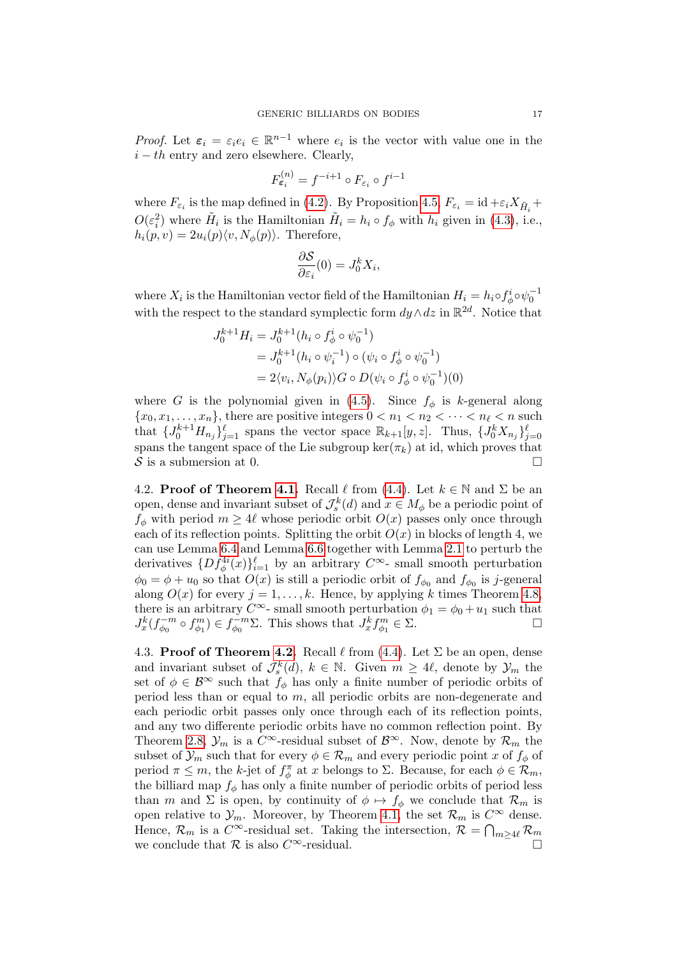*Proof.* Let  $\varepsilon_i = \varepsilon_i e_i \in \mathbb{R}^{n-1}$  where  $e_i$  is the vector with value one in the  $i - th$  entry and zero elsewhere. Clearly,

$$
F_{\varepsilon_i}^{(n)} = f^{-i+1} \circ F_{\varepsilon_i} \circ f^{i-1}
$$

where  $F_{\varepsilon_i}$  is the map defined in [\(4.2\)](#page-12-1). By Proposition [4.5,](#page-14-0)  $F_{\varepsilon_i} = id + \varepsilon_i X_{\tilde{H}_i} +$  $O(\varepsilon_i^2)$  where  $\tilde{H}_i$  is the Hamiltonian  $\tilde{H}_i = h_i \circ f_\phi$  with  $h_i$  given in [\(4.3\)](#page-14-1), i.e.,  $h_i(p, v) = 2u_i(p)\langle v, N_\phi(p)\rangle$ . Therefore,

$$
\frac{\partial S}{\partial \varepsilon_i}(0) = J_0^k X_i,
$$

where  $X_i$  is the Hamiltonian vector field of the Hamiltonian  $H_i = h_i \circ f^i_{\phi} \circ \psi_0^{-1}$ with the respect to the standard symplectic form  $dy \wedge dz$  in  $\mathbb{R}^{2d}$ . Notice that

$$
J_0^{k+1} H_i = J_0^{k+1} (h_i \circ f_{\phi}^i \circ \psi_0^{-1})
$$
  
=  $J_0^{k+1} (h_i \circ \psi_i^{-1}) \circ (\psi_i \circ f_{\phi}^i \circ \psi_0^{-1})$   
=  $2 \langle v_i, N_{\phi}(p_i) \rangle G \circ D(\psi_i \circ f_{\phi}^i \circ \psi_0^{-1}) (0)$ 

where G is the polynomial given in [\(4.5\)](#page-15-1). Since  $f_{\phi}$  is k-general along  ${x_0, x_1, \ldots, x_n}$ , there are positive integers  $0 < n_1 < n_2 < \cdots < n_\ell < n$  such that  $\{J_0^{k+1}H_{n_j}\}_{j=1}^{\ell}$  spans the vector space  $\mathbb{R}_{k+1}[y,z]$ . Thus,  $\{J_0^kX_{n_j}\}_{j=0}^{\ell}$ spans the tangent space of the Lie subgroup ker( $\pi_k$ ) at id, which proves that S is a submersion at 0.

4.2. **Proof of Theorem [4.1.](#page-10-3)** Recall  $\ell$  from [\(4.4\)](#page-14-2). Let  $k \in \mathbb{N}$  and  $\Sigma$  be an open, dense and invariant subset of  $\mathcal{J}_{s}^{k}(d)$  and  $x \in M_{\phi}$  be a periodic point of  $f_{\phi}$  with period  $m \geq 4\ell$  whose periodic orbit  $O(x)$  passes only once through each of its reflection points. Splitting the orbit  $O(x)$  in blocks of length 4, we can use Lemma [6.4](#page-23-0) and Lemma [6.6](#page-25-0) together with Lemma [2.1](#page-4-0) to perturb the derivatives  $\{Df_{\phi}^{4i}(x)\}_{i=1}^{\ell}$  by an arbitrary  $C^{\infty}$ - small smooth perturbation  $\phi_0 = \phi + u_0$  so that  $O(x)$  is still a periodic orbit of  $f_{\phi_0}$  and  $f_{\phi_0}$  is j-general along  $O(x)$  for every  $j = 1, ..., k$ . Hence, by applying k times Theorem [4.8,](#page-15-2) there is an arbitrary  $C^{\infty}$ - small smooth perturbation  $\phi_1 = \phi_0 + u_1$  such that  $J_x^k(f_{\phi_0}^{-m})$  $(t_{\phi_0}^{-m} \circ f_{\phi_1}^m) \in f_{\phi_0}^{-m}$  $\overline{\phi}_0^{m} \Sigma$ . This shows that  $J_x^k f_{\phi_1}^m \in \Sigma$ .

4.3. Proof of Theorem [4.2.](#page-11-0) Recall  $\ell$  from [\(4.4\)](#page-14-2). Let  $\Sigma$  be an open, dense and invariant subset of  $\mathcal{J}_s^k(d)$ ,  $k \in \mathbb{N}$ . Given  $m \geq 4\ell$ , denote by  $\mathcal{Y}_m$  the set of  $\phi \in \mathcal{B}^{\infty}$  such that  $f_{\phi}$  has only a finite number of periodic orbits of period less than or equal to m, all periodic orbits are non-degenerate and each periodic orbit passes only once through each of its reflection points, and any two differente periodic orbits have no common reflection point. By Theorem [2.8,](#page-9-2)  $\mathcal{Y}_m$  is a  $C^{\infty}$ -residual subset of  $\mathcal{B}^{\infty}$ . Now, denote by  $\mathcal{R}_m$  the subset of  $\mathcal{Y}_m$  such that for every  $\phi \in \mathcal{R}_m$  and every periodic point x of  $f_\phi$  of period  $\pi \leq m$ , the k-jet of  $f_{\phi}^{\pi}$  at x belongs to  $\Sigma$ . Because, for each  $\phi \in \mathcal{R}_m$ , the billiard map  $f_{\phi}$  has only a finite number of periodic orbits of period less than m and  $\Sigma$  is open, by continuity of  $\phi \mapsto f_{\phi}$  we conclude that  $\mathcal{R}_m$  is open relative to  $\mathcal{Y}_m$ . Moreover, by Theorem [4.1,](#page-10-3) the set  $\mathcal{R}_m$  is  $C^{\infty}$  dense. Hence,  $\mathcal{R}_m$  is a  $C^{\infty}$ -residual set. Taking the intersection,  $\mathcal{R} = \bigcap_{m \geq 4\ell} \mathcal{R}_m$ we conclude that  $\mathcal R$  is also  $C^{\infty}$ -residual.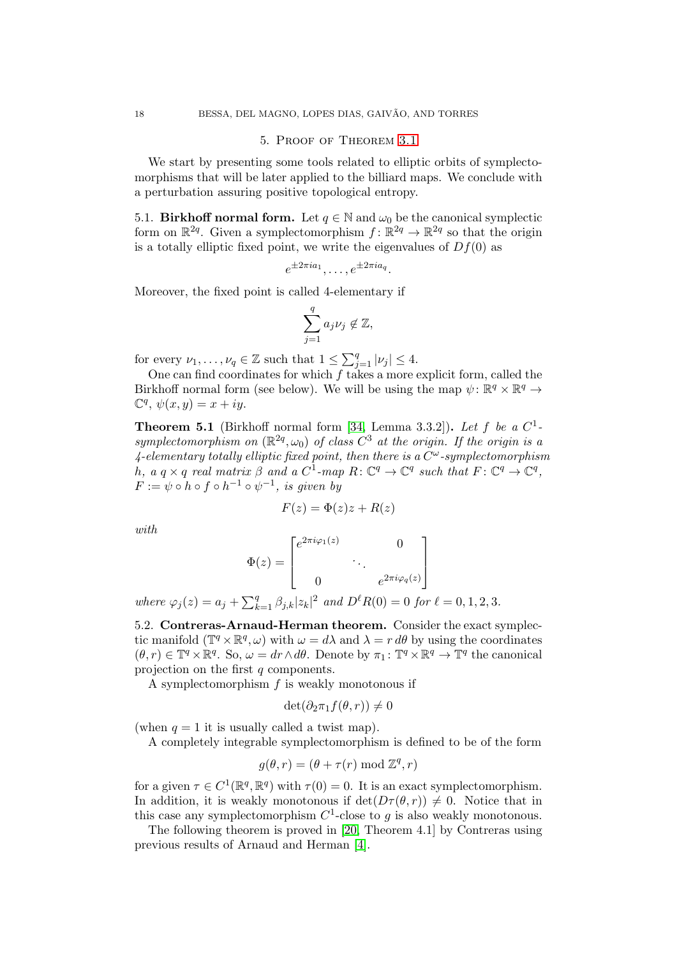#### 5. Proof of Theorem [3.1](#page-10-0)

<span id="page-17-0"></span>We start by presenting some tools related to elliptic orbits of symplectomorphisms that will be later applied to the billiard maps. We conclude with a perturbation assuring positive topological entropy.

5.1. Birkhoff normal form. Let  $q \in \mathbb{N}$  and  $\omega_0$  be the canonical symplectic form on  $\mathbb{R}^{2q}$ . Given a symplectomorphism  $f: \mathbb{R}^{2q} \to \mathbb{R}^{2q}$  so that the origin is a totally elliptic fixed point, we write the eigenvalues of  $Df(0)$  as

$$
e^{\pm 2\pi i a_1}, \ldots, e^{\pm 2\pi i a_q}.
$$

Moreover, the fixed point is called 4-elementary if

$$
\sum_{j=1}^q a_j\nu_j\not\in\mathbb{Z},
$$

for every  $\nu_1, \ldots, \nu_q \in \mathbb{Z}$  such that  $1 \leq \sum_{j=1}^q |\nu_j| \leq 4$ .

One can find coordinates for which  $f$  takes a more explicit form, called the Birkhoff normal form (see below). We will be using the map  $\psi \colon \mathbb{R}^q \times \mathbb{R}^q \to$  $\mathbb{C}^q$ ,  $\psi(x, y) = x + iy$ .

<span id="page-17-1"></span>**Theorem 5.1** (Birkhoff normal form [\[34,](#page-30-12) Lemma 3.3.2]). Let f be a  $C^1$ symplectomorphism on  $(\mathbb{R}^{2q}, \omega_0)$  of class  $C^3$  at the origin. If the origin is a 4-elementary totally elliptic fixed point, then there is a  $C^{\omega}$ -symplectomorphism h, a q × q real matrix  $\beta$  and a  $C^1$ -map  $R: \mathbb{C}^q \to \mathbb{C}^q$  such that  $F: \mathbb{C}^q \to \mathbb{C}^q$ ,  $F:=\psi\circ h\circ f\circ h^{-1}\circ \psi^{-1}, \; is \; given \; \; by$ 

$$
F(z) = \Phi(z)z + R(z)
$$

with

$$
\Phi(z) = \begin{bmatrix} e^{2\pi i \varphi_1(z)} & 0 \\ \vdots & \ddots \\ 0 & e^{2\pi i \varphi_q(z)} \end{bmatrix}
$$

where  $\varphi_j(z) = a_j + \sum_{k=1}^q \beta_{j,k} |z_k|^2$  and  $D^{\ell}R(0) = 0$  for  $\ell = 0, 1, 2, 3$ .

5.2. Contreras-Arnaud-Herman theorem. Consider the exact symplectic manifold  $(\mathbb{T}^q \times \mathbb{R}^q, \omega)$  with  $\omega = d\lambda$  and  $\lambda = r d\theta$  by using the coordinates  $(\theta, r) \in \mathbb{T}^q \times \mathbb{R}^q$ . So,  $\omega = dr \wedge d\theta$ . Denote by  $\pi_1 \colon \mathbb{T}^q \times \mathbb{R}^q \to \mathbb{T}^q$  the canonical projection on the first q components.

A symplectomorphism  $f$  is weakly monotonous if

$$
\det(\partial_2 \pi_1 f(\theta, r)) \neq 0
$$

(when  $q = 1$  it is usually called a twist map).

A completely integrable symplectomorphism is defined to be of the form

$$
g(\theta, r) = (\theta + \tau(r) \bmod \mathbb{Z}^q, r)
$$

for a given  $\tau \in C^1(\mathbb{R}^q, \mathbb{R}^q)$  with  $\tau(0) = 0$ . It is an exact symplectomorphism. In addition, it is weakly monotonous if  $\det(D\tau(\theta, r)) \neq 0$ . Notice that in this case any symplectomorphism  $C^1$ -close to g is also weakly monotonous.

The following theorem is proved in [\[20,](#page-29-8) Theorem 4.1] by Contreras using previous results of Arnaud and Herman [\[4\]](#page-29-15).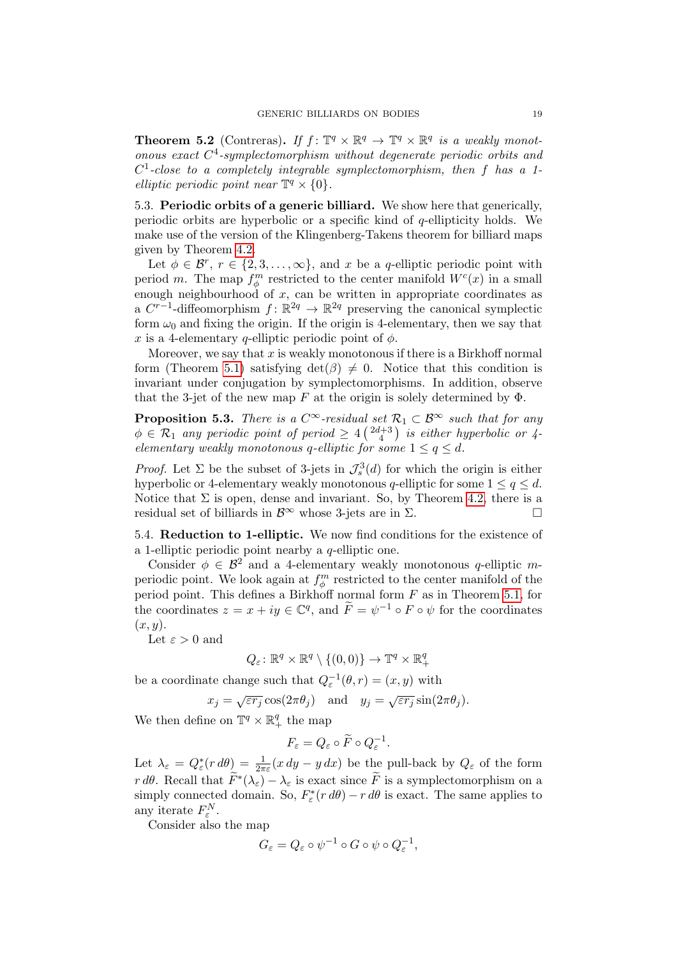<span id="page-18-0"></span>**Theorem 5.2** (Contreras). If  $f: \mathbb{T}^q \times \mathbb{R}^q \to \mathbb{T}^q \times \mathbb{R}^q$  is a weakly monotonous exact C 4 -symplectomorphism without degenerate periodic orbits and  $C<sup>1</sup>$ -close to a completely integrable symplectomorphism, then f has a 1elliptic periodic point near  $\mathbb{T}^q \times \{0\}.$ 

5.3. Periodic orbits of a generic billiard. We show here that generically, periodic orbits are hyperbolic or a specific kind of q-ellipticity holds. We make use of the version of the Klingenberg-Takens theorem for billiard maps given by Theorem [4.2.](#page-11-0)

Let  $\phi \in \mathcal{B}^r$ ,  $r \in \{2, 3, ..., \infty\}$ , and x be a q-elliptic periodic point with period m. The map  $f_{\phi}^{m}$  restricted to the center manifold  $W^{c}(x)$  in a small enough neighbourhood of  $x$ , can be written in appropriate coordinates as a  $C^{r-1}$ -diffeomorphism  $f: \mathbb{R}^{2q} \to \mathbb{R}^{2q}$  preserving the canonical symplectic form  $\omega_0$  and fixing the origin. If the origin is 4-elementary, then we say that x is a 4-elementary q-elliptic periodic point of  $\phi$ .

Moreover, we say that  $x$  is weakly monotonous if there is a Birkhoff normal form (Theorem [5.1\)](#page-17-1) satisfying  $det(\beta) \neq 0$ . Notice that this condition is invariant under conjugation by symplectomorphisms. In addition, observe that the 3-jet of the new map F at the origin is solely determined by  $\Phi$ .

**Proposition 5.3.** There is a  $C^{\infty}$ -residual set  $\mathcal{R}_1 \subset \mathcal{B}^{\infty}$  such that for any  $\phi \in \mathcal{R}_1$  any periodic point of period  $\geq 4 \left( \frac{2d+3}{4} \right)$  is either hyperbolic or 4elementary weakly monotonous q-elliptic for some  $1 \le q \le d$ .

*Proof.* Let  $\Sigma$  be the subset of 3-jets in  $\mathcal{J}_{s}^{3}(d)$  for which the origin is either hyperbolic or 4-elementary weakly monotonous q-elliptic for some  $1 \le q \le d$ . Notice that  $\Sigma$  is open, dense and invariant. So, by Theorem [4.2,](#page-11-0) there is a residual set of billiards in  $\mathcal{B}^{\infty}$  whose 3-jets are in  $\Sigma$ .

5.4. Reduction to 1-elliptic. We now find conditions for the existence of a 1-elliptic periodic point nearby a q-elliptic one.

Consider  $\phi \in \mathcal{B}^2$  and a 4-elementary weakly monotonous q-elliptic mperiodic point. We look again at  $f_{\phi}^{m}$  restricted to the center manifold of the period point. This defines a Birkhoff normal form  $F$  as in Theorem [5.1,](#page-17-1) for the coordinates  $z = x + iy \in \mathbb{C}^q$ , and  $\widetilde{F} = \psi^{-1} \circ F \circ \psi$  for the coordinates  $(x, y)$ .

Let  $\varepsilon > 0$  and

$$
Q_{\varepsilon} \colon \mathbb{R}^{q} \times \mathbb{R}^{q} \setminus \{(0,0)\} \to \mathbb{T}^{q} \times \mathbb{R}_{+}^{q}
$$

be a coordinate change such that  $Q_{\varepsilon}^{-1}(\theta, r) = (x, y)$  with

$$
x_j = \sqrt{\varepsilon r_j} \cos(2\pi \theta_j)
$$
 and  $y_j = \sqrt{\varepsilon r_j} \sin(2\pi \theta_j)$ .

We then define on  $\mathbb{T}^q \times \mathbb{R}^q_+$  the map

$$
F_{\varepsilon}=Q_{\varepsilon}\circ\widetilde{F}\circ Q_{\varepsilon}^{-1}.
$$

Let  $\lambda_{\varepsilon} = Q_{\varepsilon}^*(r d\theta) = \frac{1}{2\pi\varepsilon}(x dy - y dx)$  be the pull-back by  $Q_{\varepsilon}$  of the form  $r d\theta$ . Recall that  $\widetilde{F}^*(\lambda_{\varepsilon}) - \lambda_{\varepsilon}$  is exact since  $\widetilde{F}$  is a symplectomorphism on a simply connected domain. So,  $F^*_{\varepsilon}(r d\theta) - r d\theta$  is exact. The same applies to any iterate  $F_{\varepsilon}^N$ .

Consider also the map

$$
G_{\varepsilon} = Q_{\varepsilon} \circ \psi^{-1} \circ G \circ \psi \circ Q_{\varepsilon}^{-1},
$$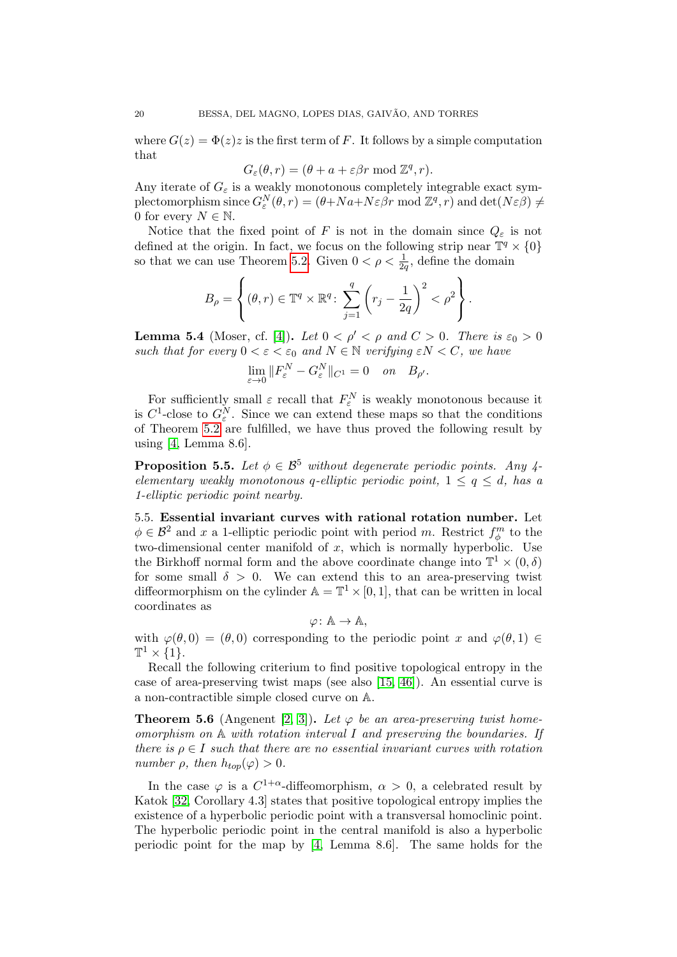where  $G(z) = \Phi(z)z$  is the first term of F. It follows by a simple computation that

$$
G_{\varepsilon}(\theta, r) = (\theta + a + \varepsilon \beta r \bmod \mathbb{Z}^q, r).
$$

Any iterate of  $G_{\varepsilon}$  is a weakly monotonous completely integrable exact symplectomorphism since  $G_{\varepsilon}^N(\theta, r) = (\theta + Na + N\varepsilon \beta r \mod \mathbb{Z}^q, r)$  and  $\det(N\varepsilon \beta) \neq$ 0 for every  $N \in \mathbb{N}$ .

Notice that the fixed point of F is not in the domain since  $Q_{\varepsilon}$  is not defined at the origin. In fact, we focus on the following strip near  $\mathbb{T}^q \times \{0\}$ so that we can use Theorem [5.2.](#page-18-0) Given  $0 < \rho < \frac{1}{2q}$ , define the domain

$$
B_{\rho} = \left\{ (\theta, r) \in \mathbb{T}^q \times \mathbb{R}^q \colon \sum_{j=1}^q \left( r_j - \frac{1}{2q} \right)^2 < \rho^2 \right\}.
$$

**Lemma 5.4** (Moser, cf. [\[4\]](#page-29-15)). Let  $0 < \rho' < \rho$  and  $C > 0$ . There is  $\varepsilon_0 > 0$ such that for every  $0 < \varepsilon < \varepsilon_0$  and  $N \in \mathbb{N}$  verifying  $\varepsilon N < C$ , we have

$$
\lim_{\varepsilon \to 0} \|F_{\varepsilon}^N - G_{\varepsilon}^N\|_{C^1} = 0 \quad on \quad B_{\rho'}.
$$

For sufficiently small  $\varepsilon$  recall that  $F_{\varepsilon}^N$  is weakly monotonous because it is  $C^1$ -close to  $G_{\varepsilon}^N$ . Since we can extend these maps so that the conditions of Theorem [5.2](#page-18-0) are fulfilled, we have thus proved the following result by using [\[4,](#page-29-15) Lemma 8.6].

**Proposition 5.5.** Let  $\phi \in \mathcal{B}^5$  without degenerate periodic points. Any 4elementary weakly monotonous q-elliptic periodic point,  $1 \leq q \leq d$ , has a 1-elliptic periodic point nearby.

5.5. Essential invariant curves with rational rotation number. Let  $\phi \in \mathcal{B}^2$  and x a 1-elliptic periodic point with period m. Restrict  $f_{\phi}^m$  to the two-dimensional center manifold of  $x$ , which is normally hyperbolic. Use the Birkhoff normal form and the above coordinate change into  $\mathbb{T}^1 \times (0, \delta)$ for some small  $\delta > 0$ . We can extend this to an area-preserving twist diffeormorphism on the cylinder  $\mathbb{A} = \mathbb{T}^1 \times [0, 1]$ , that can be written in local coordinates as

$$
\varphi\colon \mathbb{A}\to \mathbb{A},
$$

with  $\varphi(\theta,0) = (\theta,0)$  corresponding to the periodic point x and  $\varphi(\theta,1) \in$  $\mathbb{T}^1 \times \{1\}.$ 

Recall the following criterium to find positive topological entropy in the case of area-preserving twist maps (see also [\[15,](#page-29-16) [46\]](#page-30-13)). An essential curve is a non-contractible simple closed curve on A.

**Theorem 5.6** (Angenent [\[2,](#page-29-17) [3\]](#page-29-18)). Let  $\varphi$  be an area-preserving twist homeomorphism on  $A$  with rotation interval I and preserving the boundaries. If there is  $\rho \in I$  such that there are no essential invariant curves with rotation number  $\rho$ , then  $h_{top}(\varphi) > 0$ .

In the case  $\varphi$  is a  $C^{1+\alpha}$ -diffeomorphism,  $\alpha > 0$ , a celebrated result by Katok [\[32,](#page-30-14) Corollary 4.3] states that positive topological entropy implies the existence of a hyperbolic periodic point with a transversal homoclinic point. The hyperbolic periodic point in the central manifold is also a hyperbolic periodic point for the map by [\[4,](#page-29-15) Lemma 8.6]. The same holds for the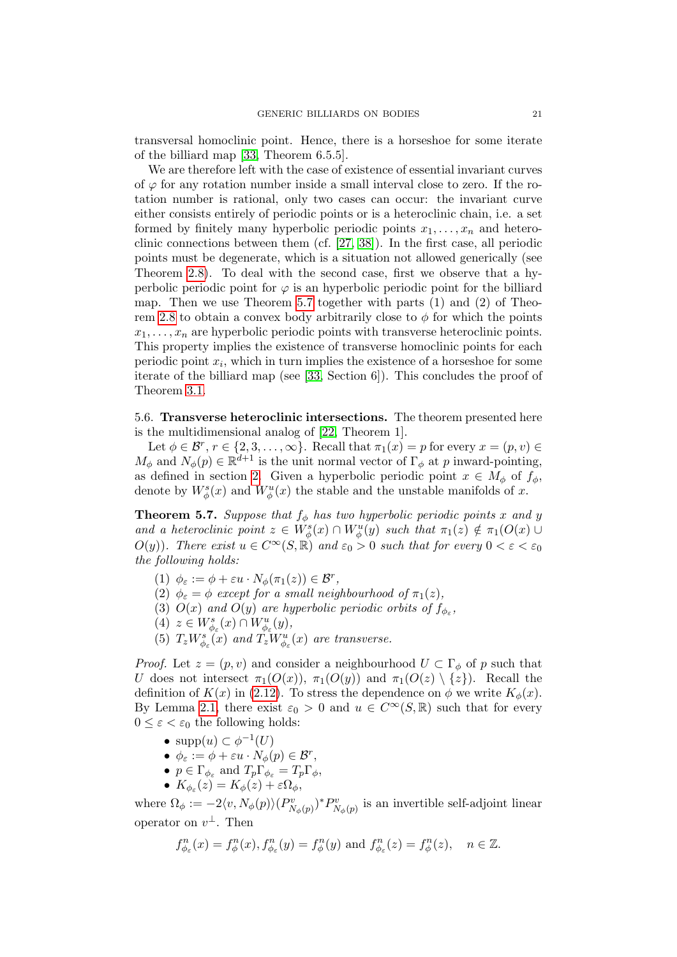transversal homoclinic point. Hence, there is a horseshoe for some iterate of the billiard map [\[33,](#page-30-0) Theorem 6.5.5].

We are therefore left with the case of existence of essential invariant curves of  $\varphi$  for any rotation number inside a small interval close to zero. If the rotation number is rational, only two cases can occur: the invariant curve either consists entirely of periodic points or is a heteroclinic chain, i.e. a set formed by finitely many hyperbolic periodic points  $x_1, \ldots, x_n$  and heteroclinic connections between them (cf. [\[27,](#page-30-15) [38\]](#page-30-16)). In the first case, all periodic points must be degenerate, which is a situation not allowed generically (see Theorem [2.8\)](#page-9-2). To deal with the second case, first we observe that a hyperbolic periodic point for  $\varphi$  is an hyperbolic periodic point for the billiard map. Then we use Theorem [5.7](#page-20-0) together with parts  $(1)$  and  $(2)$  of Theo-rem [2.8](#page-9-2) to obtain a convex body arbitrarily close to  $\phi$  for which the points  $x_1, \ldots, x_n$  are hyperbolic periodic points with transverse heteroclinic points. This property implies the existence of transverse homoclinic points for each periodic point  $x_i$ , which in turn implies the existence of a horseshoe for some iterate of the billiard map (see [\[33,](#page-30-0) Section 6]). This concludes the proof of Theorem [3.1.](#page-10-0)

5.6. Transverse heteroclinic intersections. The theorem presented here is the multidimensional analog of [\[22,](#page-29-14) Theorem 1].

Let  $\phi \in \mathcal{B}^r$ ,  $r \in \{2, 3, \ldots, \infty\}$ . Recall that  $\pi_1(x) = p$  for every  $x = (p, v) \in$  $M_{\phi}$  and  $N_{\phi}(p) \in \mathbb{R}^{d+1}$  is the unit normal vector of  $\Gamma_{\phi}$  at p inward-pointing, as defined in section [2.](#page-2-0) Given a hyperbolic periodic point  $x \in M_\phi$  of  $f_\phi$ , denote by  $W_{\phi}^{s}(x)$  and  $W_{\phi}^{u}(x)$  the stable and the unstable manifolds of x.

<span id="page-20-0"></span>**Theorem 5.7.** Suppose that  $f_{\phi}$  has two hyperbolic periodic points x and y and a heteroclinic point  $z \in W^s_{\phi}(x) \cap W^u_{\phi}(y)$  such that  $\pi_1(z) \notin \pi_1(O(x) \cup$  $O(y)$ ). There exist  $u \in C^{\infty}(S, \mathbb{R})$  and  $\varepsilon_0 > 0$  such that for every  $0 < \varepsilon < \varepsilon_0$ the following holds:

- (1)  $\phi_{\varepsilon} := \phi + \varepsilon u \cdot N_{\phi}(\pi_1(z)) \in \mathcal{B}^r$ ,
- (2)  $\phi_{\varepsilon} = \phi$  except for a small neighbourhood of  $\pi_1(z)$ ,
- (3)  $O(x)$  and  $O(y)$  are hyperbolic periodic orbits of  $f_{\phi_{\varepsilon}}$ ,
- (4)  $z \in W^s_{\phi_{\varepsilon}}(x) \cap W^u_{\phi_{\varepsilon}}(y)$ ,
- (5)  $T_zW_{\phi_{\varepsilon}}^s(x)$  and  $T_zW_{\phi_{\varepsilon}}^u(x)$  are transverse.

*Proof.* Let  $z = (p, v)$  and consider a neighbourhood  $U \subset \Gamma_{\phi}$  of p such that U does not intersect  $\pi_1(O(x))$ ,  $\pi_1(O(y))$  and  $\pi_1(O(z) \setminus \{z\})$ . Recall the definition of  $K(x)$  in [\(2.12\)](#page-8-2). To stress the dependence on  $\phi$  we write  $K_{\phi}(x)$ . By Lemma [2.1,](#page-4-0) there exist  $\varepsilon_0 > 0$  and  $u \in C^{\infty}(S, \mathbb{R})$  such that for every  $0 \leq \varepsilon \leq \varepsilon_0$  the following holds:

- $supp(u) \subset \phi^{-1}(U)$
- $\phi_{\varepsilon} := \phi + \varepsilon u \cdot N_{\phi}(p) \in \mathcal{B}^r$ ,
- $p \in \Gamma_{\phi_{\varepsilon}}$  and  $T_p \Gamma_{\phi_{\varepsilon}} = T_p \Gamma_{\phi}$ ,
- $K_{\phi_{\varepsilon}}(z) = K_{\phi}(z) + \varepsilon \Omega_{\phi},$

where  $\Omega_{\phi} := -2\langle v, N_{\phi}(p) \rangle (P_{N_{\phi}(p)}^{v})^* P_{N_{\phi}(p)}^{v}$  is an invertible self-adjoint linear operator on  $v^{\perp}$ . Then

$$
f_{\phi_{\varepsilon}}^n(x) = f_{\phi}^n(x), f_{\phi_{\varepsilon}}^n(y) = f_{\phi}^n(y) \text{ and } f_{\phi_{\varepsilon}}^n(z) = f_{\phi}^n(z), \quad n \in \mathbb{Z}.
$$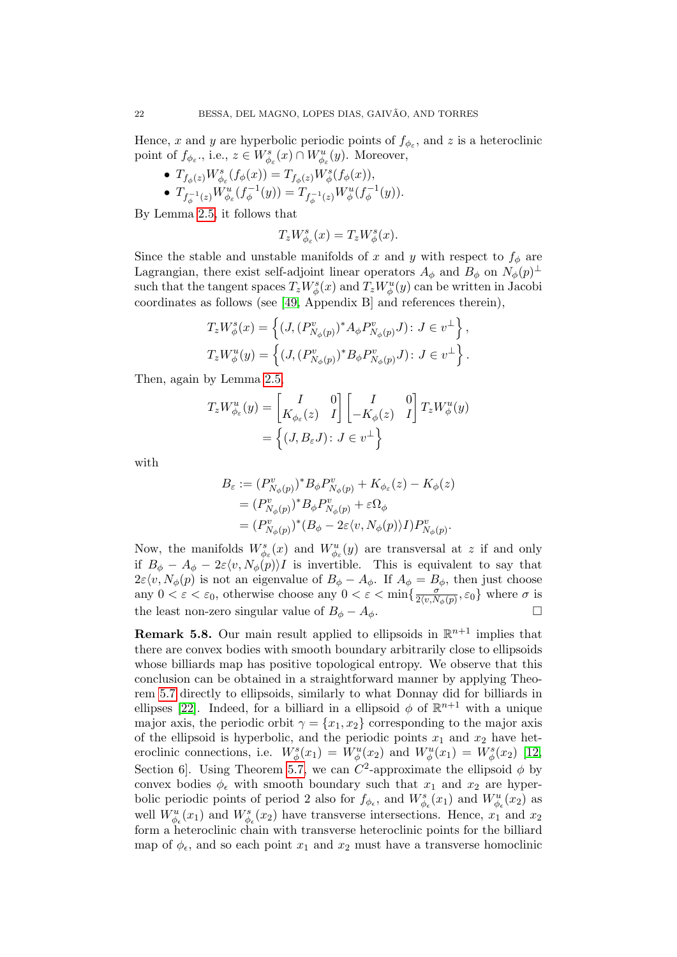Hence, x and y are hyperbolic periodic points of  $f_{\phi_{\varepsilon}}$ , and z is a heteroclinic point of  $f_{\phi_{\varepsilon}},$  i.e.,  $z \in W_{\phi_{\varepsilon}}^{s}(x) \cap W_{\phi_{\varepsilon}}^{u}(y)$ . Moreover,

- $T_{f_\phi(z)} W_{\phi_\varepsilon}^s(f_\phi(x)) = T_{f_\phi(z)} W_\phi^s(f_\phi(x)),$
- $\bullet$   $T_{f_{\phi}^{-1}(z)}W_{\phi_{\varepsilon}}^{u}(f_{\phi}^{-1}% ,\varepsilon)$  $(T_{\phi}^{-1}(y)) = T_{f_{\phi}^{-1}(z)} W_{\phi}^{u}(f_{\phi}^{-1})$  $\zeta_{\phi}^{-1}(y)).$

By Lemma [2.5,](#page-8-1) it follows that

$$
T_z W^s_{\phi_{\varepsilon}}(x) = T_z W^s_{\phi}(x).
$$

Since the stable and unstable manifolds of x and y with respect to  $f_{\phi}$  are Lagrangian, there exist self-adjoint linear operators  $A_{\phi}$  and  $B_{\phi}$  on  $N_{\phi}(p)^{\perp}$ such that the tangent spaces  $T_z W^s_\phi(x)$  and  $T_z W^u_\phi(y)$  can be written in Jacobi coordinates as follows (see [\[49,](#page-30-11) Appendix B] and references therein),

$$
T_z W_{\phi}^s(x) = \left\{ (J, (P_{N_{\phi}(p)}^v)^* A_{\phi} P_{N_{\phi}(p)}^v J) : J \in v^{\perp} \right\},
$$
  

$$
T_z W_{\phi}^u(y) = \left\{ (J, (P_{N_{\phi}(p)}^v)^* B_{\phi} P_{N_{\phi}(p)}^v J) : J \in v^{\perp} \right\}.
$$

Then, again by Lemma [2.5,](#page-8-1)

$$
T_z W_{\phi_{\varepsilon}}^u(y) = \begin{bmatrix} I & 0 \\ K_{\phi_{\varepsilon}}(z) & I \end{bmatrix} \begin{bmatrix} I & 0 \\ -K_{\phi}(z) & I \end{bmatrix} T_z W_{\phi}^u(y)
$$
  
=  $\{(J, B_{\varepsilon} J) : J \in v^{\perp}\}$ 

with

$$
B_{\varepsilon} := (P_{N_{\phi}(p)}^v)^* B_{\phi} P_{N_{\phi}(p)}^v + K_{\phi_{\varepsilon}}(z) - K_{\phi}(z)
$$
  
= 
$$
(P_{N_{\phi}(p)}^v)^* B_{\phi} P_{N_{\phi}(p)}^v + \varepsilon \Omega_{\phi}
$$
  
= 
$$
(P_{N_{\phi}(p)}^v)^* (B_{\phi} - 2\varepsilon \langle v, N_{\phi}(p) \rangle I) P_{N_{\phi}(p)}^v.
$$

Now, the manifolds  $W_{\phi_{\varepsilon}}^{s}(x)$  and  $W_{\phi_{\varepsilon}}^{u}(y)$  are transversal at z if and only if  $B_{\phi} - A_{\phi} - 2\varepsilon \langle v, N_{\phi}(p) \rangle I$  is invertible. This is equivalent to say that  $2\varepsilon \langle v, N_{\phi}(p) \rangle$  is not an eigenvalue of  $B_{\phi} - A_{\phi}$ . If  $A_{\phi} = B_{\phi}$ , then just choose any  $0 < \varepsilon < \varepsilon_0$ , otherwise choose any  $0 < \varepsilon < \min\left\{\frac{\sigma}{2(n)}\right\}$  $\frac{\sigma}{2\langle v, N_{\phi}(p)}, \varepsilon_0\}$  where  $\sigma$  is the least non-zero singular value of  $B_{\phi} - A_{\phi}$ .

**Remark 5.8.** Our main result applied to ellipsoids in  $\mathbb{R}^{n+1}$  implies that there are convex bodies with smooth boundary arbitrarily close to ellipsoids whose billiards map has positive topological entropy. We observe that this conclusion can be obtained in a straightforward manner by applying Theorem [5.7](#page-20-0) directly to ellipsoids, similarly to what Donnay did for billiards in ellipses [\[22\]](#page-29-14). Indeed, for a billiard in a ellipsoid  $\phi$  of  $\mathbb{R}^{n+1}$  with a unique major axis, the periodic orbit  $\gamma = \{x_1, x_2\}$  corresponding to the major axis of the ellipsoid is hyperbolic, and the periodic points  $x_1$  and  $x_2$  have heteroclinic connections, i.e.  $W_{\phi}^{s}(x_1) = W_{\phi}^{u}(x_2)$  and  $W_{\phi}^{u}(x_1) = W_{\phi}^{s}(x_2)$  [\[12,](#page-29-19) Section 6. Using Theorem [5.7,](#page-20-0) we can  $C^2$ -approximate the ellipsoid  $\phi$  by convex bodies  $\phi_{\epsilon}$  with smooth boundary such that  $x_1$  and  $x_2$  are hyperbolic periodic points of period 2 also for  $f_{\phi_{\epsilon}}$ , and  $W_{\phi_{\epsilon}}^{s}(x_1)$  and  $W_{\phi_{\epsilon}}^{u}(x_2)$  as well  $W_{\phi_{\epsilon}}^{u}(x_1)$  and  $W_{\phi_{\epsilon}}^{s}(x_2)$  have transverse intersections. Hence,  $x_1$  and  $x_2$ form a heteroclinic chain with transverse heteroclinic points for the billiard map of  $\phi_{\epsilon}$ , and so each point  $x_1$  and  $x_2$  must have a transverse homoclinic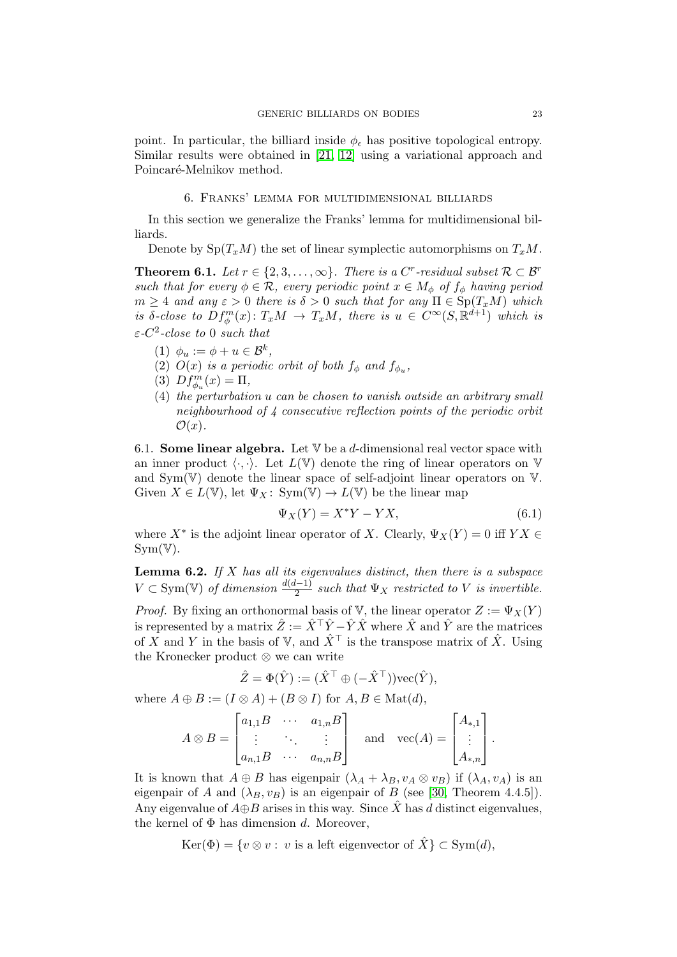point. In particular, the billiard inside  $\phi_{\epsilon}$  has positive topological entropy. Similar results were obtained in [\[21,](#page-29-20) [12\]](#page-29-19) using a variational approach and Poincaré-Melnikov method.

## 6. Franks' lemma for multidimensional billiards

<span id="page-22-1"></span>In this section we generalize the Franks' lemma for multidimensional billiards.

Denote by  $Sp(T_xM)$  the set of linear symplectic automorphisms on  $T_xM$ .

<span id="page-22-0"></span>**Theorem 6.1.** Let  $r \in \{2, 3, ..., \infty\}$ . There is a C<sup>r</sup>-residual subset  $\mathcal{R} \subset \mathcal{B}^r$ such that for every  $\phi \in \mathcal{R}$ , every periodic point  $x \in M_{\phi}$  of  $f_{\phi}$  having period  $m \geq 4$  and any  $\varepsilon > 0$  there is  $\delta > 0$  such that for any  $\Pi \in \mathrm{Sp}(T_xM)$  which is δ-close to  $Df_{\phi}^{m}(x) \colon T_xM \to T_xM$ , there is  $u \in C^{\infty}(S, \mathbb{R}^{d+1})$  which is  $\varepsilon$ -C<sup>2</sup>-close to 0 such that

- (1)  $\phi_u := \phi + u \in \mathcal{B}^k$ ,
- (2)  $O(x)$  is a periodic orbit of both  $f_{\phi}$  and  $f_{\phi_u}$ ,
- (3)  $Df_{\phi_u}^m(x) = \Pi,$
- (4) the perturbation u can be chosen to vanish outside an arbitrary small neighbourhood of 4 consecutive reflection points of the periodic orbit  $\mathcal{O}(x)$ .

6.1. **Some linear algebra.** Let  $V$  be a d-dimensional real vector space with an inner product  $\langle \cdot, \cdot \rangle$ . Let  $L(\mathbb{V})$  denote the ring of linear operators on  $\mathbb{V}$ and Sym(V) denote the linear space of self-adjoint linear operators on V. Given  $X \in L(\mathbb{V})$ , let  $\Psi_X : Sym(\mathbb{V}) \to L(\mathbb{V})$  be the linear map

<span id="page-22-3"></span>
$$
\Psi_X(Y) = X^*Y - YX,\tag{6.1}
$$

where  $X^*$  is the adjoint linear operator of X. Clearly,  $\Psi_X(Y) = 0$  iff  $YX \in$  $Sym(\mathbb{V}).$ 

<span id="page-22-2"></span>**Lemma 6.2.** If  $X$  has all its eigenvalues distinct, then there is a subspace  $V \subset Sym(V)$  of dimension  $\frac{d(d-1)}{2}$  such that  $\Psi_X$  restricted to V is invertible.

*Proof.* By fixing an orthonormal basis of V, the linear operator  $Z := \Psi_X(Y)$ is represented by a matrix  $\hat{Z} := \hat{X}^\top \hat{Y} - \hat{Y} \hat{X}$  where  $\hat{X}$  and  $\hat{Y}$  are the matrices of X and Y in the basis of V, and  $\hat{X}^{\top}$  is the transpose matrix of  $\hat{X}$ . Using the Kronecker product ⊗ we can write

$$
\hat{Z} = \Phi(\hat{Y}) := (\hat{X}^\top \oplus (-\hat{X}^\top)) \text{vec}(\hat{Y}),
$$

where  $A \oplus B := (I \otimes A) + (B \otimes I)$  for  $A, B \in \text{Mat}(d)$ ,

$$
A \otimes B = \begin{bmatrix} a_{1,1}B & \cdots & a_{1,n}B \\ \vdots & \ddots & \vdots \\ a_{n,1}B & \cdots & a_{n,n}B \end{bmatrix} \quad \text{and} \quad \text{vec}(A) = \begin{bmatrix} A_{*,1} \\ \vdots \\ A_{*,n} \end{bmatrix}.
$$

It is known that  $A \oplus B$  has eigenpair  $(\lambda_A + \lambda_B, v_A \otimes v_B)$  if  $(\lambda_A, v_A)$  is an eigenpair of A and  $(\lambda_B, v_B)$  is an eigenpair of B (see [\[30,](#page-30-17) Theorem 4.4.5]). Any eigenvalue of  $A \oplus B$  arises in this way. Since X has d distinct eigenvalues, the kernel of  $\Phi$  has dimension d. Moreover,

 $\text{Ker}(\Phi) = \{v \otimes v : v \text{ is a left eigenvector of } \hat{X}\} \subset \text{Sym}(d),$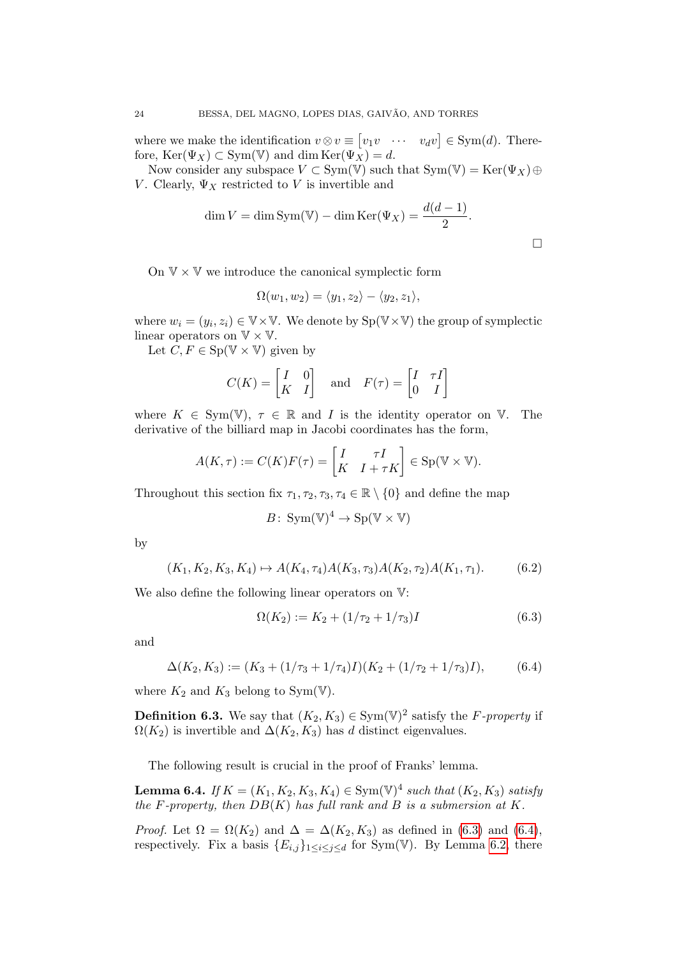where we make the identification  $v \otimes v \equiv [v_1v \cdots v_d v] \in \text{Sym}(d)$ . Therefore,  $\text{Ker}(\Psi_X) \subset \text{Sym}(\mathbb{V})$  and dim  $\text{Ker}(\Psi_X) = d$ .

Now consider any subspace  $V \subset Sym(\mathbb{V})$  such that  $Sym(\mathbb{V}) = Ker(\Psi_X) \oplus$ V. Clearly,  $\Psi_X$  restricted to V is invertible and

$$
\dim V = \dim \text{Sym}(\mathbb{V}) - \dim \text{Ker}(\Psi_X) = \frac{d(d-1)}{2}.
$$

 $\Box$ 

On  $V \times V$  we introduce the canonical symplectic form

$$
\Omega(w_1, w_2) = \langle y_1, z_2 \rangle - \langle y_2, z_1 \rangle,
$$

where  $w_i = (y_i, z_i) \in V \times V$ . We denote by  $Sp(V \times V)$  the group of symplectic linear operators on  $\mathbb{V} \times \mathbb{V}$ .

Let  $C, F \in Sp(\mathbb{V} \times \mathbb{V})$  given by

$$
C(K) = \begin{bmatrix} I & 0 \\ K & I \end{bmatrix} \quad \text{and} \quad F(\tau) = \begin{bmatrix} I & \tau I \\ 0 & I \end{bmatrix}
$$

where  $K \in Sym(\mathbb{V}), \tau \in \mathbb{R}$  and I is the identity operator on V. The derivative of the billiard map in Jacobi coordinates has the form,

$$
A(K,\tau) := C(K)F(\tau) = \begin{bmatrix} I & \tau I \\ K & I + \tau K \end{bmatrix} \in \text{Sp}(\mathbb{V} \times \mathbb{V}).
$$

Throughout this section fix  $\tau_1, \tau_2, \tau_3, \tau_4 \in \mathbb{R} \setminus \{0\}$  and define the map

$$
B\colon \operatorname{Sym}(\mathbb{V})^4 \to \operatorname{Sp}(\mathbb{V} \times \mathbb{V})
$$

by

<span id="page-23-3"></span>
$$
(K_1, K_2, K_3, K_4) \mapsto A(K_4, \tau_4)A(K_3, \tau_3)A(K_2, \tau_2)A(K_1, \tau_1). \tag{6.2}
$$

We also define the following linear operators on  $V$ :

<span id="page-23-1"></span>
$$
\Omega(K_2) := K_2 + (1/\tau_2 + 1/\tau_3)I \tag{6.3}
$$

and

<span id="page-23-2"></span>
$$
\Delta(K_2, K_3) := (K_3 + (1/\tau_3 + 1/\tau_4)I)(K_2 + (1/\tau_2 + 1/\tau_3)I),
$$
(6.4)

where  $K_2$  and  $K_3$  belong to Sym(V).

**Definition 6.3.** We say that  $(K_2, K_3) \in \text{Sym}(\mathbb{V})^2$  satisfy the F-property if  $\Omega(K_2)$  is invertible and  $\Delta(K_2, K_3)$  has d distinct eigenvalues.

The following result is crucial in the proof of Franks' lemma.

<span id="page-23-0"></span>**Lemma 6.4.** If  $K = (K_1, K_2, K_3, K_4) \in \text{Sym}(\mathbb{V})^4$  such that  $(K_2, K_3)$  satisfy the F-property, then  $DB(K)$  has full rank and B is a submersion at K.

*Proof.* Let  $\Omega = \Omega(K_2)$  and  $\Delta = \Delta(K_2, K_3)$  as defined in [\(6.3\)](#page-23-1) and [\(6.4\)](#page-23-2), respectively. Fix a basis  ${E_{i,j}}_{1\leq i\leq j\leq d}$  for Sym(V). By Lemma [6.2,](#page-22-2) there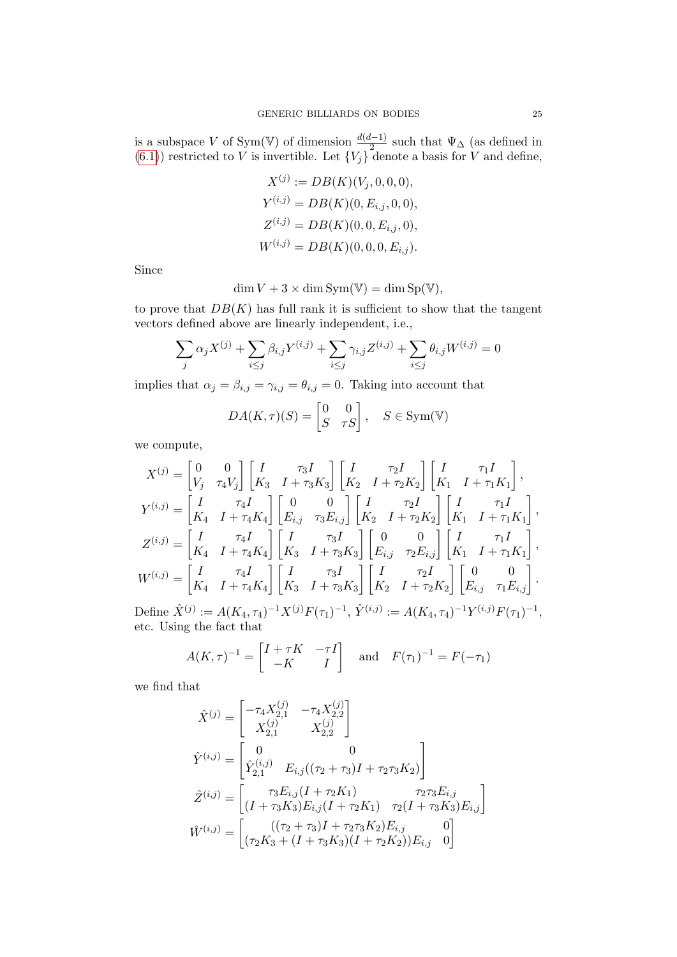is a subspace V of Sym(V) of dimension  $\frac{d(d-1)}{2}$  such that  $\Psi_{\Delta}$  (as defined in  $(6.1)$ ) restricted to V is invertible. Let  ${V_j}$  denote a basis for V and define,

$$
X^{(j)} := DB(K)(V_j, 0, 0, 0),
$$
  
\n
$$
Y^{(i,j)} = DB(K)(0, E_{i,j}, 0, 0),
$$
  
\n
$$
Z^{(i,j)} = DB(K)(0, 0, E_{i,j}, 0),
$$
  
\n
$$
W^{(i,j)} = DB(K)(0, 0, 0, E_{i,j}).
$$

Since

$$
\dim V + 3 \times \dim Sym(\mathbb{V}) = \dim Sp(\mathbb{V}),
$$

to prove that  $DB(K)$  has full rank it is sufficient to show that the tangent vectors defined above are linearly independent, i.e.,

$$
\sum_{j} \alpha_j X^{(j)} + \sum_{i \le j} \beta_{i,j} Y^{(i,j)} + \sum_{i \le j} \gamma_{i,j} Z^{(i,j)} + \sum_{i \le j} \theta_{i,j} W^{(i,j)} = 0
$$

implies that  $\alpha_j = \beta_{i,j} = \gamma_{i,j} = \theta_{i,j} = 0$ . Taking into account that

$$
DA(K,\tau)(S) = \begin{bmatrix} 0 & 0 \\ S & \tau S \end{bmatrix}, \quad S \in \text{Sym}(\mathbb{V})
$$

we compute,

$$
X^{(j)} = \begin{bmatrix} 0 & 0 \\ V_j & \tau_4 V_j \end{bmatrix} \begin{bmatrix} I & \tau_3 I \\ K_3 & I + \tau_3 K_3 \end{bmatrix} \begin{bmatrix} I & \tau_2 I \\ K_2 & I + \tau_2 K_2 \end{bmatrix} \begin{bmatrix} I & \tau_1 I \\ K_1 & I + \tau_1 K_1 \end{bmatrix},
$$
  
\n
$$
Y^{(i,j)} = \begin{bmatrix} I & \tau_4 I \\ K_4 & I + \tau_4 K_4 \end{bmatrix} \begin{bmatrix} 0 & 0 \\ E_{i,j} & \tau_3 E_{i,j} \end{bmatrix} \begin{bmatrix} I & \tau_2 I \\ K_2 & I + \tau_2 K_2 \end{bmatrix} \begin{bmatrix} I & \tau_1 I \\ K_1 & I + \tau_1 K_1 \end{bmatrix},
$$
  
\n
$$
Z^{(i,j)} = \begin{bmatrix} I & \tau_4 I \\ K_4 & I + \tau_4 K_4 \end{bmatrix} \begin{bmatrix} I & \tau_3 I \\ K_3 & I + \tau_3 K_3 \end{bmatrix} \begin{bmatrix} 0 & 0 \\ E_{i,j} & \tau_2 E_{i,j} \end{bmatrix} \begin{bmatrix} I & \tau_1 I \\ K_1 & I + \tau_1 K_1 \end{bmatrix},
$$
  
\n
$$
W^{(i,j)} = \begin{bmatrix} I & \tau_4 I \\ K_4 & I + \tau_4 K_4 \end{bmatrix} \begin{bmatrix} I & \tau_3 I \\ K_3 & I + \tau_3 K_3 \end{bmatrix} \begin{bmatrix} I & \tau_2 I \\ K_2 & I + \tau_2 K_2 \end{bmatrix} \begin{bmatrix} 0 & 0 \\ E_{i,j} & \tau_1 E_{i,j} \end{bmatrix}.
$$

Define  $\hat{X}^{(j)} := A(K_4, \tau_4)^{-1} X^{(j)} F(\tau_1)^{-1}, \hat{Y}^{(i,j)} := A(K_4, \tau_4)^{-1} Y^{(i,j)} F(\tau_1)^{-1},$ etc. Using the fact that

$$
A(K,\tau)^{-1} = \begin{bmatrix} I + \tau K & -\tau I \\ -K & I \end{bmatrix} \quad \text{and} \quad F(\tau_1)^{-1} = F(-\tau_1)
$$

we find that

$$
\hat{X}^{(j)} = \begin{bmatrix}\n-\tau_4 X_{2,1}^{(j)} & -\tau_4 X_{2,2}^{(j)} \\
X_{2,1}^{(j)} & X_{2,2}^{(j)}\n\end{bmatrix}
$$
\n
$$
\hat{Y}^{(i,j)} = \begin{bmatrix}\n0 & 0 \\
\hat{Y}_{2,1}^{(i,j)} & E_{i,j}((\tau_2 + \tau_3)I + \tau_2 \tau_3 K_2)\n\end{bmatrix}
$$
\n
$$
\hat{Z}^{(i,j)} = \begin{bmatrix}\n\tau_3 E_{i,j}(I + \tau_2 K_1) & \tau_2 \tau_3 E_{i,j} \\
(I + \tau_3 K_3) E_{i,j}(I + \tau_2 K_1) & \tau_2 (I + \tau_3 K_3) E_{i,j}\n\end{bmatrix}
$$
\n
$$
\hat{W}^{(i,j)} = \begin{bmatrix}\n((\tau_2 + \tau_3)I + \tau_2 \tau_3 K_2) E_{i,j} & 0 \\
(\tau_2 K_3 + (I + \tau_3 K_3)(I + \tau_2 K_2)) E_{i,j} & 0\n\end{bmatrix}
$$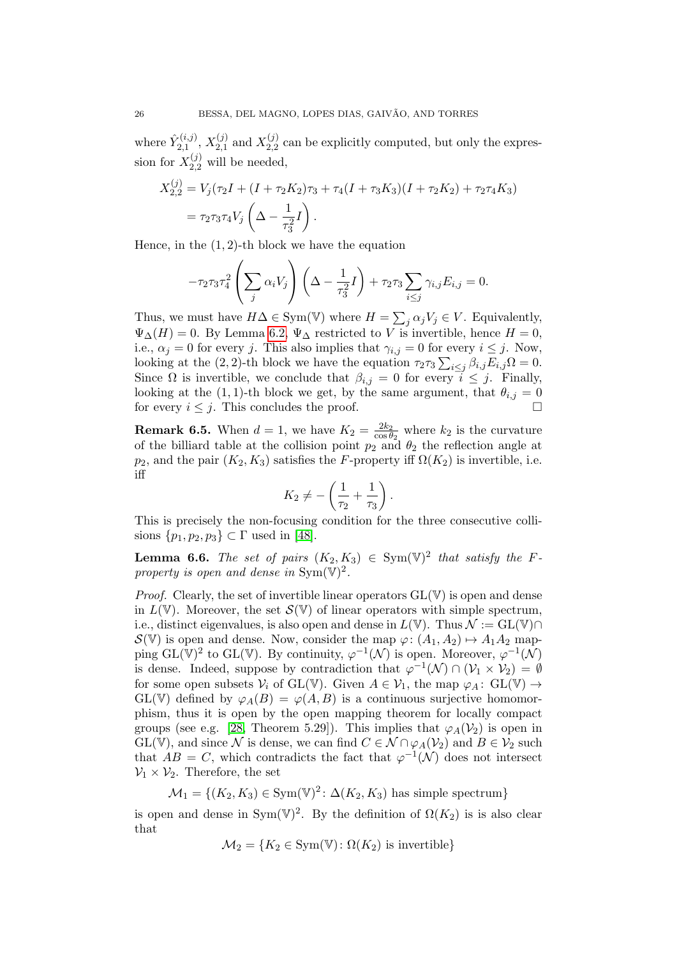where  $\hat{Y}_{2,1}^{(i,j)}$  $\chi_{2,1}^{(i,j)},\,X_{2,1}^{(j)}$  $\chi_{2,1}^{(j)}$  and  $X_{2,2}^{(j)}$  $_{2,2}^{(0)}$  can be explicitly computed, but only the expression for  $X_{2,2}^{(j)}$  will be needed,

$$
X_{2,2}^{(j)} = V_j(\tau_2 I + (I + \tau_2 K_2)\tau_3 + \tau_4 (I + \tau_3 K_3)(I + \tau_2 K_2) + \tau_2 \tau_4 K_3)
$$
  
=  $\tau_2 \tau_3 \tau_4 V_j \left( \Delta - \frac{1}{\tau_3^2} I \right).$ 

Hence, in the  $(1, 2)$ -th block we have the equation

$$
-\tau_2\tau_3\tau_4^2\left(\sum_j\alpha_iV_j\right)\left(\Delta-\frac{1}{\tau_3^2}I\right)+\tau_2\tau_3\sum_{i\leq j}\gamma_{i,j}E_{i,j}=0.
$$

Thus, we must have  $H\Delta \in \text{Sym}(\mathbb{V})$  where  $H = \sum_j \alpha_j V_j \in V$ . Equivalently,  $\Psi_{\Delta}(H) = 0$ . By Lemma [6.2,](#page-22-2)  $\Psi_{\Delta}$  restricted to V is invertible, hence  $H = 0$ , i.e.,  $\alpha_j = 0$  for every j. This also implies that  $\gamma_{i,j} = 0$  for every  $i \leq j$ . Now, looking at the (2, 2)-th block we have the equation  $\tau_2 \tau_3 \sum_{i \leq j} \beta_{i,j} E_{i,j} \Omega = 0$ . Since  $\Omega$  is invertible, we conclude that  $\beta_{i,j} = 0$  for every  $i \leq j$ . Finally, looking at the (1, 1)-th block we get, by the same argument, that  $\theta_{i,j} = 0$ for every  $i \leq j$ . This concludes the proof.

**Remark 6.5.** When  $d = 1$ , we have  $K_2 = \frac{2k_2}{\cos \theta}$  $\frac{2k_2}{\cos\theta_2}$  where  $k_2$  is the curvature of the billiard table at the collision point  $p_2$  and  $\theta_2$  the reflection angle at  $p_2$ , and the pair  $(K_2, K_3)$  satisfies the F-property iff  $\Omega(K_2)$  is invertible, i.e. iff

$$
K_2 \neq -\left(\frac{1}{\tau_2} + \frac{1}{\tau_3}\right).
$$

This is precisely the non-focusing condition for the three consecutive collisions  $\{p_1, p_2, p_3\} \subset \Gamma$  used in [\[48\]](#page-30-6).

<span id="page-25-0"></span>**Lemma 6.6.** The set of pairs  $(K_2, K_3) \in Sym(V)^2$  that satisfy the Fproperty is open and dense in  $\text{Sym}(\mathbb{V})^2$ .

*Proof.* Clearly, the set of invertible linear operators  $GL(V)$  is open and dense in  $L(\mathbb{V})$ . Moreover, the set  $\mathcal{S}(\mathbb{V})$  of linear operators with simple spectrum, i.e., distinct eigenvalues, is also open and dense in  $L(\mathbb{V})$ . Thus  $\mathcal{N} := GL(\mathbb{V}) \cap$  $\mathcal{S}(\mathbb{V})$  is open and dense. Now, consider the map  $\varphi: (A_1, A_2) \mapsto A_1 A_2$  mapping  $GL(\mathbb{V})^2$  to  $GL(\mathbb{V})$ . By continuity,  $\varphi^{-1}(\mathcal{N})$  is open. Moreover,  $\varphi^{-1}(\mathcal{N})$ is dense. Indeed, suppose by contradiction that  $\varphi^{-1}(\mathcal{N}) \cap (\mathcal{V}_1 \times \mathcal{V}_2) = \emptyset$ for some open subsets  $\mathcal{V}_i$  of  $GL(\mathbb{V})$ . Given  $A \in \mathcal{V}_1$ , the map  $\varphi_A : GL(\mathbb{V}) \to$  $GL(V)$  defined by  $\varphi_A(B) = \varphi(A, B)$  is a continuous surjective homomorphism, thus it is open by the open mapping theorem for locally compact groups (see e.g. [\[28,](#page-30-18) Theorem 5.29]). This implies that  $\varphi_A(\mathcal{V}_2)$  is open in GL(V), and since N is dense, we can find  $C \in \mathcal{N} \cap \varphi_A(\mathcal{V}_2)$  and  $B \in \mathcal{V}_2$  such that  $AB = C$ , which contradicts the fact that  $\varphi^{-1}(\mathcal{N})$  does not intersect  $\mathcal{V}_1 \times \mathcal{V}_2$ . Therefore, the set

$$
\mathcal{M}_1 = \{(K_2, K_3) \in \text{Sym}(\mathbb{V})^2 \colon \Delta(K_2, K_3) \text{ has simple spectrum}\}
$$

is open and dense in Sym(V)<sup>2</sup>. By the definition of  $\Omega(K_2)$  is is also clear that

$$
\mathcal{M}_2 = \{K_2 \in \text{Sym}(\mathbb{V}) : \Omega(K_2) \text{ is invertible}\}\
$$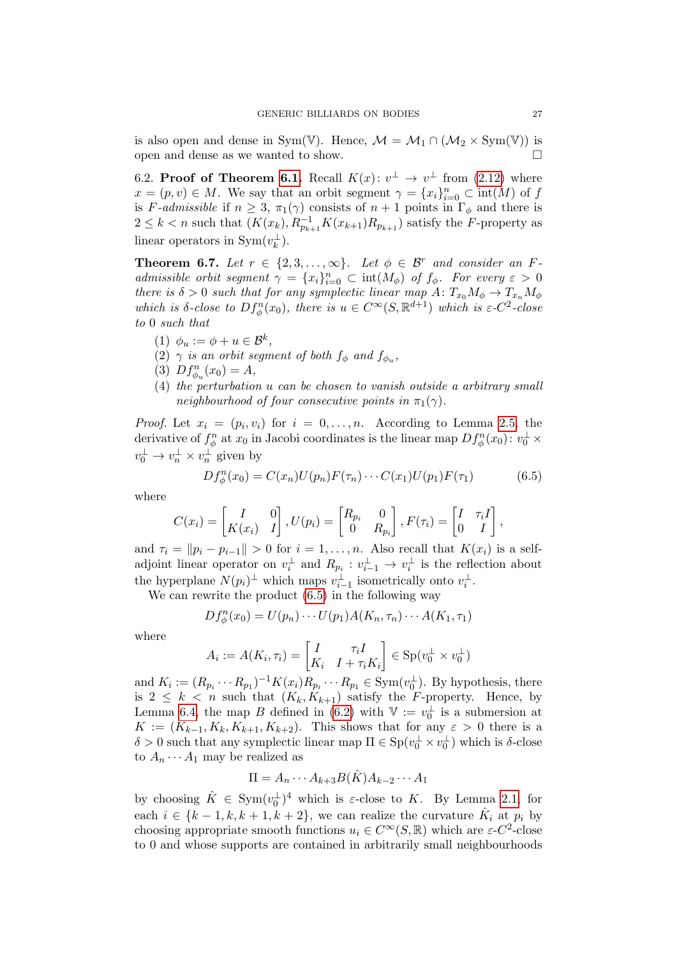is also open and dense in Sym(V). Hence,  $\mathcal{M} = \mathcal{M}_1 \cap (\mathcal{M}_2 \times Sym(V))$  is open and dense as we wanted to show.  $\Box$ 

6.2. Proof of Theorem [6.1.](#page-22-0) Recall  $K(x)$ :  $v^{\perp} \rightarrow v^{\perp}$  from [\(2.12\)](#page-8-2) where  $x = (p, v) \in M$ . We say that an orbit segment  $\gamma = \{x_i\}_{i=0}^n \subset \text{int}(M)$  of f is F-admissible if  $n \geq 3$ ,  $\pi_1(\gamma)$  consists of  $n+1$  points in  $\Gamma_\phi$  and there is  $2 \leq k < n$  such that  $(K(x_k), R_{p_{k+1}}^{-1} K(x_{k+1}) R_{p_{k+1}})$  satisfy the F-property as linear operators in  $\text{Sym}(v_k^{\perp}).$ 

<span id="page-26-1"></span>**Theorem 6.7.** Let  $r \in \{2, 3, ..., \infty\}$ . Let  $\phi \in \mathcal{B}^r$  and consider an Fadmissible orbit segment  $\gamma = \{x_i\}_{i=0}^n \subset \text{int}(M_\phi)$  of  $f_\phi$ . For every  $\varepsilon > 0$ there is  $\delta > 0$  such that for any symplectic linear map  $A: T_{x_0}M_\phi \to T_{x_n}M_\phi$ which is  $\delta$ -close to  $Df_{\phi}^n(x_0)$ , there is  $u \in C^{\infty}(S, \mathbb{R}^{d+1})$  which is  $\varepsilon$ -C<sup>2</sup>-close to 0 such that

- (1)  $\phi_u := \phi + u \in \mathcal{B}^k$ ,
- (2)  $\gamma$  is an orbit segment of both  $f_{\phi}$  and  $f_{\phi_u}$ ,
- (3)  $Df_{\phi_u}^n(x_0) = A,$
- (4) the perturbation u can be chosen to vanish outside a arbitrary small neighbourhood of four consecutive points in  $\pi_1(\gamma)$ .

*Proof.* Let  $x_i = (p_i, v_i)$  for  $i = 0, \ldots, n$ . According to Lemma [2.5,](#page-8-1) the derivative of  $f^n_\phi$  at  $x_0$  in Jacobi coordinates is the linear map  $Df^n_\phi(x_0)$ :  $v_0^{\perp}$   $\times$  $v_0^{\perp} \to v_n^{\perp} \times v_n^{\perp}$  given by

<span id="page-26-0"></span>
$$
Df_{\phi}^{n}(x_{0}) = C(x_{n})U(p_{n})F(\tau_{n})\cdots C(x_{1})U(p_{1})F(\tau_{1})
$$
\n(6.5)

where

$$
C(x_i) = \begin{bmatrix} I & 0 \\ K(x_i) & I \end{bmatrix}, U(p_i) = \begin{bmatrix} R_{p_i} & 0 \\ 0 & R_{p_i} \end{bmatrix}, F(\tau_i) = \begin{bmatrix} I & \tau_i I \\ 0 & I \end{bmatrix},
$$

and  $\tau_i = ||p_i - p_{i-1}|| > 0$  for  $i = 1, ..., n$ . Also recall that  $K(x_i)$  is a selfadjoint linear operator on  $v_i^{\perp}$  and  $R_{p_i} : v_{i-1}^{\perp} \to v_i^{\perp}$  is the reflection about the hyperplane  $N(p_i)^{\perp}$  which maps  $v_{i-1}^{\perp}$  isometrically onto  $v_i^{\perp}$ .

We can rewrite the product [\(6.5\)](#page-26-0) in the following way

$$
Df_{\phi}^{n}(x_0) = U(p_n)\cdots U(p_1)A(K_n,\tau_n)\cdots A(K_1,\tau_1)
$$

where

$$
A_i := A(K_i, \tau_i) = \begin{bmatrix} I & \tau_i I \\ K_i & I + \tau_i K_i \end{bmatrix} \in \text{Sp}(v_0^{\perp} \times v_0^{\perp})
$$

and  $K_i := (R_{p_i} \cdots R_{p_1})^{-1} K(x_i) R_{p_i} \cdots R_{p_1} \in \text{Sym}(v_0^{\perp}).$  By hypothesis, there is  $2 \leq k \leq n$  such that  $(K_k, K_{k+1})$  satisfy the F-property. Hence, by Lemma [6.4,](#page-23-0) the map B defined in [\(6.2\)](#page-23-3) with  $\mathbb{V} := v_0^{\perp}$  is a submersion at  $K := (K_{k-1}, K_k, K_{k+1}, K_{k+2})$ . This shows that for any  $\varepsilon > 0$  there is a  $\delta > 0$  such that any symplectic linear map  $\Pi \in \mathrm{Sp}(v_0^\perp \times v_0^\perp)$  which is  $\delta$ -close to  $A_n \cdots A_1$  may be realized as

$$
\Pi = A_n \cdots A_{k+3} B(\hat{K}) A_{k-2} \cdots A_1
$$

by choosing  $\hat{K} \in \text{Sym}(v_0^{\perp})^4$  which is  $\varepsilon$ -close to K. By Lemma [2.1,](#page-4-0) for each  $i \in \{k-1, k, k+1, k+2\}$ , we can realize the curvature  $\hat{K}_i$  at  $p_i$  by choosing appropriate smooth functions  $u_i \in C^{\infty}(S, \mathbb{R})$  which are  $\varepsilon$ -C<sup>2</sup>-close to 0 and whose supports are contained in arbitrarily small neighbourhoods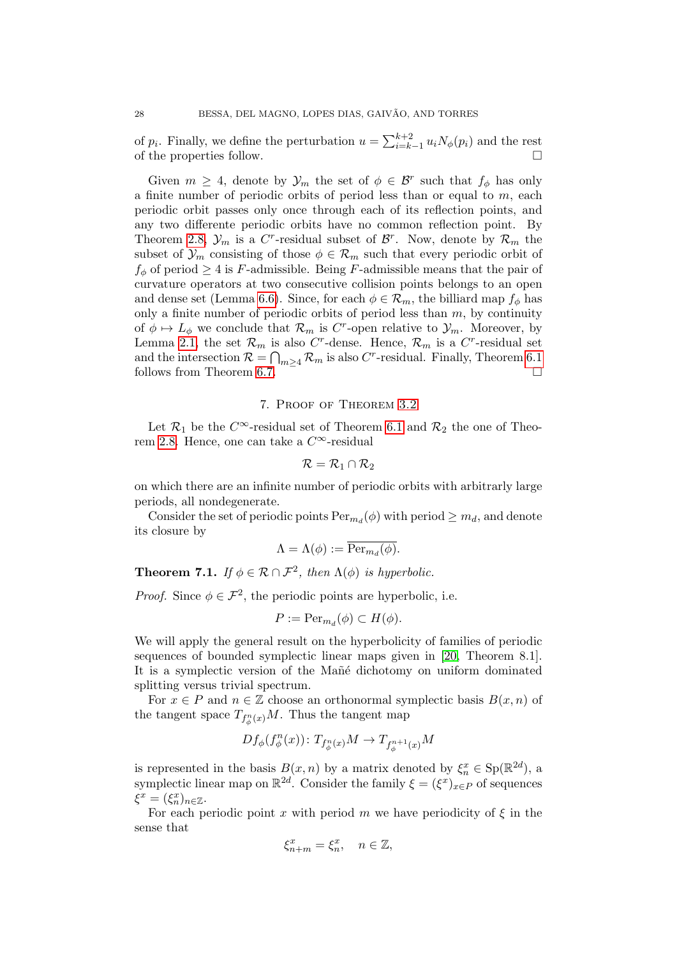of  $p_i$ . Finally, we define the perturbation  $u = \sum_{i=k-1}^{k+2} u_i N_\phi(p_i)$  and the rest of the properties follow.

Given  $m \geq 4$ , denote by  $\mathcal{Y}_m$  the set of  $\phi \in \mathcal{B}^r$  such that  $f_{\phi}$  has only a finite number of periodic orbits of period less than or equal to  $m$ , each periodic orbit passes only once through each of its reflection points, and any two differente periodic orbits have no common reflection point. By Theorem [2.8,](#page-9-2)  $\mathcal{Y}_m$  is a C<sup>r</sup>-residual subset of  $\mathcal{B}^r$ . Now, denote by  $\mathcal{R}_m$  the subset of  $\mathcal{Y}_m$  consisting of those  $\phi \in \mathcal{R}_m$  such that every periodic orbit of  $f_{\phi}$  of period  $\geq 4$  is F-admissible. Being F-admissible means that the pair of curvature operators at two consecutive collision points belongs to an open and dense set (Lemma [6.6\)](#page-25-0). Since, for each  $\phi \in \mathcal{R}_m$ , the billiard map  $f_{\phi}$  has only a finite number of periodic orbits of period less than  $m$ , by continuity of  $\phi \mapsto L_{\phi}$  we conclude that  $\mathcal{R}_m$  is C<sup>r</sup>-open relative to  $\mathcal{Y}_m$ . Moreover, by Lemma [2.1,](#page-4-0) the set  $\mathcal{R}_m$  is also C<sup>r</sup>-dense. Hence,  $\mathcal{R}_m$  is a C<sup>r</sup>-residual set and the intersection  $\mathcal{R} = \bigcap_{m \geq 4} \mathcal{R}_m$  is also C<sup>r</sup>-residual. Finally, Theorem [6.1](#page-22-0) follows from Theorem [6.7.](#page-26-1)

## 7. Proof of Theorem [3.2](#page-10-1)

<span id="page-27-0"></span>Let  $\mathcal{R}_1$  be the  $C^{\infty}$ -residual set of Theorem [6.1](#page-22-0) and  $\mathcal{R}_2$  the one of Theo-rem [2.8.](#page-9-2) Hence, one can take a  $C^{\infty}$ -residual

$$
\mathcal{R}=\mathcal{R}_1\cap\mathcal{R}_2
$$

on which there are an infinite number of periodic orbits with arbitrarly large periods, all nondegenerate.

Consider the set of periodic points  $Per_{m_d}(\phi)$  with period  $\geq m_d$ , and denote its closure by

$$
\Lambda = \Lambda(\phi) := \overline{\text{Per}_{m_d}(\phi)}.
$$

<span id="page-27-1"></span>**Theorem 7.1.** If  $\phi \in \mathcal{R} \cap \mathcal{F}^2$ , then  $\Lambda(\phi)$  is hyperbolic.

*Proof.* Since  $\phi \in \mathcal{F}^2$ , the periodic points are hyperbolic, i.e.

$$
P := \text{Per}_{m_d}(\phi) \subset H(\phi).
$$

We will apply the general result on the hyperbolicity of families of periodic sequences of bounded symplectic linear maps given in [\[20,](#page-29-8) Theorem 8.1]. It is a symplectic version of the Mañé dichotomy on uniform dominated splitting versus trivial spectrum.

For  $x \in P$  and  $n \in \mathbb{Z}$  choose an orthonormal symplectic basis  $B(x, n)$  of the tangent space  $T_{f^n_\phi(x)}M$ . Thus the tangent map

$$
Df_\phi(f_\phi^n(x))\colon T_{f_\phi^n(x)}M\to T_{f_\phi^{n+1}(x)}M
$$

is represented in the basis  $B(x, n)$  by a matrix denoted by  $\xi_n^x \in \text{Sp}(\mathbb{R}^{2d})$ , a symplectic linear map on  $\mathbb{R}^{2d}$ . Consider the family  $\xi = (\xi^x)_{x \in P}$  of sequences  $\xi^x = (\xi_n^x)_{n \in \mathbb{Z}}.$ 

For each periodic point x with period m we have periodicity of  $\xi$  in the sense that

$$
\xi_{n+m}^x = \xi_n^x, \quad n \in \mathbb{Z},
$$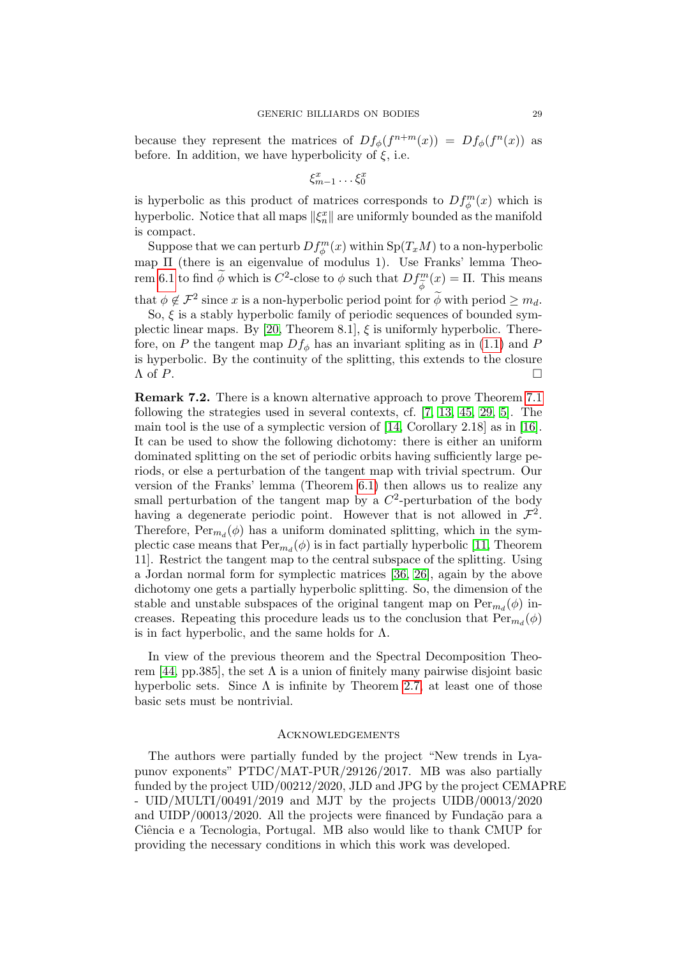because they represent the matrices of  $Df_{\phi}(f^{n+m}(x)) = Df_{\phi}(f^{n}(x))$  as before. In addition, we have hyperbolicity of  $\xi$ , i.e.

$$
\xi_{m-1}^x \dots \xi_0^x
$$

is hyperbolic as this product of matrices corresponds to  $Df_{\phi}^{m}(x)$  which is hyperbolic. Notice that all maps  $\|\xi_n^x\|$  are uniformly bounded as the manifold is compact.

Suppose that we can perturb  $Df_{\phi}^{m}(x)$  within  $Sp(T_{x}M)$  to a non-hyperbolic map Π (there is an eigenvalue of modulus 1). Use Franks' lemma Theo-rem [6.1](#page-22-0) to find  $\widetilde{\phi}$  which is  $C^2$ -close to  $\phi$  such that  $Df_{\widetilde{\phi}}^m$  $\int_{\tilde{\phi}}^{m}(x) = \Pi$ . This means

that  $\phi \notin \mathcal{F}^2$  since x is a non-hyperbolic period point for  $\widetilde{\phi}$  with period  $\geq m_d$ . So,  $\xi$  is a stably hyperbolic family of periodic sequences of bounded sym-plectic linear maps. By [\[20,](#page-29-8) Theorem 8.1],  $\xi$  is uniformly hyperbolic. Therefore, on P the tangent map  $Df_{\phi}$  has an invariant spliting as in [\(1.1\)](#page-0-1) and P is hyperbolic. By the continuity of the splitting, this extends to the closure  $\Lambda$  of  $P$ .

Remark 7.2. There is a known alternative approach to prove Theorem [7.1](#page-27-1) following the strategies used in several contexts, cf. [\[7,](#page-29-21) [13,](#page-29-5) [45,](#page-30-19) [29,](#page-30-20) [5\]](#page-29-22). The main tool is the use of a symplectic version of [\[14,](#page-29-4) Corollary 2.18] as in [\[16\]](#page-29-23). It can be used to show the following dichotomy: there is either an uniform dominated splitting on the set of periodic orbits having sufficiently large periods, or else a perturbation of the tangent map with trivial spectrum. Our version of the Franks' lemma (Theorem [6.1\)](#page-22-0) then allows us to realize any small perturbation of the tangent map by a  $C^2$ -perturbation of the body having a degenerate periodic point. However that is not allowed in  $\mathcal{F}^2$ . Therefore,  $Per_{m_d}(\phi)$  has a uniform dominated splitting, which in the symplectic case means that  $\text{Per}_{m_d}(\phi)$  is in fact partially hyperbolic [\[11,](#page-29-24) Theorem 11]. Restrict the tangent map to the central subspace of the splitting. Using a Jordan normal form for symplectic matrices [\[36,](#page-30-21) [26\]](#page-30-22), again by the above dichotomy one gets a partially hyperbolic splitting. So, the dimension of the stable and unstable subspaces of the original tangent map on  $\text{Per}_{m_d}(\phi)$  increases. Repeating this procedure leads us to the conclusion that  $Per_{m_d}(\phi)$ is in fact hyperbolic, and the same holds for  $\Lambda$ .

In view of the previous theorem and the Spectral Decomposition Theo-rem [\[44,](#page-30-23) pp.385], the set  $\Lambda$  is a union of finitely many pairwise disjoint basic hyperbolic sets. Since  $\Lambda$  is infinite by Theorem [2.7,](#page-9-3) at least one of those basic sets must be nontrivial.

## **ACKNOWLEDGEMENTS**

The authors were partially funded by the project "New trends in Lyapunov exponents" PTDC/MAT-PUR/29126/2017. MB was also partially funded by the project UID/00212/2020, JLD and JPG by the project CEMAPRE - UID/MULTI/00491/2019 and MJT by the projects UIDB/00013/2020 and  $UIDP/00013/2020$ . All the projects were financed by Fundação para a Ciência e a Tecnologia, Portugal. MB also would like to thank CMUP for providing the necessary conditions in which this work was developed.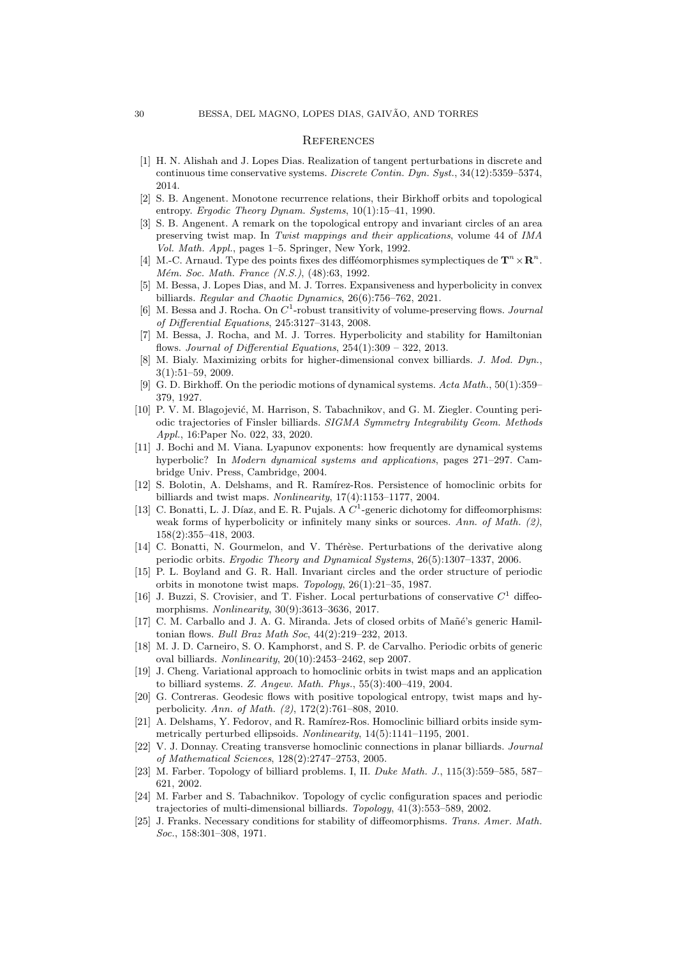## **REFERENCES**

- <span id="page-29-7"></span>[1] H. N. Alishah and J. Lopes Dias. Realization of tangent perturbations in discrete and continuous time conservative systems. Discrete Contin. Dyn. Syst., 34(12):5359–5374, 2014.
- <span id="page-29-17"></span>[2] S. B. Angenent. Monotone recurrence relations, their Birkhoff orbits and topological entropy. *Ergodic Theory Dynam. Systems*,  $10(1):15-41$ , 1990.
- <span id="page-29-18"></span>[3] S. B. Angenent. A remark on the topological entropy and invariant circles of an area preserving twist map. In Twist mappings and their applications, volume 44 of IMA Vol. Math. Appl., pages 1–5. Springer, New York, 1992.
- <span id="page-29-15"></span>[4] M.-C. Arnaud. Type des points fixes des difféomorphismes symplectiques de  $\mathbf{T}^n \times \mathbf{R}^n$ . Mém. Soc. Math. France (N.S.), (48):63, 1992.
- <span id="page-29-22"></span>[5] M. Bessa, J. Lopes Dias, and M. J. Torres. Expansiveness and hyperbolicity in convex billiards. Regular and Chaotic Dynamics, 26(6):756–762, 2021.
- <span id="page-29-6"></span>[6] M. Bessa and J. Rocha. On  $C^1$ -robust transitivity of volume-preserving flows. *Journal* of Differential Equations, 245:3127–3143, 2008.
- <span id="page-29-21"></span>[7] M. Bessa, J. Rocha, and M. J. Torres. Hyperbolicity and stability for Hamiltonian flows. Journal of Differential Equations,  $254(1):309 - 322$ ,  $2013$ .
- <span id="page-29-11"></span>[8] M. Bialy. Maximizing orbits for higher-dimensional convex billiards. J. Mod. Dyn., 3(1):51–59, 2009.
- <span id="page-29-0"></span>[9] G. D. Birkhoff. On the periodic motions of dynamical systems. Acta Math., 50(1):359– 379, 1927.
- <span id="page-29-1"></span>[10] P. V. M. Blagojević, M. Harrison, S. Tabachnikov, and G. M. Ziegler. Counting periodic trajectories of Finsler billiards. SIGMA Symmetry Integrability Geom. Methods Appl., 16:Paper No. 022, 33, 2020.
- <span id="page-29-24"></span>[11] J. Bochi and M. Viana. Lyapunov exponents: how frequently are dynamical systems hyperbolic? In Modern dynamical systems and applications, pages 271–297. Cambridge Univ. Press, Cambridge, 2004.
- <span id="page-29-19"></span>[12] S. Bolotin, A. Delshams, and R. Ramírez-Ros. Persistence of homoclinic orbits for billiards and twist maps. Nonlinearity, 17(4):1153–1177, 2004.
- <span id="page-29-5"></span>[13] C. Bonatti, L. J. Díaz, and E. R. Pujals. A  $C^1$ -generic dichotomy for diffeomorphisms: weak forms of hyperbolicity or infinitely many sinks or sources. Ann. of Math. (2), 158(2):355–418, 2003.
- <span id="page-29-4"></span>[14] C. Bonatti, N. Gourmelon, and V. Thérèse. Perturbations of the derivative along periodic orbits. Ergodic Theory and Dynamical Systems, 26(5):1307–1337, 2006.
- <span id="page-29-16"></span>[15] P. L. Boyland and G. R. Hall. Invariant circles and the order structure of periodic orbits in monotone twist maps. Topology, 26(1):21–35, 1987.
- <span id="page-29-23"></span>[16] J. Buzzi, S. Crovisier, and T. Fisher. Local perturbations of conservative  $C<sup>1</sup>$  diffeomorphisms. Nonlinearity, 30(9):3613–3636, 2017.
- <span id="page-29-2"></span>[17] C. M. Carballo and J. A. G. Miranda. Jets of closed orbits of Mañé's generic Hamiltonian flows. Bull Braz Math Soc, 44(2):219–232, 2013.
- <span id="page-29-10"></span>[18] M. J. D. Carneiro, S. O. Kamphorst, and S. P. de Carvalho. Periodic orbits of generic oval billiards. Nonlinearity, 20(10):2453–2462, sep 2007.
- <span id="page-29-9"></span>[19] J. Cheng. Variational approach to homoclinic orbits in twist maps and an application to billiard systems. Z. Angew. Math. Phys., 55(3):400–419, 2004.
- <span id="page-29-8"></span>[20] G. Contreras. Geodesic flows with positive topological entropy, twist maps and hyperbolicity. Ann. of Math. (2), 172(2):761–808, 2010.
- <span id="page-29-20"></span>[21] A. Delshams, Y. Fedorov, and R. Ramírez-Ros. Homoclinic billiard orbits inside symmetrically perturbed ellipsoids. Nonlinearity, 14(5):1141–1195, 2001.
- <span id="page-29-14"></span>[22] V. J. Donnay. Creating transverse homoclinic connections in planar billiards. Journal of Mathematical Sciences, 128(2):2747–2753, 2005.
- <span id="page-29-12"></span>[23] M. Farber. Topology of billiard problems. I, II. Duke Math. J., 115(3):559–585, 587– 621, 2002.
- <span id="page-29-13"></span>[24] M. Farber and S. Tabachnikov. Topology of cyclic configuration spaces and periodic trajectories of multi-dimensional billiards. Topology, 41(3):553–589, 2002.
- <span id="page-29-3"></span>[25] J. Franks. Necessary conditions for stability of diffeomorphisms. Trans. Amer. Math. Soc., 158:301–308, 1971.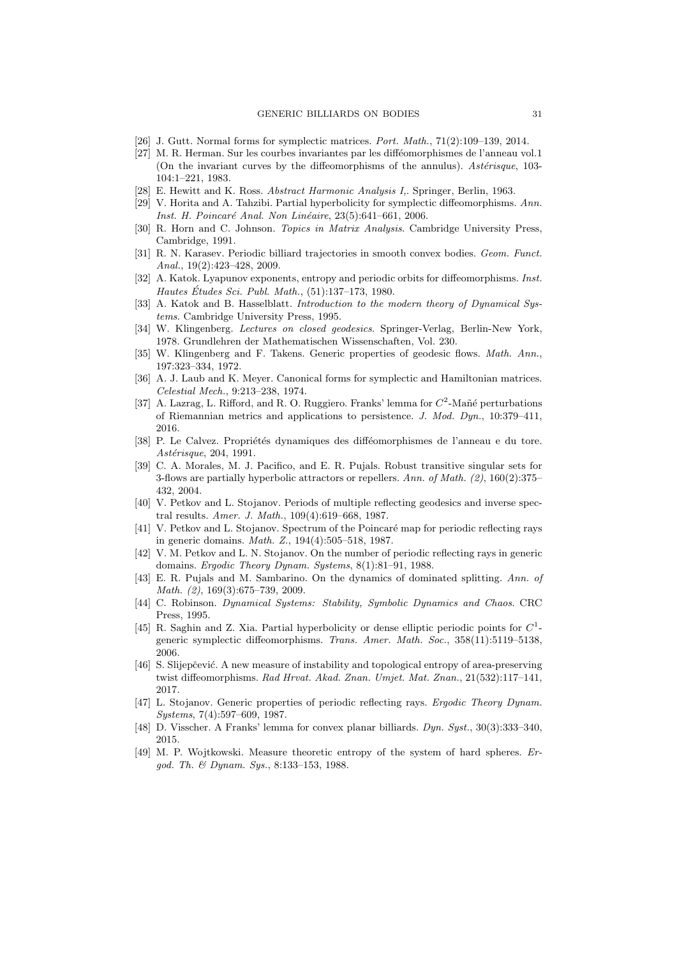- <span id="page-30-22"></span>[26] J. Gutt. Normal forms for symplectic matrices. Port. Math., 71(2):109–139, 2014.
- <span id="page-30-15"></span>[27] M. R. Herman. Sur les courbes invariantes par les difféomorphismes de l'anneau vol.1 (On the invariant curves by the diffeomorphisms of the annulus). Asterisque, 103-104:1–221, 1983.
- <span id="page-30-18"></span>[28] E. Hewitt and K. Ross. Abstract Harmonic Analysis I,. Springer, Berlin, 1963.
- <span id="page-30-20"></span>[29] V. Horita and A. Tahzibi. Partial hyperbolicity for symplectic diffeomorphisms. Ann. Inst. H. Poincaré Anal. Non Linéaire, 23(5):641–661, 2006.
- <span id="page-30-17"></span>[30] R. Horn and C. Johnson. Topics in Matrix Analysis. Cambridge University Press, Cambridge, 1991.
- <span id="page-30-1"></span>[31] R. N. Karasev. Periodic billiard trajectories in smooth convex bodies. Geom. Funct. Anal., 19(2):423–428, 2009.
- <span id="page-30-14"></span>[32] A. Katok. Lyapunov exponents, entropy and periodic orbits for diffeomorphisms. *Inst.* Hautes Études Sci. Publ. Math., (51):137-173, 1980.
- <span id="page-30-0"></span>[33] A. Katok and B. Hasselblatt. *Introduction to the modern theory of Dynamical Sys*tems. Cambridge University Press, 1995.
- <span id="page-30-12"></span>[34] W. Klingenberg. Lectures on closed geodesics. Springer-Verlag, Berlin-New York, 1978. Grundlehren der Mathematischen Wissenschaften, Vol. 230.
- <span id="page-30-2"></span>[35] W. Klingenberg and F. Takens. Generic properties of geodesic flows. Math. Ann., 197:323–334, 1972.
- <span id="page-30-21"></span>[36] A. J. Laub and K. Meyer. Canonical forms for symplectic and Hamiltonian matrices. Celestial Mech., 9:213–238, 1974.
- <span id="page-30-5"></span>[37] A. Lazrag, L. Rifford, and R. O. Ruggiero. Franks' lemma for  $C^2$ -Mañé perturbations of Riemannian metrics and applications to persistence. J. Mod. Dyn., 10:379–411, 2016.
- <span id="page-30-16"></span>[38] P. Le Calvez. Propriétés dynamiques des difféomorphismes de l'anneau e du tore. Astérisque, 204, 1991.
- <span id="page-30-4"></span>[39] C. A. Morales, M. J. Pacifico, and E. R. Pujals. Robust transitive singular sets for 3-flows are partially hyperbolic attractors or repellers. Ann. of Math. (2), 160(2):375– 432, 2004.
- <span id="page-30-9"></span>[40] V. Petkov and L. Stojanov. Periods of multiple reflecting geodesics and inverse spectral results. Amer. J. Math., 109(4):619–668, 1987.
- <span id="page-30-8"></span>[41] V. Petkov and L. Stojanov. Spectrum of the Poincaré map for periodic reflecting rays in generic domains. Math. Z., 194(4):505–518, 1987.
- <span id="page-30-10"></span>[42] V. M. Petkov and L. N. Stojanov. On the number of periodic reflecting rays in generic domains. Ergodic Theory Dynam. Systems, 8(1):81–91, 1988.
- <span id="page-30-3"></span>[43] E. R. Pujals and M. Sambarino. On the dynamics of dominated splitting. Ann. of Math. (2), 169(3):675–739, 2009.
- <span id="page-30-23"></span>[44] C. Robinson. Dynamical Systems: Stability, Symbolic Dynamics and Chaos. CRC Press, 1995.
- <span id="page-30-19"></span>[45] R. Saghin and Z. Xia. Partial hyperbolicity or dense elliptic periodic points for  $C^1$ generic symplectic diffeomorphisms. Trans. Amer. Math. Soc., 358(11):5119–5138, 2006.
- <span id="page-30-13"></span>[46] S. Slijepčević. A new measure of instability and topological entropy of area-preserving twist diffeomorphisms. Rad Hrvat. Akad. Znan. Umjet. Mat. Znan., 21(532):117–141, 2017.
- <span id="page-30-7"></span>[47] L. Stojanov. Generic properties of periodic reflecting rays. Ergodic Theory Dynam. Systems, 7(4):597–609, 1987.
- <span id="page-30-6"></span>[48] D. Visscher. A Franks' lemma for convex planar billiards. Dyn. Syst., 30(3):333–340, 2015.
- <span id="page-30-11"></span>[49] M. P. Wojtkowski. Measure theoretic entropy of the system of hard spheres. Ergod. Th. & Dynam. Sys., 8:133–153, 1988.